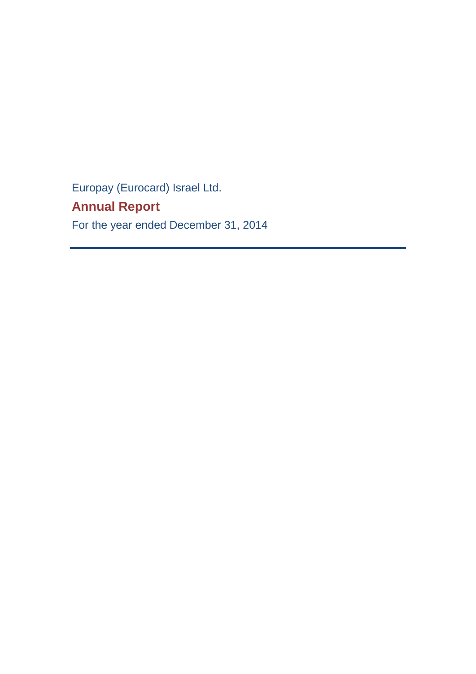Europay (Eurocard) Israel Ltd.

# **Annual Report**

For the year ended December 31, 2014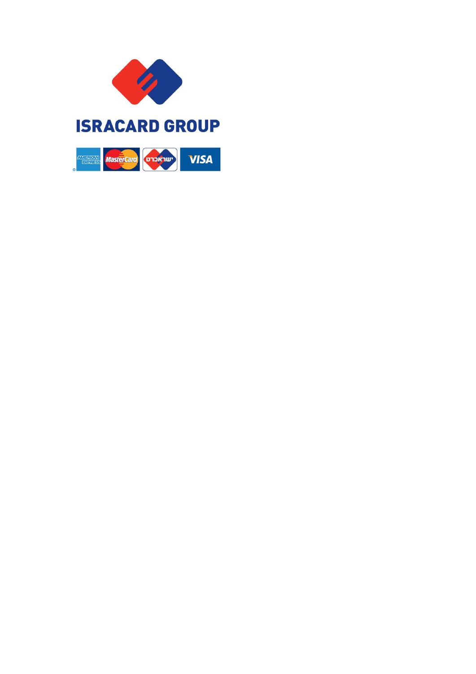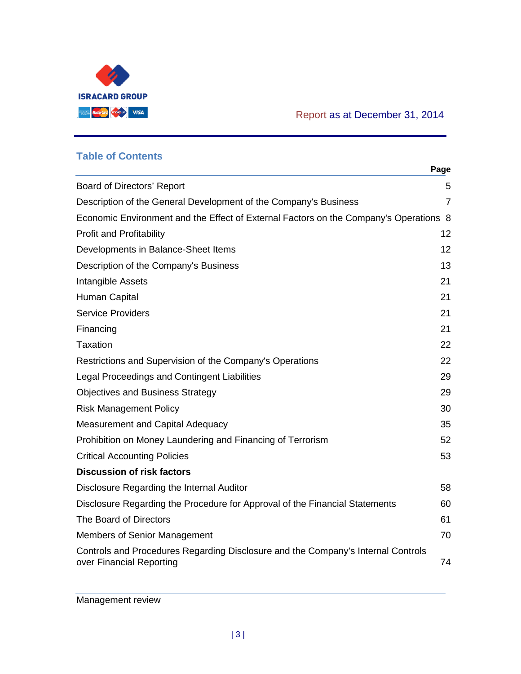

# **Table of Contents**

|                                                                                                              | Page           |
|--------------------------------------------------------------------------------------------------------------|----------------|
| Board of Directors' Report                                                                                   | 5              |
| Description of the General Development of the Company's Business                                             | $\overline{7}$ |
| Economic Environment and the Effect of External Factors on the Company's Operations 8                        |                |
| <b>Profit and Profitability</b>                                                                              | 12             |
| Developments in Balance-Sheet Items                                                                          | 12             |
| Description of the Company's Business                                                                        | 13             |
| Intangible Assets                                                                                            | 21             |
| Human Capital                                                                                                | 21             |
| <b>Service Providers</b>                                                                                     | 21             |
| Financing                                                                                                    | 21             |
| Taxation                                                                                                     | 22             |
| Restrictions and Supervision of the Company's Operations                                                     | 22             |
| Legal Proceedings and Contingent Liabilities                                                                 | 29             |
| <b>Objectives and Business Strategy</b>                                                                      | 29             |
| <b>Risk Management Policy</b>                                                                                | 30             |
| <b>Measurement and Capital Adequacy</b>                                                                      | 35             |
| Prohibition on Money Laundering and Financing of Terrorism                                                   | 52             |
| <b>Critical Accounting Policies</b>                                                                          | 53             |
| <b>Discussion of risk factors</b>                                                                            |                |
| Disclosure Regarding the Internal Auditor                                                                    | 58             |
| Disclosure Regarding the Procedure for Approval of the Financial Statements                                  | 60             |
| The Board of Directors                                                                                       | 61             |
| <b>Members of Senior Management</b>                                                                          | 70             |
| Controls and Procedures Regarding Disclosure and the Company's Internal Controls<br>over Financial Reporting | 74             |

Management review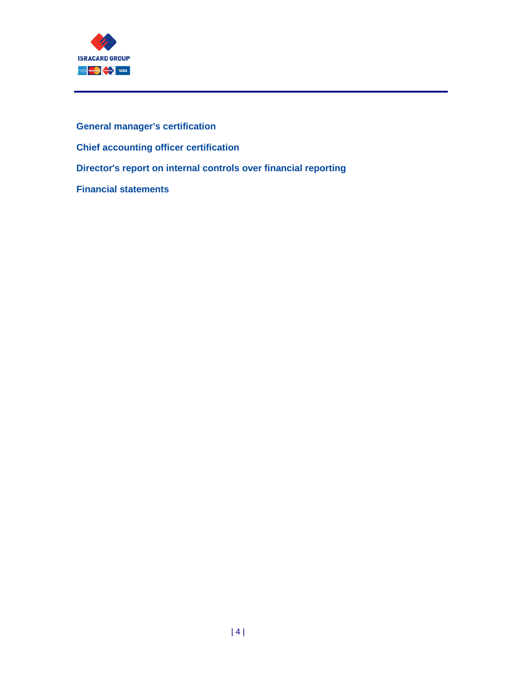

**General manager's certification Chief accounting officer certification Director's report on internal controls over financial reporting Financial statements**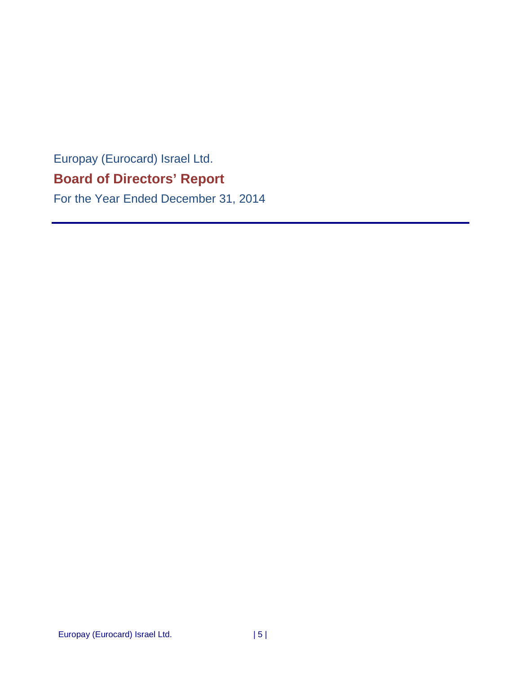# <span id="page-4-0"></span>Europay (Eurocard) Israel Ltd. **Board of Directors' Report**

For the Year Ended December 31, 2014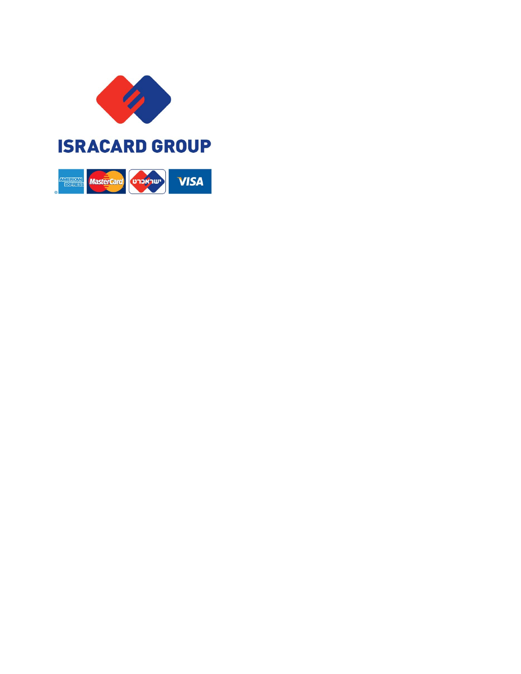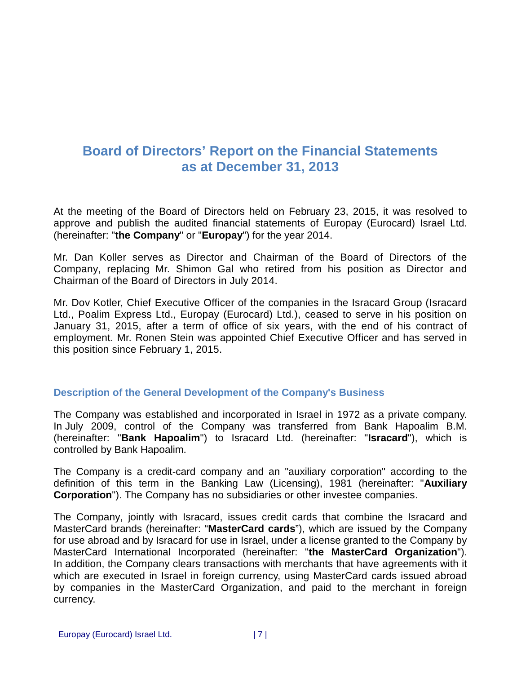# **Board of Directors' Report on the Financial Statements as at December 31, 2013**

At the meeting of the Board of Directors held on February 23, 2015, it was resolved to approve and publish the audited financial statements of Europay (Eurocard) Israel Ltd. (hereinafter: "**the Company**" or "**Europay**") for the year 2014.

Mr. Dan Koller serves as Director and Chairman of the Board of Directors of the Company, replacing Mr. Shimon Gal who retired from his position as Director and Chairman of the Board of Directors in July 2014.

Mr. Dov Kotler, Chief Executive Officer of the companies in the Isracard Group (Isracard Ltd., Poalim Express Ltd., Europay (Eurocard) Ltd.), ceased to serve in his position on January 31, 2015, after a term of office of six years, with the end of his contract of employment. Mr. Ronen Stein was appointed Chief Executive Officer and has served in this position since February 1, 2015.

### <span id="page-6-0"></span>**Description of the General Development of the Company's Business**

The Company was established and incorporated in Israel in 1972 as a private company. In July 2009, control of the Company was transferred from Bank Hapoalim B.M. (hereinafter: "**Bank Hapoalim**") to Isracard Ltd. (hereinafter: "**Isracard**"), which is controlled by Bank Hapoalim.

The Company is a credit-card company and an "auxiliary corporation" according to the definition of this term in the Banking Law (Licensing), 1981 (hereinafter: "**Auxiliary Corporation**"). The Company has no subsidiaries or other investee companies.

The Company, jointly with Isracard, issues credit cards that combine the Isracard and MasterCard brands (hereinafter: "**MasterCard cards**"), which are issued by the Company for use abroad and by Isracard for use in Israel, under a license granted to the Company by MasterCard International Incorporated (hereinafter: "**the MasterCard Organization**"). In addition, the Company clears transactions with merchants that have agreements with it which are executed in Israel in foreign currency, using MasterCard cards issued abroad by companies in the MasterCard Organization, and paid to the merchant in foreign currency.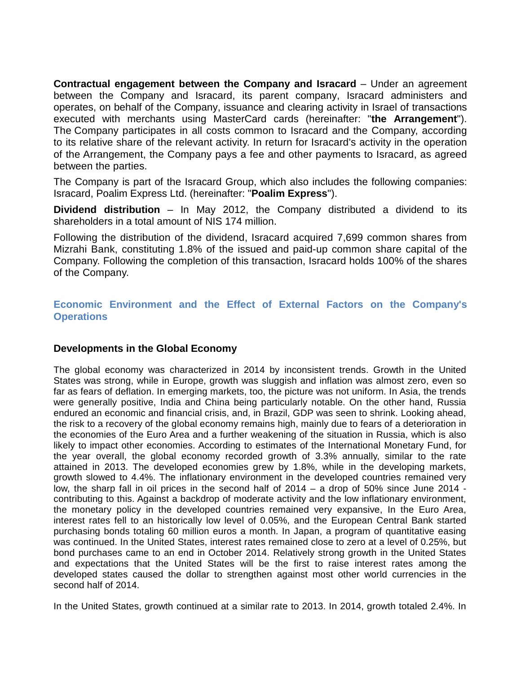**Contractual engagement between the Company and Isracard** – Under an agreement between the Company and Isracard, its parent company, Isracard administers and operates, on behalf of the Company, issuance and clearing activity in Israel of transactions executed with merchants using MasterCard cards (hereinafter: "**the Arrangement**"). The Company participates in all costs common to Isracard and the Company, according to its relative share of the relevant activity. In return for Isracard's activity in the operation of the Arrangement, the Company pays a fee and other payments to Isracard, as agreed between the parties.

The Company is part of the Isracard Group, which also includes the following companies: Isracard, Poalim Express Ltd. (hereinafter: "**Poalim Express**").

**Dividend distribution** – In May 2012, the Company distributed a dividend to its shareholders in a total amount of NIS 174 million.

Following the distribution of the dividend, Isracard acquired 7,699 common shares from Mizrahi Bank, constituting 1.8% of the issued and paid-up common share capital of the Company. Following the completion of this transaction, Isracard holds 100% of the shares of the Company.

# <span id="page-7-0"></span>**Economic Environment and the Effect of External Factors on the Company's Operations**

### **Developments in the Global Economy**

The global economy was characterized in 2014 by inconsistent trends. Growth in the United States was strong, while in Europe, growth was sluggish and inflation was almost zero, even so far as fears of deflation. In emerging markets, too, the picture was not uniform. In Asia, the trends were generally positive, India and China being particularly notable. On the other hand, Russia endured an economic and financial crisis, and, in Brazil, GDP was seen to shrink. Looking ahead, the risk to a recovery of the global economy remains high, mainly due to fears of a deterioration in the economies of the Euro Area and a further weakening of the situation in Russia, which is also likely to impact other economies. According to estimates of the International Monetary Fund, for the year overall, the global economy recorded growth of 3.3% annually, similar to the rate attained in 2013. The developed economies grew by 1.8%, while in the developing markets, growth slowed to 4.4%. The inflationary environment in the developed countries remained very low, the sharp fall in oil prices in the second half of 2014 – a drop of 50% since June 2014 contributing to this. Against a backdrop of moderate activity and the low inflationary environment, the monetary policy in the developed countries remained very expansive, In the Euro Area, interest rates fell to an historically low level of 0.05%, and the European Central Bank started purchasing bonds totaling 60 million euros a month. In Japan, a program of quantitative easing was continued. In the United States, interest rates remained close to zero at a level of 0.25%, but bond purchases came to an end in October 2014. Relatively strong growth in the United States and expectations that the United States will be the first to raise interest rates among the developed states caused the dollar to strengthen against most other world currencies in the second half of 2014.

In the United States, growth continued at a similar rate to 2013. In 2014, growth totaled 2.4%. In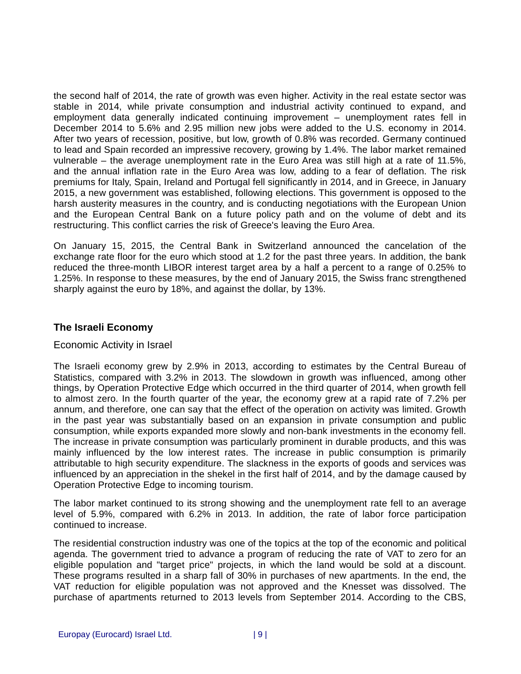the second half of 2014, the rate of growth was even higher. Activity in the real estate sector was stable in 2014, while private consumption and industrial activity continued to expand, and employment data generally indicated continuing improvement – unemployment rates fell in December 2014 to 5.6% and 2.95 million new jobs were added to the U.S. economy in 2014. After two years of recession, positive, but low, growth of 0.8% was recorded. Germany continued to lead and Spain recorded an impressive recovery, growing by 1.4%. The labor market remained vulnerable – the average unemployment rate in the Euro Area was still high at a rate of 11.5%, and the annual inflation rate in the Euro Area was low, adding to a fear of deflation. The risk premiums for Italy, Spain, Ireland and Portugal fell significantly in 2014, and in Greece, in January 2015, a new government was established, following elections. This government is opposed to the harsh austerity measures in the country, and is conducting negotiations with the European Union and the European Central Bank on a future policy path and on the volume of debt and its restructuring. This conflict carries the risk of Greece's leaving the Euro Area.

On January 15, 2015, the Central Bank in Switzerland announced the cancelation of the exchange rate floor for the euro which stood at 1.2 for the past three years. In addition, the bank reduced the three-month LIBOR interest target area by a half a percent to a range of 0.25% to 1.25%. In response to these measures, by the end of January 2015, the Swiss franc strengthened sharply against the euro by 18%, and against the dollar, by 13%.

#### **The Israeli Economy**

#### Economic Activity in Israel

The Israeli economy grew by 2.9% in 2013, according to estimates by the Central Bureau of Statistics, compared with 3.2% in 2013. The slowdown in growth was influenced, among other things, by Operation Protective Edge which occurred in the third quarter of 2014, when growth fell to almost zero. In the fourth quarter of the year, the economy grew at a rapid rate of 7.2% per annum, and therefore, one can say that the effect of the operation on activity was limited. Growth in the past year was substantially based on an expansion in private consumption and public consumption, while exports expanded more slowly and non-bank investments in the economy fell. The increase in private consumption was particularly prominent in durable products, and this was mainly influenced by the low interest rates. The increase in public consumption is primarily attributable to high security expenditure. The slackness in the exports of goods and services was influenced by an appreciation in the shekel in the first half of 2014, and by the damage caused by Operation Protective Edge to incoming tourism.

The labor market continued to its strong showing and the unemployment rate fell to an average level of 5.9%, compared with 6.2% in 2013. In addition, the rate of labor force participation continued to increase.

The residential construction industry was one of the topics at the top of the economic and political agenda. The government tried to advance a program of reducing the rate of VAT to zero for an eligible population and "target price" projects, in which the land would be sold at a discount. These programs resulted in a sharp fall of 30% in purchases of new apartments. In the end, the VAT reduction for eligible population was not approved and the Knesset was dissolved. The purchase of apartments returned to 2013 levels from September 2014. According to the CBS,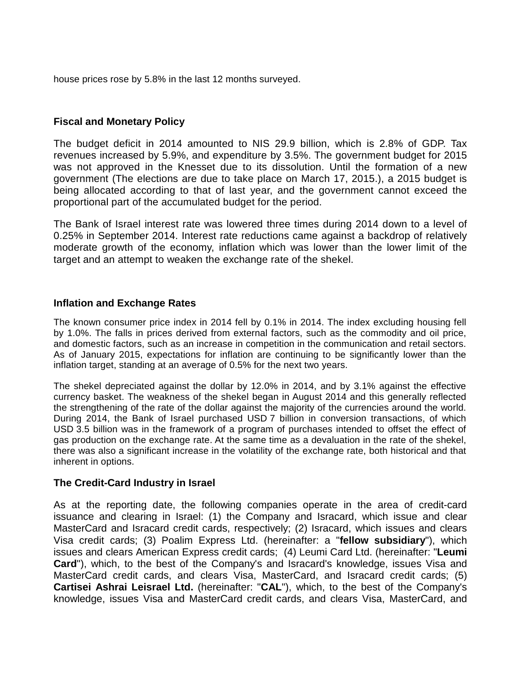house prices rose by 5.8% in the last 12 months surveyed.

# **Fiscal and Monetary Policy**

The budget deficit in 2014 amounted to NIS 29.9 billion, which is 2.8% of GDP. Tax revenues increased by 5.9%, and expenditure by 3.5%. The government budget for 2015 was not approved in the Knesset due to its dissolution. Until the formation of a new government (The elections are due to take place on March 17, 2015.), a 2015 budget is being allocated according to that of last year, and the government cannot exceed the proportional part of the accumulated budget for the period.

The Bank of Israel interest rate was lowered three times during 2014 down to a level of 0.25% in September 2014. Interest rate reductions came against a backdrop of relatively moderate growth of the economy, inflation which was lower than the lower limit of the target and an attempt to weaken the exchange rate of the shekel.

#### **Inflation and Exchange Rates**

The known consumer price index in 2014 fell by 0.1% in 2014. The index excluding housing fell by 1.0%. The falls in prices derived from external factors, such as the commodity and oil price, and domestic factors, such as an increase in competition in the communication and retail sectors. As of January 2015, expectations for inflation are continuing to be significantly lower than the inflation target, standing at an average of 0.5% for the next two years.

The shekel depreciated against the dollar by 12.0% in 2014, and by 3.1% against the effective currency basket. The weakness of the shekel began in August 2014 and this generally reflected the strengthening of the rate of the dollar against the majority of the currencies around the world. During 2014, the Bank of Israel purchased USD 7 billion in conversion transactions, of which USD 3.5 billion was in the framework of a program of purchases intended to offset the effect of gas production on the exchange rate. At the same time as a devaluation in the rate of the shekel, there was also a significant increase in the volatility of the exchange rate, both historical and that inherent in options.

#### **The Credit-Card Industry in Israel**

As at the reporting date, the following companies operate in the area of credit-card issuance and clearing in Israel: (1) the Company and Isracard, which issue and clear MasterCard and Isracard credit cards, respectively; (2) Isracard, which issues and clears Visa credit cards; (3) Poalim Express Ltd. (hereinafter: a "**fellow subsidiary**"), which issues and clears American Express credit cards; (4) Leumi Card Ltd. (hereinafter: "**Leumi Card**"), which, to the best of the Company's and Isracard's knowledge, issues Visa and MasterCard credit cards, and clears Visa, MasterCard, and Isracard credit cards; (5) **Cartisei Ashrai Leisrael Ltd.** (hereinafter: "**CAL**"), which, to the best of the Company's knowledge, issues Visa and MasterCard credit cards, and clears Visa, MasterCard, and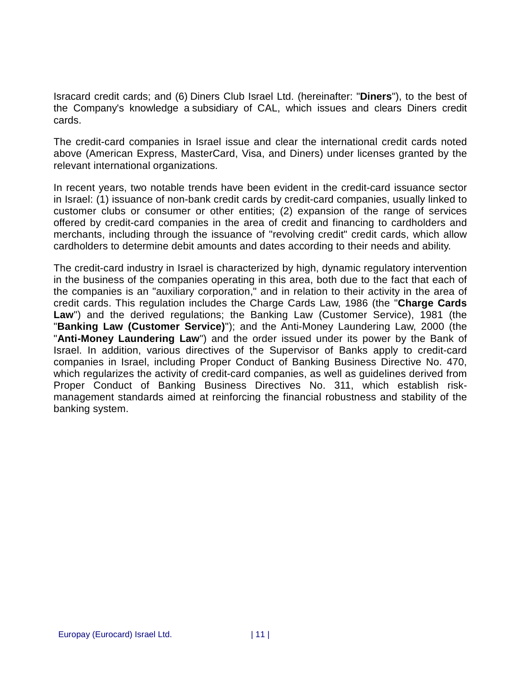Isracard credit cards; and (6) Diners Club Israel Ltd. (hereinafter: "**Diners**"), to the best of the Company's knowledge a subsidiary of CAL, which issues and clears Diners credit cards.

The credit-card companies in Israel issue and clear the international credit cards noted above (American Express, MasterCard, Visa, and Diners) under licenses granted by the relevant international organizations.

In recent years, two notable trends have been evident in the credit-card issuance sector in Israel: (1) issuance of non-bank credit cards by credit-card companies, usually linked to customer clubs or consumer or other entities; (2) expansion of the range of services offered by credit-card companies in the area of credit and financing to cardholders and merchants, including through the issuance of "revolving credit" credit cards, which allow cardholders to determine debit amounts and dates according to their needs and ability.

The credit-card industry in Israel is characterized by high, dynamic regulatory intervention in the business of the companies operating in this area, both due to the fact that each of the companies is an "auxiliary corporation," and in relation to their activity in the area of credit cards. This regulation includes the Charge Cards Law, 1986 (the "**Charge Cards Law**") and the derived regulations; the Banking Law (Customer Service), 1981 (the "**Banking Law (Customer Service)**"); and the Anti-Money Laundering Law, 2000 (the "**Anti-Money Laundering Law**") and the order issued under its power by the Bank of Israel. In addition, various directives of the Supervisor of Banks apply to credit-card companies in Israel, including Proper Conduct of Banking Business Directive No. 470, which regularizes the activity of credit-card companies, as well as guidelines derived from Proper Conduct of Banking Business Directives No. 311, which establish riskmanagement standards aimed at reinforcing the financial robustness and stability of the banking system.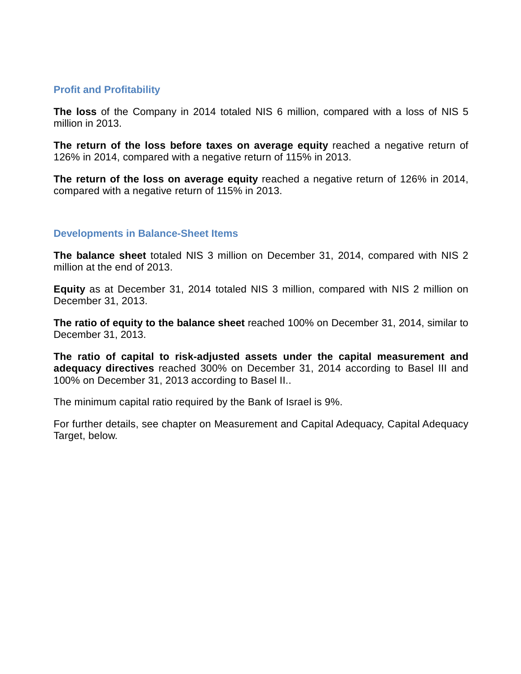#### <span id="page-11-0"></span>**Profit and Profitability**

**The loss** of the Company in 2014 totaled NIS 6 million, compared with a loss of NIS 5 million in 2013.

**The return of the loss before taxes on average equity** reached a negative return of 126% in 2014, compared with a negative return of 115% in 2013.

**The return of the loss on average equity** reached a negative return of 126% in 2014, compared with a negative return of 115% in 2013.

#### <span id="page-11-1"></span>**Developments in Balance-Sheet Items**

**The balance sheet** totaled NIS 3 million on December 31, 2014, compared with NIS 2 million at the end of 2013.

**Equity** as at December 31, 2014 totaled NIS 3 million, compared with NIS 2 million on December 31, 2013.

**The ratio of equity to the balance sheet** reached 100% on December 31, 2014, similar to December 31, 2013.

**The ratio of capital to risk-adjusted assets under the capital measurement and adequacy directives** reached 300% on December 31, 2014 according to Basel III and 100% on December 31, 2013 according to Basel II..

The minimum capital ratio required by the Bank of Israel is 9%.

For further details, see chapter on Measurement and Capital Adequacy, Capital Adequacy Target, below.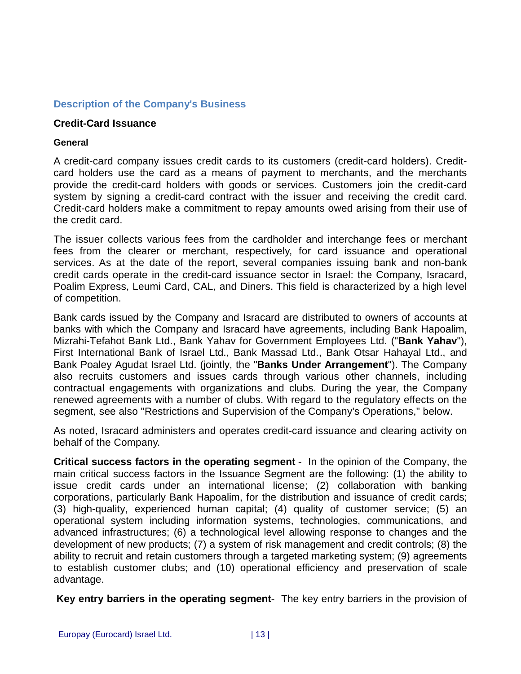# <span id="page-12-0"></span>**Description of the Company's Business**

#### **Credit-Card Issuance**

#### **General**

A credit-card company issues credit cards to its customers (credit-card holders). Creditcard holders use the card as a means of payment to merchants, and the merchants provide the credit-card holders with goods or services. Customers join the credit-card system by signing a credit-card contract with the issuer and receiving the credit card. Credit-card holders make a commitment to repay amounts owed arising from their use of the credit card.

The issuer collects various fees from the cardholder and interchange fees or merchant fees from the clearer or merchant, respectively, for card issuance and operational services. As at the date of the report, several companies issuing bank and non-bank credit cards operate in the credit-card issuance sector in Israel: the Company, Isracard, Poalim Express, Leumi Card, CAL, and Diners. This field is characterized by a high level of competition.

Bank cards issued by the Company and Isracard are distributed to owners of accounts at banks with which the Company and Isracard have agreements, including Bank Hapoalim, Mizrahi-Tefahot Bank Ltd., Bank Yahav for Government Employees Ltd. ("**Bank Yahav**"), First International Bank of Israel Ltd., Bank Massad Ltd., Bank Otsar Hahayal Ltd., and Bank Poaley Agudat Israel Ltd. (jointly, the "**Banks Under Arrangement**"). The Company also recruits customers and issues cards through various other channels, including contractual engagements with organizations and clubs. During the year, the Company renewed agreements with a number of clubs. With regard to the regulatory effects on the segment, see also "Restrictions and Supervision of the Company's Operations," below.

As noted, Isracard administers and operates credit-card issuance and clearing activity on behalf of the Company.

**Critical success factors in the operating segment** - In the opinion of the Company, the main critical success factors in the Issuance Segment are the following: (1) the ability to issue credit cards under an international license; (2) collaboration with banking corporations, particularly Bank Hapoalim, for the distribution and issuance of credit cards; (3) high-quality, experienced human capital; (4) quality of customer service; (5) an operational system including information systems, technologies, communications, and advanced infrastructures; (6) a technological level allowing response to changes and the development of new products; (7) a system of risk management and credit controls; (8) the ability to recruit and retain customers through a targeted marketing system; (9) agreements to establish customer clubs; and (10) operational efficiency and preservation of scale advantage.

**Key entry barriers in the operating segment**- The key entry barriers in the provision of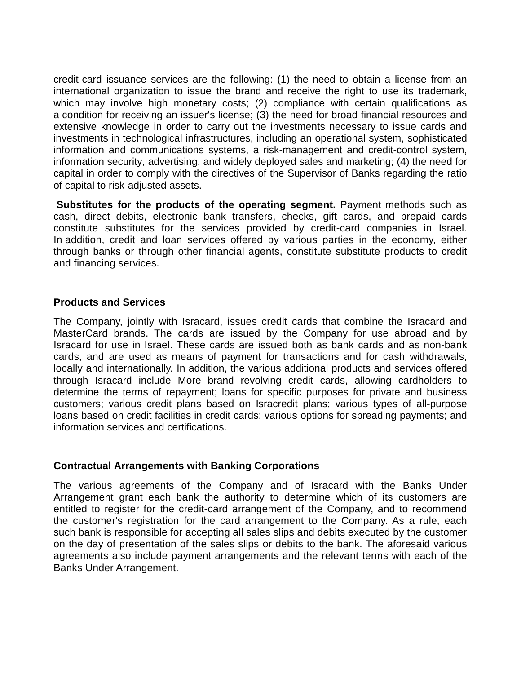credit-card issuance services are the following: (1) the need to obtain a license from an international organization to issue the brand and receive the right to use its trademark, which may involve high monetary costs; (2) compliance with certain qualifications as a condition for receiving an issuer's license; (3) the need for broad financial resources and extensive knowledge in order to carry out the investments necessary to issue cards and investments in technological infrastructures, including an operational system, sophisticated information and communications systems, a risk-management and credit-control system, information security, advertising, and widely deployed sales and marketing; (4) the need for capital in order to comply with the directives of the Supervisor of Banks regarding the ratio of capital to risk-adjusted assets.

**Substitutes for the products of the operating segment.** Payment methods such as cash, direct debits, electronic bank transfers, checks, gift cards, and prepaid cards constitute substitutes for the services provided by credit-card companies in Israel. In addition, credit and loan services offered by various parties in the economy, either through banks or through other financial agents, constitute substitute products to credit and financing services.

#### **Products and Services**

The Company, jointly with Isracard, issues credit cards that combine the Isracard and MasterCard brands. The cards are issued by the Company for use abroad and by Isracard for use in Israel. These cards are issued both as bank cards and as non-bank cards, and are used as means of payment for transactions and for cash withdrawals, locally and internationally. In addition, the various additional products and services offered through Isracard include More brand revolving credit cards, allowing cardholders to determine the terms of repayment; loans for specific purposes for private and business customers; various credit plans based on Isracredit plans; various types of all-purpose loans based on credit facilities in credit cards; various options for spreading payments; and information services and certifications.

### **Contractual Arrangements with Banking Corporations**

The various agreements of the Company and of Isracard with the Banks Under Arrangement grant each bank the authority to determine which of its customers are entitled to register for the credit-card arrangement of the Company, and to recommend the customer's registration for the card arrangement to the Company. As a rule, each such bank is responsible for accepting all sales slips and debits executed by the customer on the day of presentation of the sales slips or debits to the bank. The aforesaid various agreements also include payment arrangements and the relevant terms with each of the Banks Under Arrangement.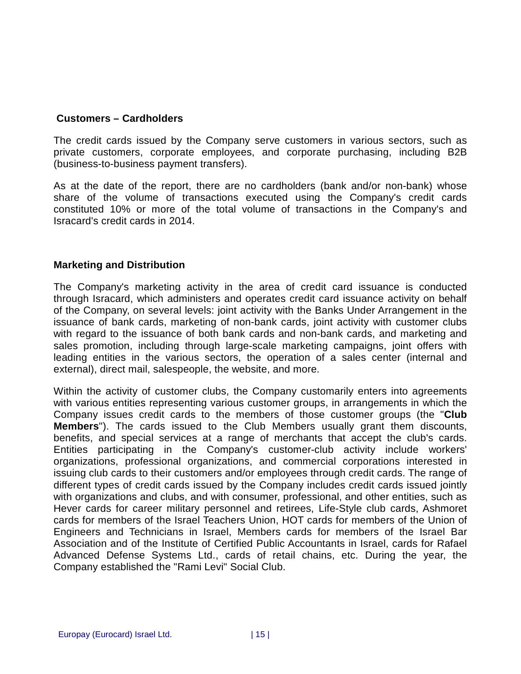### **Customers – Cardholders**

The credit cards issued by the Company serve customers in various sectors, such as private customers, corporate employees, and corporate purchasing, including B2B (business-to-business payment transfers).

As at the date of the report, there are no cardholders (bank and/or non-bank) whose share of the volume of transactions executed using the Company's credit cards constituted 10% or more of the total volume of transactions in the Company's and Isracard's credit cards in 2014.

# **Marketing and Distribution**

The Company's marketing activity in the area of credit card issuance is conducted through Isracard, which administers and operates credit card issuance activity on behalf of the Company, on several levels: joint activity with the Banks Under Arrangement in the issuance of bank cards, marketing of non-bank cards, joint activity with customer clubs with regard to the issuance of both bank cards and non-bank cards, and marketing and sales promotion, including through large-scale marketing campaigns, joint offers with leading entities in the various sectors, the operation of a sales center (internal and external), direct mail, salespeople, the website, and more.

Within the activity of customer clubs, the Company customarily enters into agreements with various entities representing various customer groups, in arrangements in which the Company issues credit cards to the members of those customer groups (the "**Club Members**"). The cards issued to the Club Members usually grant them discounts, benefits, and special services at a range of merchants that accept the club's cards. Entities participating in the Company's customer-club activity include workers' organizations, professional organizations, and commercial corporations interested in issuing club cards to their customers and/or employees through credit cards. The range of different types of credit cards issued by the Company includes credit cards issued jointly with organizations and clubs, and with consumer, professional, and other entities, such as Hever cards for career military personnel and retirees, Life-Style club cards, Ashmoret cards for members of the Israel Teachers Union, HOT cards for members of the Union of Engineers and Technicians in Israel, Members cards for members of the Israel Bar Association and of the Institute of Certified Public Accountants in Israel, cards for Rafael Advanced Defense Systems Ltd., cards of retail chains, etc. During the year, the Company established the "Rami Levi" Social Club.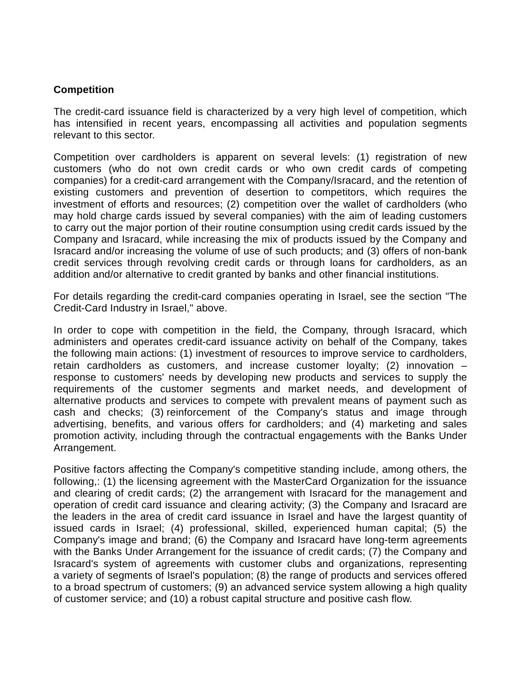#### **Competition**

The credit-card issuance field is characterized by a very high level of competition, which has intensified in recent years, encompassing all activities and population segments relevant to this sector.

Competition over cardholders is apparent on several levels: (1) registration of new customers (who do not own credit cards or who own credit cards of competing companies) for a credit-card arrangement with the Company/Isracard, and the retention of existing customers and prevention of desertion to competitors, which requires the investment of efforts and resources; (2) competition over the wallet of cardholders (who may hold charge cards issued by several companies) with the aim of leading customers to carry out the major portion of their routine consumption using credit cards issued by the Company and Isracard, while increasing the mix of products issued by the Company and Isracard and/or increasing the volume of use of such products; and (3) offers of non-bank credit services through revolving credit cards or through loans for cardholders, as an addition and/or alternative to credit granted by banks and other financial institutions.

For details regarding the credit-card companies operating in Israel, see the section "The Credit-Card Industry in Israel," above.

In order to cope with competition in the field, the Company, through Isracard, which administers and operates credit-card issuance activity on behalf of the Company, takes the following main actions: (1) investment of resources to improve service to cardholders, retain cardholders as customers, and increase customer loyalty; (2) innovation – response to customers' needs by developing new products and services to supply the requirements of the customer segments and market needs, and development of alternative products and services to compete with prevalent means of payment such as cash and checks; (3) reinforcement of the Company's status and image through advertising, benefits, and various offers for cardholders; and (4) marketing and sales promotion activity, including through the contractual engagements with the Banks Under Arrangement.

Positive factors affecting the Company's competitive standing include, among others, the following,: (1) the licensing agreement with the MasterCard Organization for the issuance and clearing of credit cards; (2) the arrangement with Isracard for the management and operation of credit card issuance and clearing activity; (3) the Company and Isracard are the leaders in the area of credit card issuance in Israel and have the largest quantity of issued cards in Israel; (4) professional, skilled, experienced human capital; (5) the Company's image and brand; (6) the Company and Isracard have long-term agreements with the Banks Under Arrangement for the issuance of credit cards; (7) the Company and Isracard's system of agreements with customer clubs and organizations, representing a variety of segments of Israel's population; (8) the range of products and services offered to a broad spectrum of customers; (9) an advanced service system allowing a high quality of customer service; and (10) a robust capital structure and positive cash flow.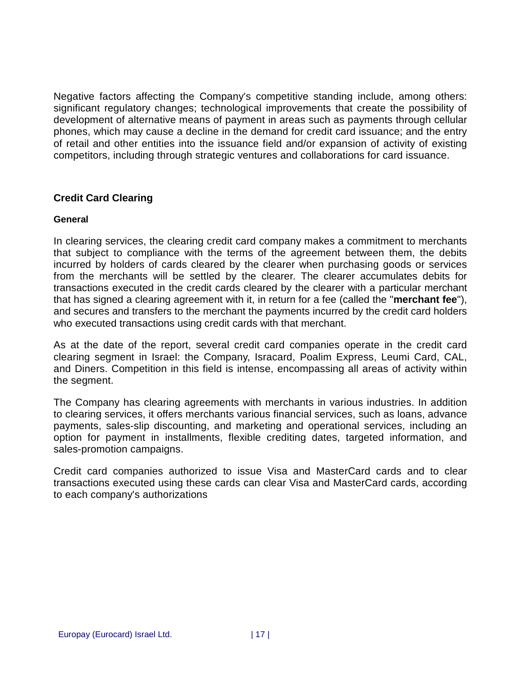Negative factors affecting the Company's competitive standing include, among others: significant regulatory changes; technological improvements that create the possibility of development of alternative means of payment in areas such as payments through cellular phones, which may cause a decline in the demand for credit card issuance; and the entry of retail and other entities into the issuance field and/or expansion of activity of existing competitors, including through strategic ventures and collaborations for card issuance.

# **Credit Card Clearing**

#### **General**

In clearing services, the clearing credit card company makes a commitment to merchants that subject to compliance with the terms of the agreement between them, the debits incurred by holders of cards cleared by the clearer when purchasing goods or services from the merchants will be settled by the clearer. The clearer accumulates debits for transactions executed in the credit cards cleared by the clearer with a particular merchant that has signed a clearing agreement with it, in return for a fee (called the "**merchant fee**"), and secures and transfers to the merchant the payments incurred by the credit card holders who executed transactions using credit cards with that merchant.

As at the date of the report, several credit card companies operate in the credit card clearing segment in Israel: the Company, Isracard, Poalim Express, Leumi Card, CAL, and Diners. Competition in this field is intense, encompassing all areas of activity within the segment.

The Company has clearing agreements with merchants in various industries. In addition to clearing services, it offers merchants various financial services, such as loans, advance payments, sales-slip discounting, and marketing and operational services, including an option for payment in installments, flexible crediting dates, targeted information, and sales-promotion campaigns.

Credit card companies authorized to issue Visa and MasterCard cards and to clear transactions executed using these cards can clear Visa and MasterCard cards, according to each company's authorizations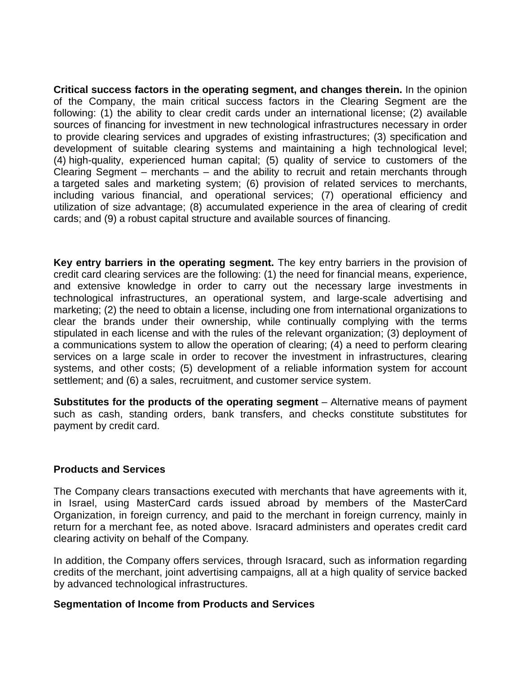**Critical success factors in the operating segment, and changes therein.** In the opinion of the Company, the main critical success factors in the Clearing Segment are the following: (1) the ability to clear credit cards under an international license; (2) available sources of financing for investment in new technological infrastructures necessary in order to provide clearing services and upgrades of existing infrastructures; (3) specification and development of suitable clearing systems and maintaining a high technological level; (4) high-quality, experienced human capital; (5) quality of service to customers of the Clearing Segment – merchants – and the ability to recruit and retain merchants through a targeted sales and marketing system; (6) provision of related services to merchants, including various financial, and operational services; (7) operational efficiency and utilization of size advantage; (8) accumulated experience in the area of clearing of credit cards; and (9) a robust capital structure and available sources of financing.

**Key entry barriers in the operating segment.** The key entry barriers in the provision of credit card clearing services are the following: (1) the need for financial means, experience, and extensive knowledge in order to carry out the necessary large investments in technological infrastructures, an operational system, and large-scale advertising and marketing; (2) the need to obtain a license, including one from international organizations to clear the brands under their ownership, while continually complying with the terms stipulated in each license and with the rules of the relevant organization; (3) deployment of a communications system to allow the operation of clearing; (4) a need to perform clearing services on a large scale in order to recover the investment in infrastructures, clearing systems, and other costs; (5) development of a reliable information system for account settlement; and (6) a sales, recruitment, and customer service system.

**Substitutes for the products of the operating segment** – Alternative means of payment such as cash, standing orders, bank transfers, and checks constitute substitutes for payment by credit card.

### **Products and Services**

The Company clears transactions executed with merchants that have agreements with it, in Israel, using MasterCard cards issued abroad by members of the MasterCard Organization, in foreign currency, and paid to the merchant in foreign currency, mainly in return for a merchant fee, as noted above. Isracard administers and operates credit card clearing activity on behalf of the Company.

In addition, the Company offers services, through Isracard, such as information regarding credits of the merchant, joint advertising campaigns, all at a high quality of service backed by advanced technological infrastructures.

#### **Segmentation of Income from Products and Services**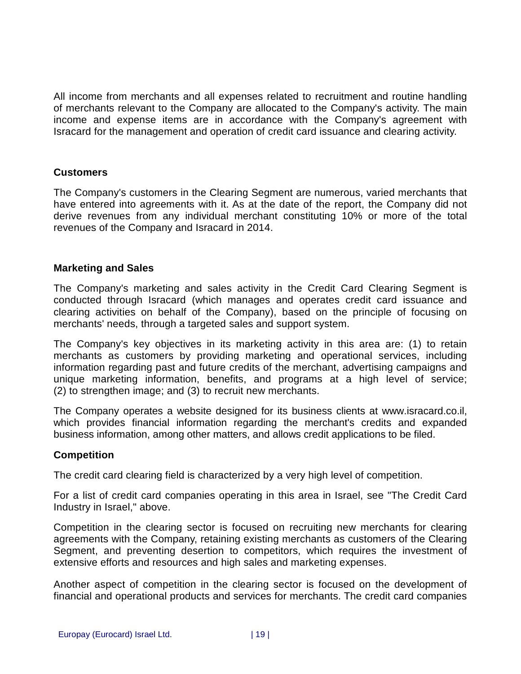All income from merchants and all expenses related to recruitment and routine handling of merchants relevant to the Company are allocated to the Company's activity. The main income and expense items are in accordance with the Company's agreement with Isracard for the management and operation of credit card issuance and clearing activity.

## **Customers**

The Company's customers in the Clearing Segment are numerous, varied merchants that have entered into agreements with it. As at the date of the report, the Company did not derive revenues from any individual merchant constituting 10% or more of the total revenues of the Company and Isracard in 2014.

### **Marketing and Sales**

The Company's marketing and sales activity in the Credit Card Clearing Segment is conducted through Isracard (which manages and operates credit card issuance and clearing activities on behalf of the Company), based on the principle of focusing on merchants' needs, through a targeted sales and support system.

The Company's key objectives in its marketing activity in this area are: (1) to retain merchants as customers by providing marketing and operational services, including information regarding past and future credits of the merchant, advertising campaigns and unique marketing information, benefits, and programs at a high level of service; (2) to strengthen image; and (3) to recruit new merchants.

The Company operates a website designed for its business clients at www.isracard.co.il, which provides financial information regarding the merchant's credits and expanded business information, among other matters, and allows credit applications to be filed.

#### **Competition**

The credit card clearing field is characterized by a very high level of competition.

For a list of credit card companies operating in this area in Israel, see "The Credit Card Industry in Israel," above.

Competition in the clearing sector is focused on recruiting new merchants for clearing agreements with the Company, retaining existing merchants as customers of the Clearing Segment, and preventing desertion to competitors, which requires the investment of extensive efforts and resources and high sales and marketing expenses.

Another aspect of competition in the clearing sector is focused on the development of financial and operational products and services for merchants. The credit card companies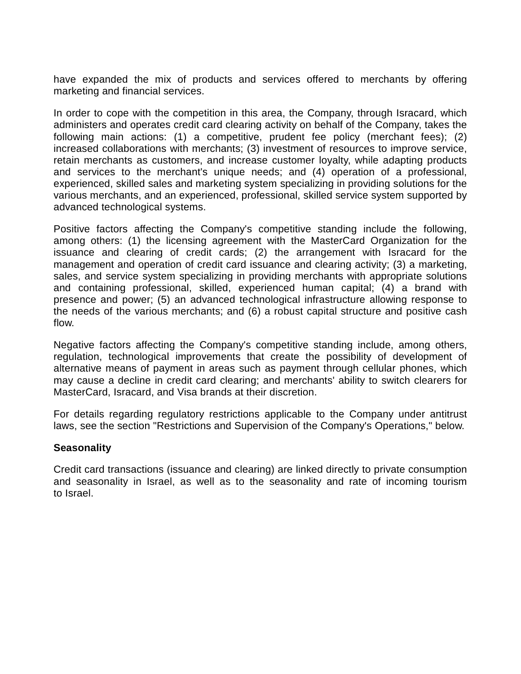have expanded the mix of products and services offered to merchants by offering marketing and financial services.

In order to cope with the competition in this area, the Company, through Isracard, which administers and operates credit card clearing activity on behalf of the Company, takes the following main actions: (1) a competitive, prudent fee policy (merchant fees); (2) increased collaborations with merchants; (3) investment of resources to improve service, retain merchants as customers, and increase customer loyalty, while adapting products and services to the merchant's unique needs; and (4) operation of a professional, experienced, skilled sales and marketing system specializing in providing solutions for the various merchants, and an experienced, professional, skilled service system supported by advanced technological systems.

Positive factors affecting the Company's competitive standing include the following, among others: (1) the licensing agreement with the MasterCard Organization for the issuance and clearing of credit cards; (2) the arrangement with Isracard for the management and operation of credit card issuance and clearing activity; (3) a marketing, sales, and service system specializing in providing merchants with appropriate solutions and containing professional, skilled, experienced human capital; (4) a brand with presence and power; (5) an advanced technological infrastructure allowing response to the needs of the various merchants; and (6) a robust capital structure and positive cash flow.

Negative factors affecting the Company's competitive standing include, among others, regulation, technological improvements that create the possibility of development of alternative means of payment in areas such as payment through cellular phones, which may cause a decline in credit card clearing; and merchants' ability to switch clearers for MasterCard, Isracard, and Visa brands at their discretion.

For details regarding regulatory restrictions applicable to the Company under antitrust laws, see the section "Restrictions and Supervision of the Company's Operations," below.

### **Seasonality**

Credit card transactions (issuance and clearing) are linked directly to private consumption and seasonality in Israel, as well as to the seasonality and rate of incoming tourism to Israel.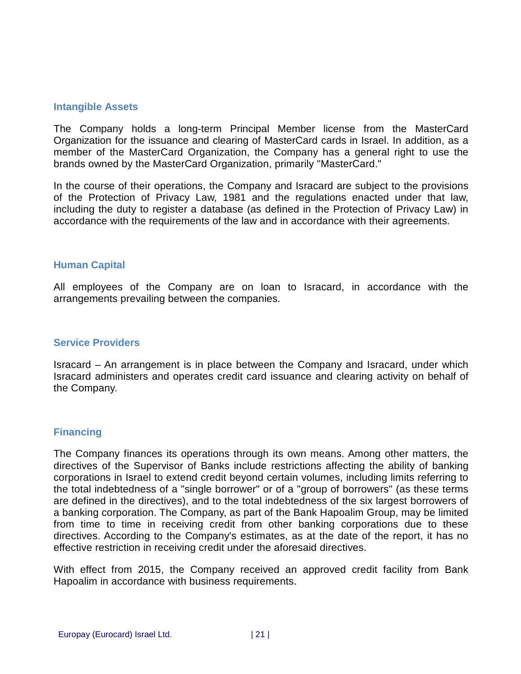#### <span id="page-20-0"></span>**Intangible Assets**

The Company holds a long-term Principal Member license from the MasterCard Organization for the issuance and clearing of MasterCard cards in Israel. In addition, as a member of the MasterCard Organization, the Company has a general right to use the brands owned by the MasterCard Organization, primarily "MasterCard."

In the course of their operations, the Company and Isracard are subject to the provisions of the Protection of Privacy Law, 1981 and the regulations enacted under that law, including the duty to register a database (as defined in the Protection of Privacy Law) in accordance with the requirements of the law and in accordance with their agreements.

#### <span id="page-20-1"></span>**Human Capital**

All employees of the Company are on loan to Isracard, in accordance with the arrangements prevailing between the companies.

#### <span id="page-20-2"></span>**Service Providers**

Isracard – An arrangement is in place between the Company and Isracard, under which Isracard administers and operates credit card issuance and clearing activity on behalf of the Company.

### <span id="page-20-3"></span>**Financing**

The Company finances its operations through its own means. Among other matters, the directives of the Supervisor of Banks include restrictions affecting the ability of banking corporations in Israel to extend credit beyond certain volumes, including limits referring to the total indebtedness of a "single borrower" or of a "group of borrowers" (as these terms are defined in the directives), and to the total indebtedness of the six largest borrowers of a banking corporation. The Company, as part of the Bank Hapoalim Group, may be limited from time to time in receiving credit from other banking corporations due to these directives. According to the Company's estimates, as at the date of the report, it has no effective restriction in receiving credit under the aforesaid directives.

With effect from 2015, the Company received an approved credit facility from Bank Hapoalim in accordance with business requirements.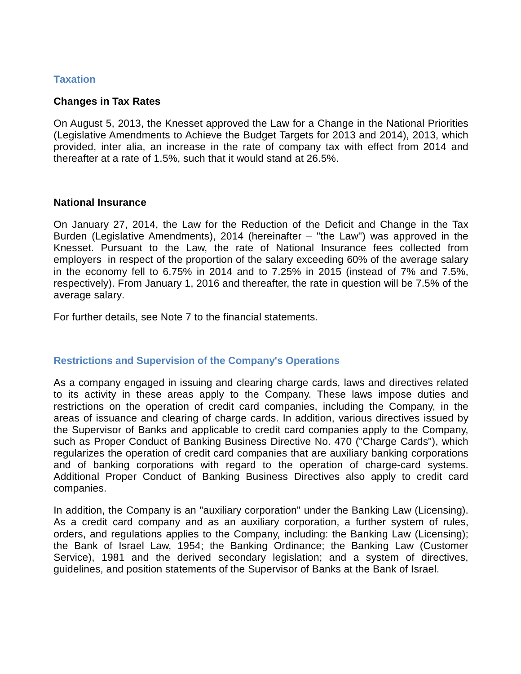# <span id="page-21-0"></span>**Taxation**

#### **Changes in Tax Rates**

On August 5, 2013, the Knesset approved the Law for a Change in the National Priorities (Legislative Amendments to Achieve the Budget Targets for 2013 and 2014), 2013, which provided, inter alia, an increase in the rate of company tax with effect from 2014 and thereafter at a rate of 1.5%, such that it would stand at 26.5%.

#### **National Insurance**

On January 27, 2014, the Law for the Reduction of the Deficit and Change in the Tax Burden (Legislative Amendments), 2014 (hereinafter – "the Law") was approved in the Knesset. Pursuant to the Law, the rate of National Insurance fees collected from employers in respect of the proportion of the salary exceeding 60% of the average salary in the economy fell to 6.75% in 2014 and to 7.25% in 2015 (instead of 7% and 7.5%, respectively). From January 1, 2016 and thereafter, the rate in question will be 7.5% of the average salary.

For further details, see Note 7 to the financial statements.

# <span id="page-21-1"></span>**Restrictions and Supervision of the Company's Operations**

As a company engaged in issuing and clearing charge cards, laws and directives related to its activity in these areas apply to the Company. These laws impose duties and restrictions on the operation of credit card companies, including the Company, in the areas of issuance and clearing of charge cards. In addition, various directives issued by the Supervisor of Banks and applicable to credit card companies apply to the Company, such as Proper Conduct of Banking Business Directive No. 470 ("Charge Cards"), which regularizes the operation of credit card companies that are auxiliary banking corporations and of banking corporations with regard to the operation of charge-card systems. Additional Proper Conduct of Banking Business Directives also apply to credit card companies.

In addition, the Company is an "auxiliary corporation" under the Banking Law (Licensing). As a credit card company and as an auxiliary corporation, a further system of rules, orders, and regulations applies to the Company, including: the Banking Law (Licensing); the Bank of Israel Law, 1954; the Banking Ordinance; the Banking Law (Customer Service), 1981 and the derived secondary legislation; and a system of directives, guidelines, and position statements of the Supervisor of Banks at the Bank of Israel.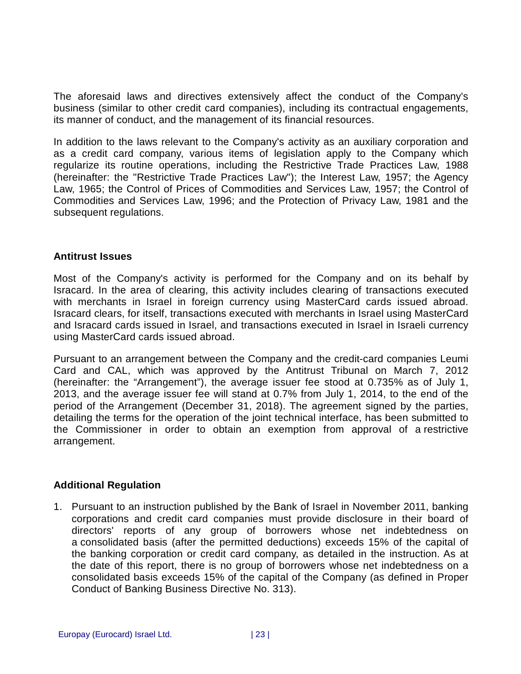The aforesaid laws and directives extensively affect the conduct of the Company's business (similar to other credit card companies), including its contractual engagements, its manner of conduct, and the management of its financial resources.

In addition to the laws relevant to the Company's activity as an auxiliary corporation and as a credit card company, various items of legislation apply to the Company which regularize its routine operations, including the Restrictive Trade Practices Law, 1988 (hereinafter: the "Restrictive Trade Practices Law"); the Interest Law, 1957; the Agency Law, 1965; the Control of Prices of Commodities and Services Law, 1957; the Control of Commodities and Services Law, 1996; and the Protection of Privacy Law, 1981 and the subsequent regulations.

### **Antitrust Issues**

Most of the Company's activity is performed for the Company and on its behalf by Isracard. In the area of clearing, this activity includes clearing of transactions executed with merchants in Israel in foreign currency using MasterCard cards issued abroad. Isracard clears, for itself, transactions executed with merchants in Israel using MasterCard and Isracard cards issued in Israel, and transactions executed in Israel in Israeli currency using MasterCard cards issued abroad.

Pursuant to an arrangement between the Company and the credit-card companies Leumi Card and CAL, which was approved by the Antitrust Tribunal on March 7, 2012 (hereinafter: the "Arrangement"), the average issuer fee stood at 0.735% as of July 1, 2013, and the average issuer fee will stand at 0.7% from July 1, 2014, to the end of the period of the Arrangement (December 31, 2018). The agreement signed by the parties, detailing the terms for the operation of the joint technical interface, has been submitted to the Commissioner in order to obtain an exemption from approval of a restrictive arrangement.

### **Additional Regulation**

1. Pursuant to an instruction published by the Bank of Israel in November 2011, banking corporations and credit card companies must provide disclosure in their board of directors' reports of any group of borrowers whose net indebtedness on a consolidated basis (after the permitted deductions) exceeds 15% of the capital of the banking corporation or credit card company, as detailed in the instruction. As at the date of this report, there is no group of borrowers whose net indebtedness on a consolidated basis exceeds 15% of the capital of the Company (as defined in Proper Conduct of Banking Business Directive No. 313).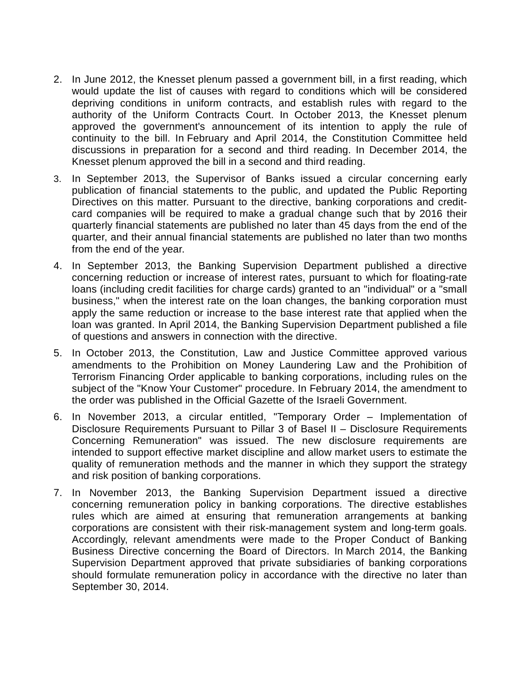- 2. In June 2012, the Knesset plenum passed a government bill, in a first reading, which would update the list of causes with regard to conditions which will be considered depriving conditions in uniform contracts, and establish rules with regard to the authority of the Uniform Contracts Court. In October 2013, the Knesset plenum approved the government's announcement of its intention to apply the rule of continuity to the bill. In February and April 2014, the Constitution Committee held discussions in preparation for a second and third reading. In December 2014, the Knesset plenum approved the bill in a second and third reading.
- 3. In September 2013, the Supervisor of Banks issued a circular concerning early publication of financial statements to the public, and updated the Public Reporting Directives on this matter. Pursuant to the directive, banking corporations and creditcard companies will be required to make a gradual change such that by 2016 their quarterly financial statements are published no later than 45 days from the end of the quarter, and their annual financial statements are published no later than two months from the end of the year.
- 4. In September 2013, the Banking Supervision Department published a directive concerning reduction or increase of interest rates, pursuant to which for floating-rate loans (including credit facilities for charge cards) granted to an "individual" or a "small business," when the interest rate on the loan changes, the banking corporation must apply the same reduction or increase to the base interest rate that applied when the loan was granted. In April 2014, the Banking Supervision Department published a file of questions and answers in connection with the directive.
- 5. In October 2013, the Constitution, Law and Justice Committee approved various amendments to the Prohibition on Money Laundering Law and the Prohibition of Terrorism Financing Order applicable to banking corporations, including rules on the subject of the "Know Your Customer" procedure. In February 2014, the amendment to the order was published in the Official Gazette of the Israeli Government.
- 6. In November 2013, a circular entitled, "Temporary Order Implementation of Disclosure Requirements Pursuant to Pillar 3 of Basel II – Disclosure Requirements Concerning Remuneration" was issued. The new disclosure requirements are intended to support effective market discipline and allow market users to estimate the quality of remuneration methods and the manner in which they support the strategy and risk position of banking corporations.
- 7. In November 2013, the Banking Supervision Department issued a directive concerning remuneration policy in banking corporations. The directive establishes rules which are aimed at ensuring that remuneration arrangements at banking corporations are consistent with their risk-management system and long-term goals. Accordingly, relevant amendments were made to the Proper Conduct of Banking Business Directive concerning the Board of Directors. In March 2014, the Banking Supervision Department approved that private subsidiaries of banking corporations should formulate remuneration policy in accordance with the directive no later than September 30, 2014.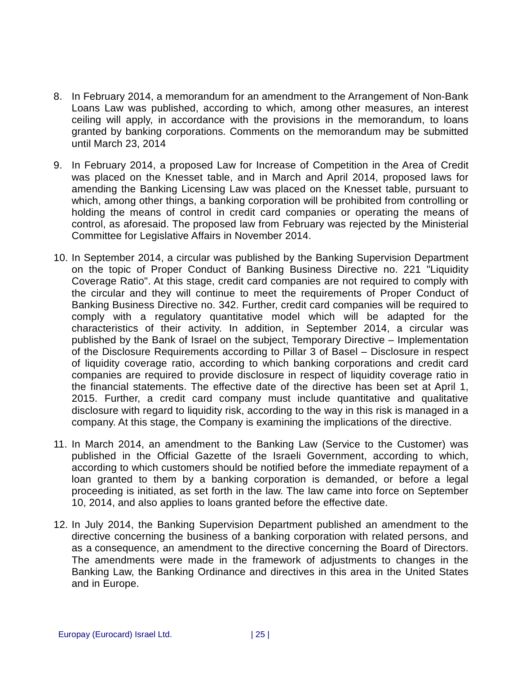- 8. In February 2014, a memorandum for an amendment to the Arrangement of Non-Bank Loans Law was published, according to which, among other measures, an interest ceiling will apply, in accordance with the provisions in the memorandum, to loans granted by banking corporations. Comments on the memorandum may be submitted until March 23, 2014
- 9. In February 2014, a proposed Law for Increase of Competition in the Area of Credit was placed on the Knesset table, and in March and April 2014, proposed laws for amending the Banking Licensing Law was placed on the Knesset table, pursuant to which, among other things, a banking corporation will be prohibited from controlling or holding the means of control in credit card companies or operating the means of control, as aforesaid. The proposed law from February was rejected by the Ministerial Committee for Legislative Affairs in November 2014.
- 10. In September 2014, a circular was published by the Banking Supervision Department on the topic of Proper Conduct of Banking Business Directive no. 221 "Liquidity Coverage Ratio". At this stage, credit card companies are not required to comply with the circular and they will continue to meet the requirements of Proper Conduct of Banking Business Directive no. 342. Further, credit card companies will be required to comply with a regulatory quantitative model which will be adapted for the characteristics of their activity. In addition, in September 2014, a circular was published by the Bank of Israel on the subject, Temporary Directive – Implementation of the Disclosure Requirements according to Pillar 3 of Basel – Disclosure in respect of liquidity coverage ratio, according to which banking corporations and credit card companies are required to provide disclosure in respect of liquidity coverage ratio in the financial statements. The effective date of the directive has been set at April 1, 2015. Further, a credit card company must include quantitative and qualitative disclosure with regard to liquidity risk, according to the way in this risk is managed in a company. At this stage, the Company is examining the implications of the directive.
- 11. In March 2014, an amendment to the Banking Law (Service to the Customer) was published in the Official Gazette of the Israeli Government, according to which, according to which customers should be notified before the immediate repayment of a loan granted to them by a banking corporation is demanded, or before a legal proceeding is initiated, as set forth in the law. The law came into force on September 10, 2014, and also applies to loans granted before the effective date.
- 12. In July 2014, the Banking Supervision Department published an amendment to the directive concerning the business of a banking corporation with related persons, and as a consequence, an amendment to the directive concerning the Board of Directors. The amendments were made in the framework of adjustments to changes in the Banking Law, the Banking Ordinance and directives in this area in the United States and in Europe.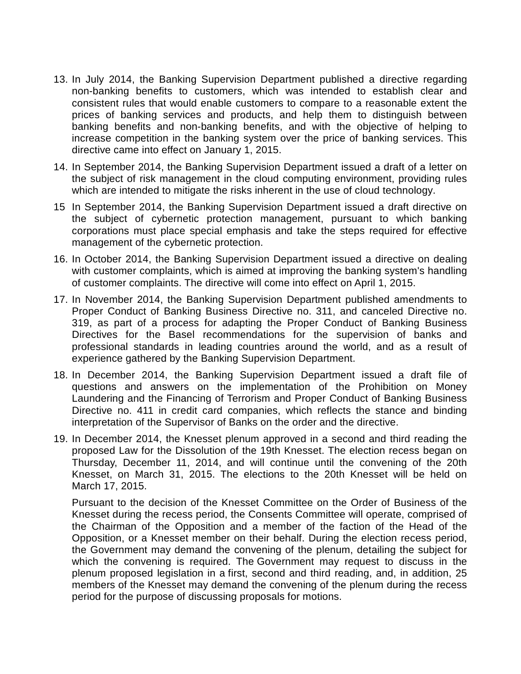- 13. In July 2014, the Banking Supervision Department published a directive regarding non-banking benefits to customers, which was intended to establish clear and consistent rules that would enable customers to compare to a reasonable extent the prices of banking services and products, and help them to distinguish between banking benefits and non-banking benefits, and with the objective of helping to increase competition in the banking system over the price of banking services. This directive came into effect on January 1, 2015.
- 14. In September 2014, the Banking Supervision Department issued a draft of a letter on the subject of risk management in the cloud computing environment, providing rules which are intended to mitigate the risks inherent in the use of cloud technology.
- 15 In September 2014, the Banking Supervision Department issued a draft directive on the subject of cybernetic protection management, pursuant to which banking corporations must place special emphasis and take the steps required for effective management of the cybernetic protection.
- 16. In October 2014, the Banking Supervision Department issued a directive on dealing with customer complaints, which is aimed at improving the banking system's handling of customer complaints. The directive will come into effect on April 1, 2015.
- 17. In November 2014, the Banking Supervision Department published amendments to Proper Conduct of Banking Business Directive no. 311, and canceled Directive no. 319, as part of a process for adapting the Proper Conduct of Banking Business Directives for the Basel recommendations for the supervision of banks and professional standards in leading countries around the world, and as a result of experience gathered by the Banking Supervision Department.
- 18. In December 2014, the Banking Supervision Department issued a draft file of questions and answers on the implementation of the Prohibition on Money Laundering and the Financing of Terrorism and Proper Conduct of Banking Business Directive no. 411 in credit card companies, which reflects the stance and binding interpretation of the Supervisor of Banks on the order and the directive.
- 19. In December 2014, the Knesset plenum approved in a second and third reading the proposed Law for the Dissolution of the 19th Knesset. The election recess began on Thursday, December 11, 2014, and will continue until the convening of the 20th Knesset, on March 31, 2015. The elections to the 20th Knesset will be held on March 17, 2015.

Pursuant to the decision of the Knesset Committee on the Order of Business of the Knesset during the recess period, the Consents Committee will operate, comprised of the Chairman of the Opposition and a member of the faction of the Head of the Opposition, or a Knesset member on their behalf. During the election recess period, the Government may demand the convening of the plenum, detailing the subject for which the convening is required. The Government may request to discuss in the plenum proposed legislation in a first, second and third reading, and, in addition, 25 members of the Knesset may demand the convening of the plenum during the recess period for the purpose of discussing proposals for motions.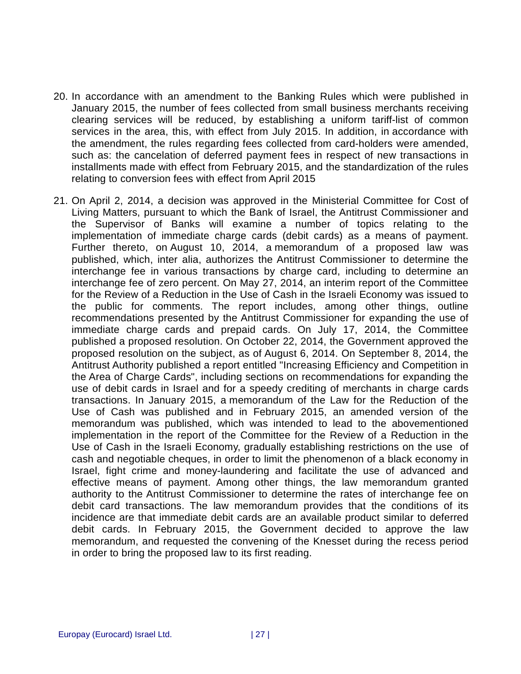- 20. In accordance with an amendment to the Banking Rules which were published in January 2015, the number of fees collected from small business merchants receiving clearing services will be reduced, by establishing a uniform tariff-list of common services in the area, this, with effect from July 2015. In addition, in accordance with the amendment, the rules regarding fees collected from card-holders were amended, such as: the cancelation of deferred payment fees in respect of new transactions in installments made with effect from February 2015, and the standardization of the rules relating to conversion fees with effect from April 2015
- 21. On April 2, 2014, a decision was approved in the Ministerial Committee for Cost of Living Matters, pursuant to which the Bank of Israel, the Antitrust Commissioner and the Supervisor of Banks will examine a number of topics relating to the implementation of immediate charge cards (debit cards) as a means of payment. Further thereto, on August 10, 2014, a memorandum of a proposed law was published, which, inter alia, authorizes the Antitrust Commissioner to determine the interchange fee in various transactions by charge card, including to determine an interchange fee of zero percent. On May 27, 2014, an interim report of the Committee for the Review of a Reduction in the Use of Cash in the Israeli Economy was issued to the public for comments. The report includes, among other things, outline recommendations presented by the Antitrust Commissioner for expanding the use of immediate charge cards and prepaid cards. On July 17, 2014, the Committee published a proposed resolution. On October 22, 2014, the Government approved the proposed resolution on the subject, as of August 6, 2014. On September 8, 2014, the Antitrust Authority published a report entitled "Increasing Efficiency and Competition in the Area of Charge Cards", including sections on recommendations for expanding the use of debit cards in Israel and for a speedy crediting of merchants in charge cards transactions. In January 2015, a memorandum of the Law for the Reduction of the Use of Cash was published and in February 2015, an amended version of the memorandum was published, which was intended to lead to the abovementioned implementation in the report of the Committee for the Review of a Reduction in the Use of Cash in the Israeli Economy, gradually establishing restrictions on the use of cash and negotiable cheques, in order to limit the phenomenon of a black economy in Israel, fight crime and money-laundering and facilitate the use of advanced and effective means of payment. Among other things, the law memorandum granted authority to the Antitrust Commissioner to determine the rates of interchange fee on debit card transactions. The law memorandum provides that the conditions of its incidence are that immediate debit cards are an available product similar to deferred debit cards. In February 2015, the Government decided to approve the law memorandum, and requested the convening of the Knesset during the recess period in order to bring the proposed law to its first reading.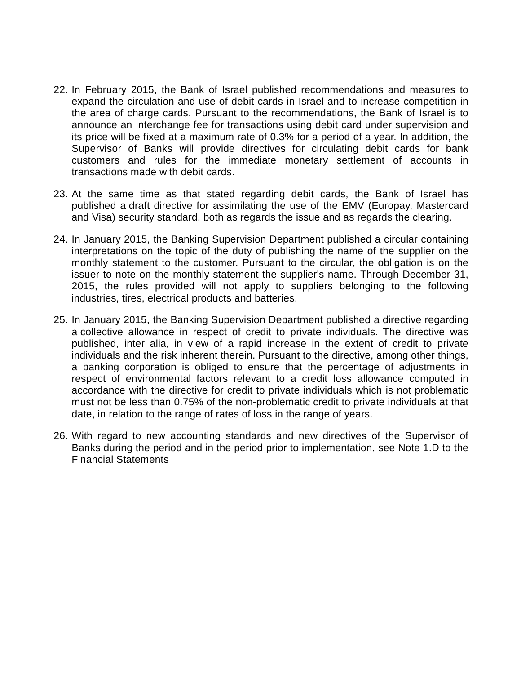- 22. In February 2015, the Bank of Israel published recommendations and measures to expand the circulation and use of debit cards in Israel and to increase competition in the area of charge cards. Pursuant to the recommendations, the Bank of Israel is to announce an interchange fee for transactions using debit card under supervision and its price will be fixed at a maximum rate of 0.3% for a period of a year. In addition, the Supervisor of Banks will provide directives for circulating debit cards for bank customers and rules for the immediate monetary settlement of accounts in transactions made with debit cards.
- 23. At the same time as that stated regarding debit cards, the Bank of Israel has published a draft directive for assimilating the use of the EMV (Europay, Mastercard and Visa) security standard, both as regards the issue and as regards the clearing.
- 24. In January 2015, the Banking Supervision Department published a circular containing interpretations on the topic of the duty of publishing the name of the supplier on the monthly statement to the customer. Pursuant to the circular, the obligation is on the issuer to note on the monthly statement the supplier's name. Through December 31, 2015, the rules provided will not apply to suppliers belonging to the following industries, tires, electrical products and batteries.
- 25. In January 2015, the Banking Supervision Department published a directive regarding a collective allowance in respect of credit to private individuals. The directive was published, inter alia, in view of a rapid increase in the extent of credit to private individuals and the risk inherent therein. Pursuant to the directive, among other things, a banking corporation is obliged to ensure that the percentage of adjustments in respect of environmental factors relevant to a credit loss allowance computed in accordance with the directive for credit to private individuals which is not problematic must not be less than 0.75% of the non-problematic credit to private individuals at that date, in relation to the range of rates of loss in the range of years.
- 26. With regard to new accounting standards and new directives of the Supervisor of Banks during the period and in the period prior to implementation, see Note 1.D to the Financial Statements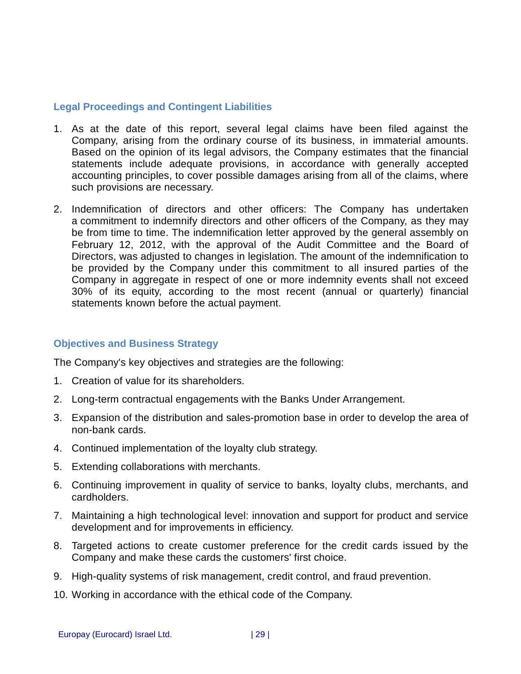### <span id="page-28-0"></span>**Legal Proceedings and Contingent Liabilities**

- 1. As at the date of this report, several legal claims have been filed against the Company, arising from the ordinary course of its business, in immaterial amounts. Based on the opinion of its legal advisors, the Company estimates that the financial statements include adequate provisions, in accordance with generally accepted accounting principles, to cover possible damages arising from all of the claims, where such provisions are necessary.
- 2. Indemnification of directors and other officers: The Company has undertaken a commitment to indemnify directors and other officers of the Company, as they may be from time to time. The indemnification letter approved by the general assembly on February 12, 2012, with the approval of the Audit Committee and the Board of Directors, was adjusted to changes in legislation. The amount of the indemnification to be provided by the Company under this commitment to all insured parties of the Company in aggregate in respect of one or more indemnity events shall not exceed 30% of its equity, according to the most recent (annual or quarterly) financial statements known before the actual payment.

### <span id="page-28-1"></span>**Objectives and Business Strategy**

The Company's key objectives and strategies are the following:

- 1. Creation of value for its shareholders.
- 2. Long-term contractual engagements with the Banks Under Arrangement.
- 3. Expansion of the distribution and sales-promotion base in order to develop the area of non-bank cards.
- 4. Continued implementation of the loyalty club strategy.
- 5. Extending collaborations with merchants.
- 6. Continuing improvement in quality of service to banks, loyalty clubs, merchants, and cardholders.
- 7. Maintaining a high technological level: innovation and support for product and service development and for improvements in efficiency.
- 8. Targeted actions to create customer preference for the credit cards issued by the Company and make these cards the customers' first choice.
- 9. High-quality systems of risk management, credit control, and fraud prevention.
- 10. Working in accordance with the ethical code of the Company.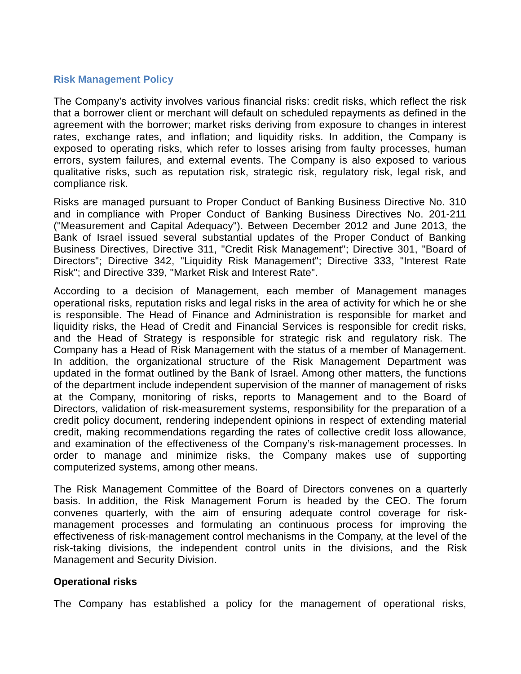#### <span id="page-29-0"></span>**Risk Management Policy**

The Company's activity involves various financial risks: credit risks, which reflect the risk that a borrower client or merchant will default on scheduled repayments as defined in the agreement with the borrower; market risks deriving from exposure to changes in interest rates, exchange rates, and inflation; and liquidity risks. In addition, the Company is exposed to operating risks, which refer to losses arising from faulty processes, human errors, system failures, and external events. The Company is also exposed to various qualitative risks, such as reputation risk, strategic risk, regulatory risk, legal risk, and compliance risk.

Risks are managed pursuant to Proper Conduct of Banking Business Directive No. 310 and in compliance with Proper Conduct of Banking Business Directives No. 201-211 ("Measurement and Capital Adequacy"). Between December 2012 and June 2013, the Bank of Israel issued several substantial updates of the Proper Conduct of Banking Business Directives, Directive 311, "Credit Risk Management"; Directive 301, "Board of Directors"; Directive 342, "Liquidity Risk Management"; Directive 333, "Interest Rate Risk"; and Directive 339, "Market Risk and Interest Rate".

According to a decision of Management, each member of Management manages operational risks, reputation risks and legal risks in the area of activity for which he or she is responsible. The Head of Finance and Administration is responsible for market and liquidity risks, the Head of Credit and Financial Services is responsible for credit risks, and the Head of Strategy is responsible for strategic risk and regulatory risk. The Company has a Head of Risk Management with the status of a member of Management. In addition, the organizational structure of the Risk Management Department was updated in the format outlined by the Bank of Israel. Among other matters, the functions of the department include independent supervision of the manner of management of risks at the Company, monitoring of risks, reports to Management and to the Board of Directors, validation of risk-measurement systems, responsibility for the preparation of a credit policy document, rendering independent opinions in respect of extending material credit, making recommendations regarding the rates of collective credit loss allowance, and examination of the effectiveness of the Company's risk-management processes. In order to manage and minimize risks, the Company makes use of supporting computerized systems, among other means.

The Risk Management Committee of the Board of Directors convenes on a quarterly basis. In addition, the Risk Management Forum is headed by the CEO. The forum convenes quarterly, with the aim of ensuring adequate control coverage for riskmanagement processes and formulating an continuous process for improving the effectiveness of risk-management control mechanisms in the Company, at the level of the risk-taking divisions, the independent control units in the divisions, and the Risk Management and Security Division.

#### **Operational risks**

The Company has established a policy for the management of operational risks,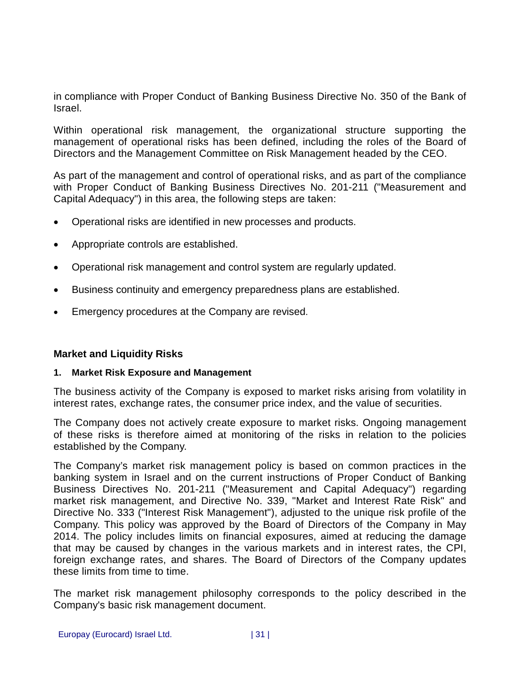in compliance with Proper Conduct of Banking Business Directive No. 350 of the Bank of Israel.

Within operational risk management, the organizational structure supporting the management of operational risks has been defined, including the roles of the Board of Directors and the Management Committee on Risk Management headed by the CEO.

As part of the management and control of operational risks, and as part of the compliance with Proper Conduct of Banking Business Directives No. 201-211 ("Measurement and Capital Adequacy") in this area, the following steps are taken:

- Operational risks are identified in new processes and products.
- Appropriate controls are established.
- Operational risk management and control system are regularly updated.
- Business continuity and emergency preparedness plans are established.
- Emergency procedures at the Company are revised.

### **Market and Liquidity Risks**

#### **1. Market Risk Exposure and Management**

The business activity of the Company is exposed to market risks arising from volatility in interest rates, exchange rates, the consumer price index, and the value of securities.

The Company does not actively create exposure to market risks. Ongoing management of these risks is therefore aimed at monitoring of the risks in relation to the policies established by the Company.

The Company's market risk management policy is based on common practices in the banking system in Israel and on the current instructions of Proper Conduct of Banking Business Directives No. 201-211 ("Measurement and Capital Adequacy") regarding market risk management, and Directive No. 339, "Market and Interest Rate Risk" and Directive No. 333 ("Interest Risk Management"), adjusted to the unique risk profile of the Company. This policy was approved by the Board of Directors of the Company in May 2014. The policy includes limits on financial exposures, aimed at reducing the damage that may be caused by changes in the various markets and in interest rates, the CPI, foreign exchange rates, and shares. The Board of Directors of the Company updates these limits from time to time.

The market risk management philosophy corresponds to the policy described in the Company's basic risk management document.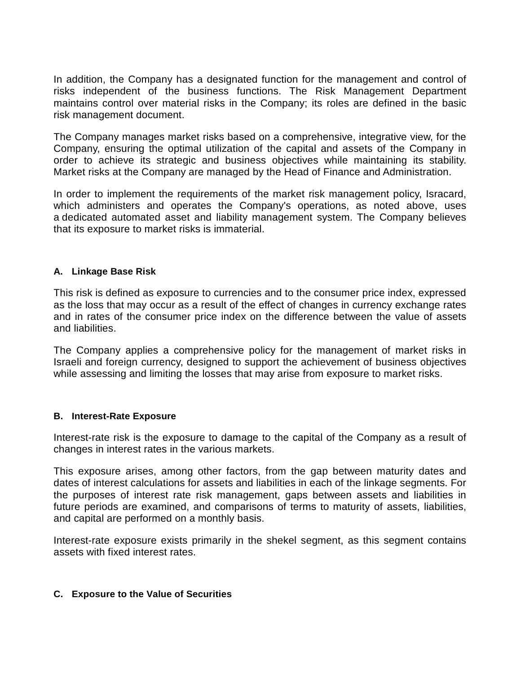In addition, the Company has a designated function for the management and control of risks independent of the business functions. The Risk Management Department maintains control over material risks in the Company; its roles are defined in the basic risk management document.

The Company manages market risks based on a comprehensive, integrative view, for the Company, ensuring the optimal utilization of the capital and assets of the Company in order to achieve its strategic and business objectives while maintaining its stability. Market risks at the Company are managed by the Head of Finance and Administration.

In order to implement the requirements of the market risk management policy, Isracard, which administers and operates the Company's operations, as noted above, uses a dedicated automated asset and liability management system. The Company believes that its exposure to market risks is immaterial.

#### **A. Linkage Base Risk**

This risk is defined as exposure to currencies and to the consumer price index, expressed as the loss that may occur as a result of the effect of changes in currency exchange rates and in rates of the consumer price index on the difference between the value of assets and liabilities.

The Company applies a comprehensive policy for the management of market risks in Israeli and foreign currency, designed to support the achievement of business objectives while assessing and limiting the losses that may arise from exposure to market risks.

#### **B. Interest-Rate Exposure**

Interest-rate risk is the exposure to damage to the capital of the Company as a result of changes in interest rates in the various markets.

This exposure arises, among other factors, from the gap between maturity dates and dates of interest calculations for assets and liabilities in each of the linkage segments. For the purposes of interest rate risk management, gaps between assets and liabilities in future periods are examined, and comparisons of terms to maturity of assets, liabilities, and capital are performed on a monthly basis.

Interest-rate exposure exists primarily in the shekel segment, as this segment contains assets with fixed interest rates.

#### **C. Exposure to the Value of Securities**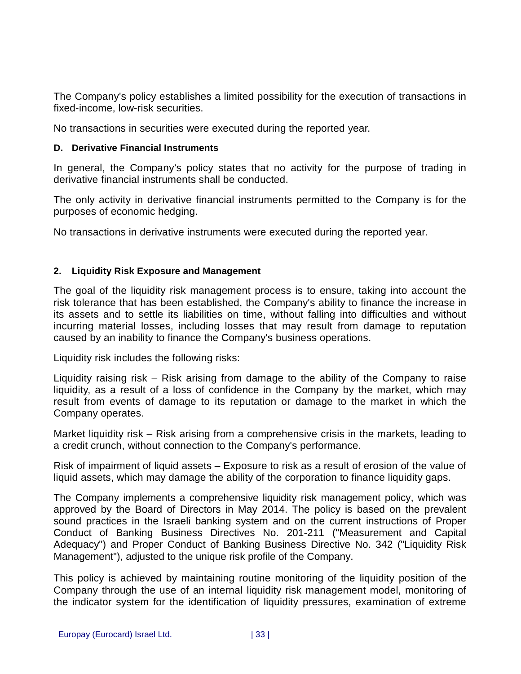The Company's policy establishes a limited possibility for the execution of transactions in fixed-income, low-risk securities.

No transactions in securities were executed during the reported year.

#### **D. Derivative Financial Instruments**

In general, the Company's policy states that no activity for the purpose of trading in derivative financial instruments shall be conducted.

The only activity in derivative financial instruments permitted to the Company is for the purposes of economic hedging.

No transactions in derivative instruments were executed during the reported year.

#### **2. Liquidity Risk Exposure and Management**

The goal of the liquidity risk management process is to ensure, taking into account the risk tolerance that has been established, the Company's ability to finance the increase in its assets and to settle its liabilities on time, without falling into difficulties and without incurring material losses, including losses that may result from damage to reputation caused by an inability to finance the Company's business operations.

Liquidity risk includes the following risks:

Liquidity raising risk – Risk arising from damage to the ability of the Company to raise liquidity, as a result of a loss of confidence in the Company by the market, which may result from events of damage to its reputation or damage to the market in which the Company operates.

Market liquidity risk – Risk arising from a comprehensive crisis in the markets, leading to a credit crunch, without connection to the Company's performance.

Risk of impairment of liquid assets – Exposure to risk as a result of erosion of the value of liquid assets, which may damage the ability of the corporation to finance liquidity gaps.

The Company implements a comprehensive liquidity risk management policy, which was approved by the Board of Directors in May 2014. The policy is based on the prevalent sound practices in the Israeli banking system and on the current instructions of Proper Conduct of Banking Business Directives No. 201-211 ("Measurement and Capital Adequacy") and Proper Conduct of Banking Business Directive No. 342 ("Liquidity Risk Management"), adjusted to the unique risk profile of the Company.

This policy is achieved by maintaining routine monitoring of the liquidity position of the Company through the use of an internal liquidity risk management model, monitoring of the indicator system for the identification of liquidity pressures, examination of extreme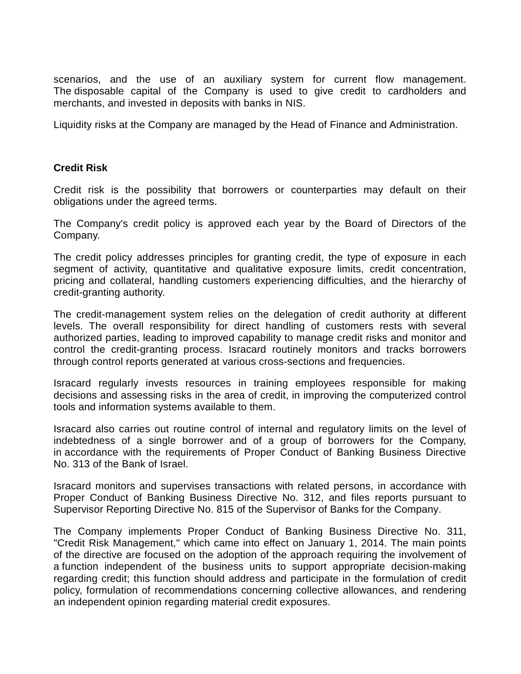scenarios, and the use of an auxiliary system for current flow management. The disposable capital of the Company is used to give credit to cardholders and merchants, and invested in deposits with banks in NIS.

Liquidity risks at the Company are managed by the Head of Finance and Administration.

#### **Credit Risk**

Credit risk is the possibility that borrowers or counterparties may default on their obligations under the agreed terms.

The Company's credit policy is approved each year by the Board of Directors of the Company.

The credit policy addresses principles for granting credit, the type of exposure in each segment of activity, quantitative and qualitative exposure limits, credit concentration, pricing and collateral, handling customers experiencing difficulties, and the hierarchy of credit-granting authority.

The credit-management system relies on the delegation of credit authority at different levels. The overall responsibility for direct handling of customers rests with several authorized parties, leading to improved capability to manage credit risks and monitor and control the credit-granting process. Isracard routinely monitors and tracks borrowers through control reports generated at various cross-sections and frequencies.

Isracard regularly invests resources in training employees responsible for making decisions and assessing risks in the area of credit, in improving the computerized control tools and information systems available to them.

Isracard also carries out routine control of internal and regulatory limits on the level of indebtedness of a single borrower and of a group of borrowers for the Company, in accordance with the requirements of Proper Conduct of Banking Business Directive No. 313 of the Bank of Israel.

Isracard monitors and supervises transactions with related persons, in accordance with Proper Conduct of Banking Business Directive No. 312, and files reports pursuant to Supervisor Reporting Directive No. 815 of the Supervisor of Banks for the Company.

The Company implements Proper Conduct of Banking Business Directive No. 311, "Credit Risk Management," which came into effect on January 1, 2014. The main points of the directive are focused on the adoption of the approach requiring the involvement of a function independent of the business units to support appropriate decision-making regarding credit; this function should address and participate in the formulation of credit policy, formulation of recommendations concerning collective allowances, and rendering an independent opinion regarding material credit exposures.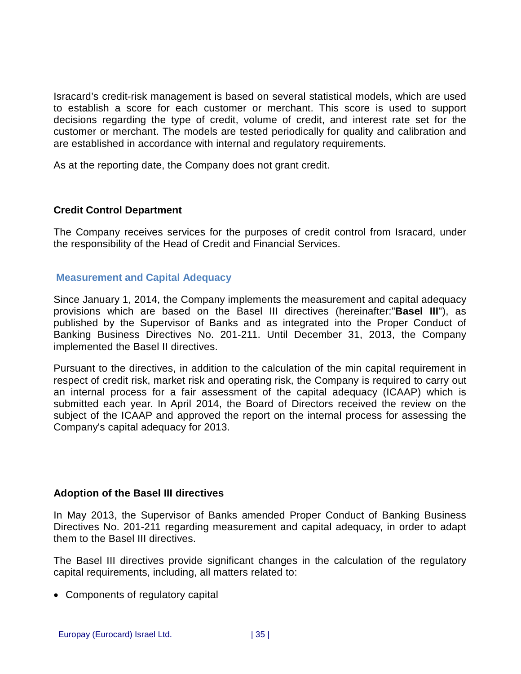Isracard's credit-risk management is based on several statistical models, which are used to establish a score for each customer or merchant. This score is used to support decisions regarding the type of credit, volume of credit, and interest rate set for the customer or merchant. The models are tested periodically for quality and calibration and are established in accordance with internal and regulatory requirements.

As at the reporting date, the Company does not grant credit.

### **Credit Control Department**

The Company receives services for the purposes of credit control from Isracard, under the responsibility of the Head of Credit and Financial Services.

# <span id="page-34-0"></span>**Measurement and Capital Adequacy**

Since January 1, 2014, the Company implements the measurement and capital adequacy provisions which are based on the Basel III directives (hereinafter:"**Basel III**"), as published by the Supervisor of Banks and as integrated into the Proper Conduct of Banking Business Directives No. 201-211. Until December 31, 2013, the Company implemented the Basel II directives.

Pursuant to the directives, in addition to the calculation of the min capital requirement in respect of credit risk, market risk and operating risk, the Company is required to carry out an internal process for a fair assessment of the capital adequacy (ICAAP) which is submitted each year. In April 2014, the Board of Directors received the review on the subject of the ICAAP and approved the report on the internal process for assessing the Company's capital adequacy for 2013.

### **Adoption of the Basel III directives**

In May 2013, the Supervisor of Banks amended Proper Conduct of Banking Business Directives No. 201-211 regarding measurement and capital adequacy, in order to adapt them to the Basel III directives.

The Basel III directives provide significant changes in the calculation of the regulatory capital requirements, including, all matters related to:

• Components of regulatory capital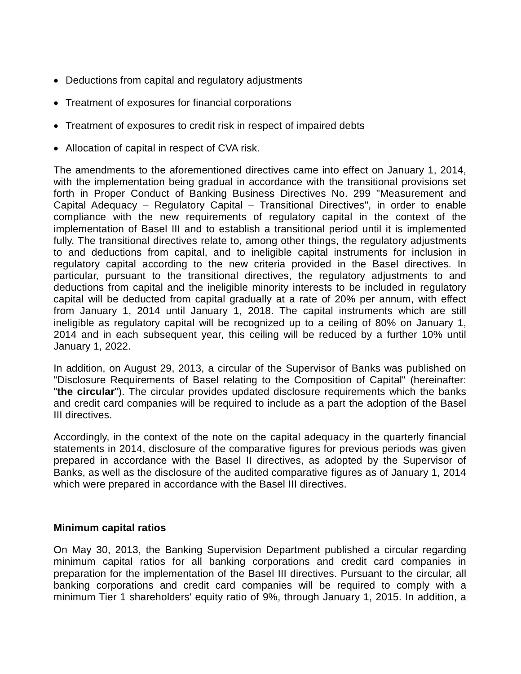- Deductions from capital and regulatory adjustments
- Treatment of exposures for financial corporations
- Treatment of exposures to credit risk in respect of impaired debts
- Allocation of capital in respect of CVA risk.

The amendments to the aforementioned directives came into effect on January 1, 2014, with the implementation being gradual in accordance with the transitional provisions set forth in Proper Conduct of Banking Business Directives No. 299 "Measurement and Capital Adequacy – Regulatory Capital – Transitional Directives", in order to enable compliance with the new requirements of regulatory capital in the context of the implementation of Basel III and to establish a transitional period until it is implemented fully. The transitional directives relate to, among other things, the regulatory adjustments to and deductions from capital, and to ineligible capital instruments for inclusion in regulatory capital according to the new criteria provided in the Basel directives. In particular, pursuant to the transitional directives, the regulatory adjustments to and deductions from capital and the ineligible minority interests to be included in regulatory capital will be deducted from capital gradually at a rate of 20% per annum, with effect from January 1, 2014 until January 1, 2018. The capital instruments which are still ineligible as regulatory capital will be recognized up to a ceiling of 80% on January 1, 2014 and in each subsequent year, this ceiling will be reduced by a further 10% until January 1, 2022.

In addition, on August 29, 2013, a circular of the Supervisor of Banks was published on "Disclosure Requirements of Basel relating to the Composition of Capital" (hereinafter: "**the circular**"). The circular provides updated disclosure requirements which the banks and credit card companies will be required to include as a part the adoption of the Basel III directives.

Accordingly, in the context of the note on the capital adequacy in the quarterly financial statements in 2014, disclosure of the comparative figures for previous periods was given prepared in accordance with the Basel II directives, as adopted by the Supervisor of Banks, as well as the disclosure of the audited comparative figures as of January 1, 2014 which were prepared in accordance with the Basel III directives.

#### **Minimum capital ratios**

On May 30, 2013, the Banking Supervision Department published a circular regarding minimum capital ratios for all banking corporations and credit card companies in preparation for the implementation of the Basel III directives. Pursuant to the circular, all banking corporations and credit card companies will be required to comply with a minimum Tier 1 shareholders' equity ratio of 9%, through January 1, 2015. In addition, a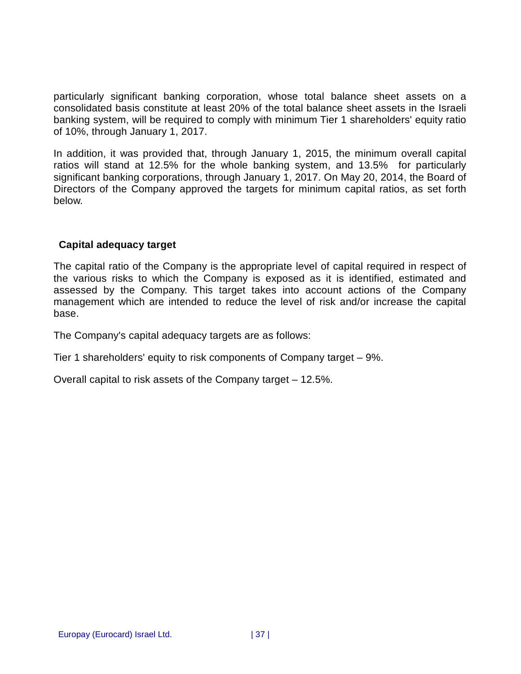particularly significant banking corporation, whose total balance sheet assets on a consolidated basis constitute at least 20% of the total balance sheet assets in the Israeli banking system, will be required to comply with minimum Tier 1 shareholders' equity ratio of 10%, through January 1, 2017.

In addition, it was provided that, through January 1, 2015, the minimum overall capital ratios will stand at 12.5% for the whole banking system, and 13.5% for particularly significant banking corporations, through January 1, 2017. On May 20, 2014, the Board of Directors of the Company approved the targets for minimum capital ratios, as set forth below.

# **Capital adequacy target**

The capital ratio of the Company is the appropriate level of capital required in respect of the various risks to which the Company is exposed as it is identified, estimated and assessed by the Company. This target takes into account actions of the Company management which are intended to reduce the level of risk and/or increase the capital base.

The Company's capital adequacy targets are as follows:

Tier 1 shareholders' equity to risk components of Company target – 9%.

Overall capital to risk assets of the Company target – 12.5%.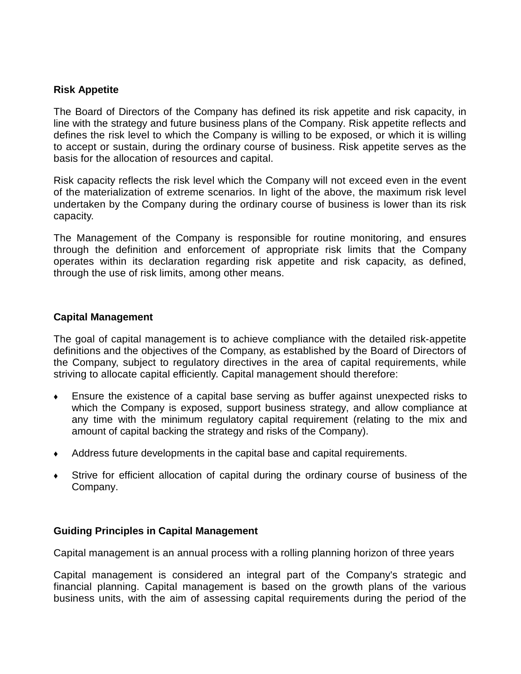# **Risk Appetite**

The Board of Directors of the Company has defined its risk appetite and risk capacity, in line with the strategy and future business plans of the Company. Risk appetite reflects and defines the risk level to which the Company is willing to be exposed, or which it is willing to accept or sustain, during the ordinary course of business. Risk appetite serves as the basis for the allocation of resources and capital.

Risk capacity reflects the risk level which the Company will not exceed even in the event of the materialization of extreme scenarios. In light of the above, the maximum risk level undertaken by the Company during the ordinary course of business is lower than its risk capacity.

The Management of the Company is responsible for routine monitoring, and ensures through the definition and enforcement of appropriate risk limits that the Company operates within its declaration regarding risk appetite and risk capacity, as defined, through the use of risk limits, among other means.

#### **Capital Management**

The goal of capital management is to achieve compliance with the detailed risk-appetite definitions and the objectives of the Company, as established by the Board of Directors of the Company, subject to regulatory directives in the area of capital requirements, while striving to allocate capital efficiently. Capital management should therefore:

- ♦ Ensure the existence of a capital base serving as buffer against unexpected risks to which the Company is exposed, support business strategy, and allow compliance at any time with the minimum regulatory capital requirement (relating to the mix and amount of capital backing the strategy and risks of the Company).
- ♦ Address future developments in the capital base and capital requirements.
- ♦ Strive for efficient allocation of capital during the ordinary course of business of the Company.

# **Guiding Principles in Capital Management**

Capital management is an annual process with a rolling planning horizon of three years

Capital management is considered an integral part of the Company's strategic and financial planning. Capital management is based on the growth plans of the various business units, with the aim of assessing capital requirements during the period of the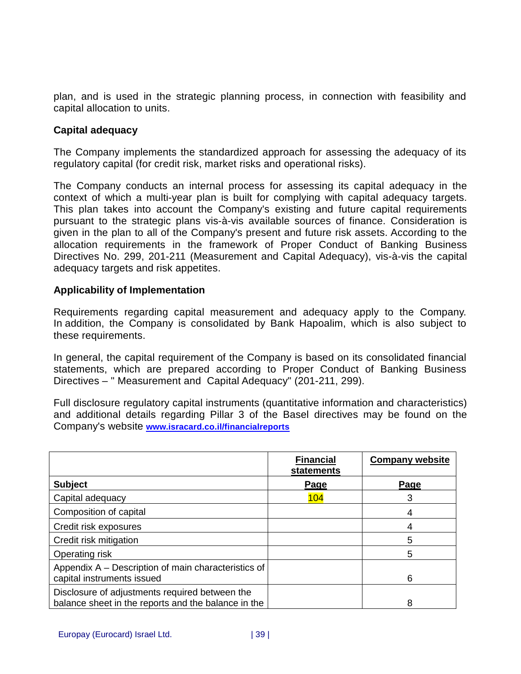plan, and is used in the strategic planning process, in connection with feasibility and capital allocation to units.

# **Capital adequacy**

The Company implements the standardized approach for assessing the adequacy of its regulatory capital (for credit risk, market risks and operational risks).

The Company conducts an internal process for assessing its capital adequacy in the context of which a multi-year plan is built for complying with capital adequacy targets. This plan takes into account the Company's existing and future capital requirements pursuant to the strategic plans vis-à-vis available sources of finance. Consideration is given in the plan to all of the Company's present and future risk assets. According to the allocation requirements in the framework of Proper Conduct of Banking Business Directives No. 299, 201-211 (Measurement and Capital Adequacy), vis-à-vis the capital adequacy targets and risk appetites.

# **Applicability of Implementation**

Requirements regarding capital measurement and adequacy apply to the Company. In addition, the Company is consolidated by Bank Hapoalim, which is also subject to these requirements.

In general, the capital requirement of the Company is based on its consolidated financial statements, which are prepared according to Proper Conduct of Banking Business Directives – " Measurement and Capital Adequacy" (201-211, 299).

Full disclosure regulatory capital instruments (quantitative information and characteristics) and additional details regarding Pillar 3 of the Basel directives may be found on the Company's website **[www.isracard.co.il/financialreports](http://www.isracard.co.il/financialreports)**

|                                                                                                       | <b>Financial</b><br>statements | <b>Company website</b> |
|-------------------------------------------------------------------------------------------------------|--------------------------------|------------------------|
| <b>Subject</b>                                                                                        | Page                           | Page                   |
| Capital adequacy                                                                                      | 104                            | 3                      |
| Composition of capital                                                                                |                                | 4                      |
| Credit risk exposures                                                                                 |                                | 4                      |
| Credit risk mitigation                                                                                |                                | 5                      |
| Operating risk                                                                                        |                                | 5                      |
| Appendix A – Description of main characteristics of<br>capital instruments issued                     |                                | 6                      |
| Disclosure of adjustments required between the<br>balance sheet in the reports and the balance in the |                                | 8                      |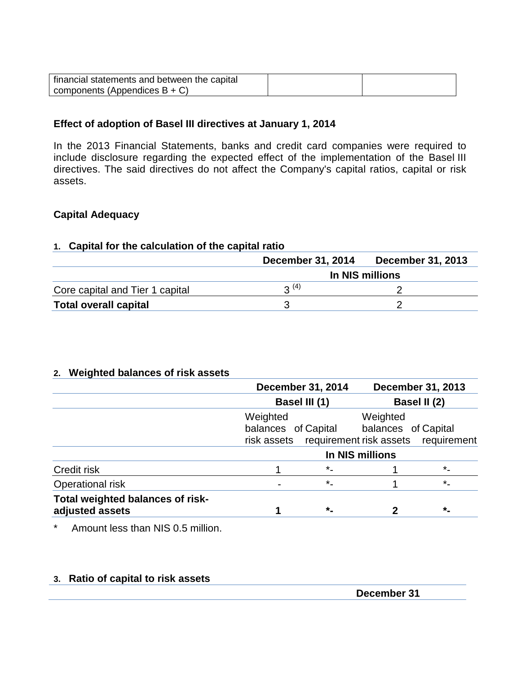| financial statements and between the capital |  |
|----------------------------------------------|--|
| components (Appendices $B + C$ )             |  |

## **Effect of adoption of Basel III directives at January 1, 2014**

In the 2013 Financial Statements, banks and credit card companies were required to include disclosure regarding the expected effect of the implementation of the Basel III directives. The said directives do not affect the Company's capital ratios, capital or risk assets.

#### **Capital Adequacy**

#### **1. Capital for the calculation of the capital ratio**

|                                 | <b>December 31, 2014</b> | <b>December 31, 2013</b> |
|---------------------------------|--------------------------|--------------------------|
|                                 |                          | In NIS millions          |
| Core capital and Tier 1 capital | $2^{(4)}$                |                          |
| <b>Total overall capital</b>    |                          |                          |

#### **2. Weighted balances of risk assets**

|                                                     |          | <b>December 31, 2014</b> |                                 | <b>December 31, 2013</b>                        |
|-----------------------------------------------------|----------|--------------------------|---------------------------------|-------------------------------------------------|
|                                                     |          | Basel III (1)            |                                 | Basel II (2)                                    |
|                                                     | Weighted | balances of Capital      | Weighted<br>balances of Capital | risk assets requirement risk assets requirement |
|                                                     |          |                          | In NIS millions                 |                                                 |
| Credit risk                                         |          | $^{\star}$ .             |                                 | $\star$                                         |
| Operational risk                                    |          | $\star$                  |                                 | $\star$                                         |
| Total weighted balances of risk-<br>adjusted assets |          | $\star$                  |                                 | $\star$                                         |

\* Amount less than NIS 0.5 million.

# **3. Ratio of capital to risk assets**

**December 31**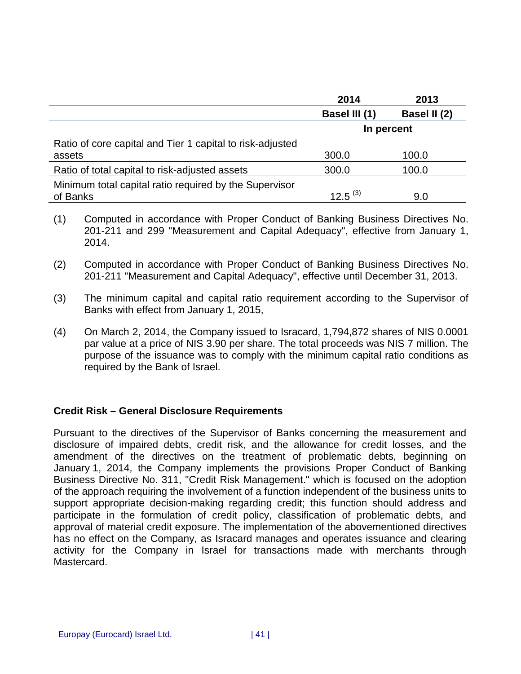|                                                                     | 2014          | 2013         |
|---------------------------------------------------------------------|---------------|--------------|
|                                                                     | Basel III (1) | Basel II (2) |
|                                                                     |               | In percent   |
| Ratio of core capital and Tier 1 capital to risk-adjusted<br>assets | 300.0         | 100.0        |
| Ratio of total capital to risk-adjusted assets                      | 300.0         | 100.0        |
| Minimum total capital ratio required by the Supervisor<br>of Banks  | $12.5^{(3)}$  | 9.0          |

- (1) Computed in accordance with Proper Conduct of Banking Business Directives No. 201-211 and 299 "Measurement and Capital Adequacy", effective from January 1, 2014.
- (2) Computed in accordance with Proper Conduct of Banking Business Directives No. 201-211 "Measurement and Capital Adequacy", effective until December 31, 2013.
- (3) The minimum capital and capital ratio requirement according to the Supervisor of Banks with effect from January 1, 2015,
- (4) On March 2, 2014, the Company issued to Isracard, 1,794,872 shares of NIS 0.0001 par value at a price of NIS 3.90 per share. The total proceeds was NIS 7 million. The purpose of the issuance was to comply with the minimum capital ratio conditions as required by the Bank of Israel.

# **Credit Risk – General Disclosure Requirements**

Pursuant to the directives of the Supervisor of Banks concerning the measurement and disclosure of impaired debts, credit risk, and the allowance for credit losses, and the amendment of the directives on the treatment of problematic debts, beginning on January 1, 2014, the Company implements the provisions Proper Conduct of Banking Business Directive No. 311, "Credit Risk Management." which is focused on the adoption of the approach requiring the involvement of a function independent of the business units to support appropriate decision-making regarding credit; this function should address and participate in the formulation of credit policy, classification of problematic debts, and approval of material credit exposure. The implementation of the abovementioned directives has no effect on the Company, as Isracard manages and operates issuance and clearing activity for the Company in Israel for transactions made with merchants through Mastercard.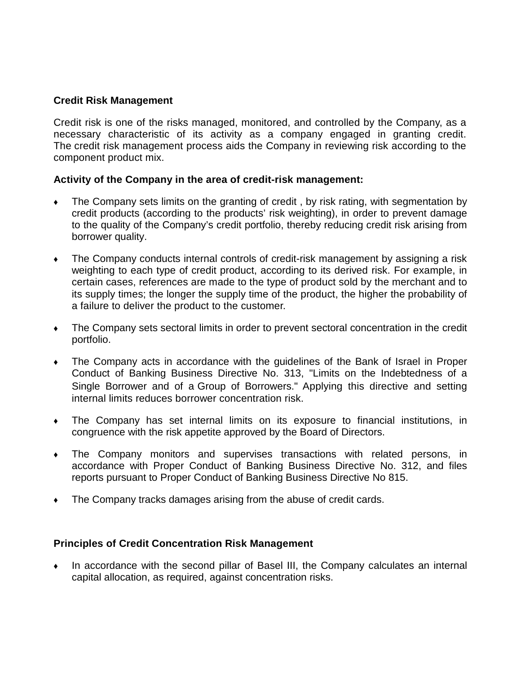# **Credit Risk Management**

Credit risk is one of the risks managed, monitored, and controlled by the Company, as a necessary characteristic of its activity as a company engaged in granting credit. The credit risk management process aids the Company in reviewing risk according to the component product mix.

# **Activity of the Company in the area of credit-risk management:**

- ♦ The Company sets limits on the granting of credit , by risk rating, with segmentation by credit products (according to the products' risk weighting), in order to prevent damage to the quality of the Company's credit portfolio, thereby reducing credit risk arising from borrower quality.
- ♦ The Company conducts internal controls of credit-risk management by assigning a risk weighting to each type of credit product, according to its derived risk. For example, in certain cases, references are made to the type of product sold by the merchant and to its supply times; the longer the supply time of the product, the higher the probability of a failure to deliver the product to the customer.
- ♦ The Company sets sectoral limits in order to prevent sectoral concentration in the credit portfolio.
- ♦ The Company acts in accordance with the guidelines of the Bank of Israel in Proper Conduct of Banking Business Directive No. 313, "Limits on the Indebtedness of a Single Borrower and of a Group of Borrowers." Applying this directive and setting internal limits reduces borrower concentration risk.
- ♦ The Company has set internal limits on its exposure to financial institutions, in congruence with the risk appetite approved by the Board of Directors.
- ♦ The Company monitors and supervises transactions with related persons, in accordance with Proper Conduct of Banking Business Directive No. 312, and files reports pursuant to Proper Conduct of Banking Business Directive No 815.
- ♦ The Company tracks damages arising from the abuse of credit cards.

# **Principles of Credit Concentration Risk Management**

♦ In accordance with the second pillar of Basel III, the Company calculates an internal capital allocation, as required, against concentration risks.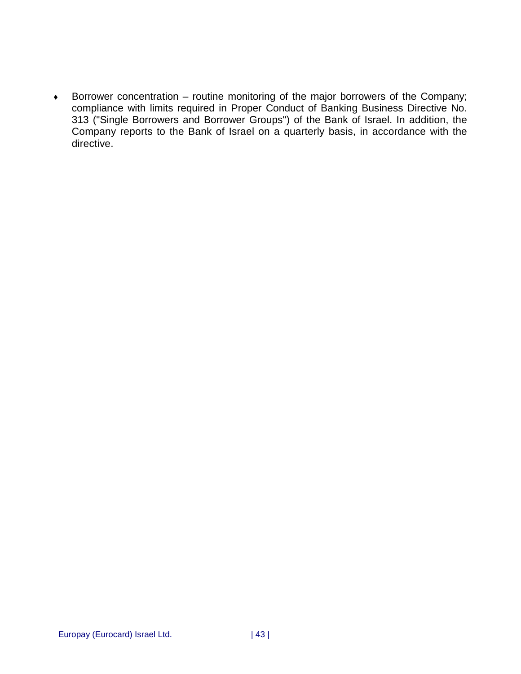♦ Borrower concentration – routine monitoring of the major borrowers of the Company; compliance with limits required in Proper Conduct of Banking Business Directive No. 313 ("Single Borrowers and Borrower Groups") of the Bank of Israel. In addition, the Company reports to the Bank of Israel on a quarterly basis, in accordance with the directive.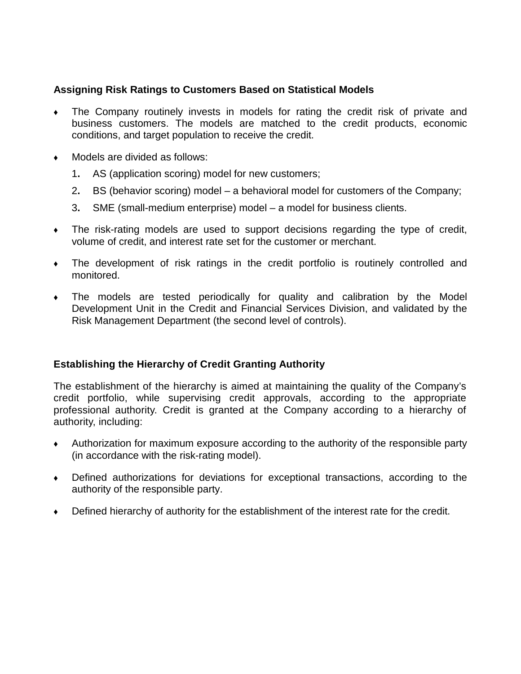# **Assigning Risk Ratings to Customers Based on Statistical Models**

- ♦ The Company routinely invests in models for rating the credit risk of private and business customers. The models are matched to the credit products, economic conditions, and target population to receive the credit.
- ♦ Models are divided as follows:
	- 1**.** AS (application scoring) model for new customers;
	- 2**.** BS (behavior scoring) model a behavioral model for customers of the Company;
	- 3**.** SME (small-medium enterprise) model a model for business clients.
- $\bullet$  The risk-rating models are used to support decisions regarding the type of credit, volume of credit, and interest rate set for the customer or merchant.
- The development of risk ratings in the credit portfolio is routinely controlled and monitored.
- ♦ The models are tested periodically for quality and calibration by the Model Development Unit in the Credit and Financial Services Division, and validated by the Risk Management Department (the second level of controls).

# **Establishing the Hierarchy of Credit Granting Authority**

The establishment of the hierarchy is aimed at maintaining the quality of the Company's credit portfolio, while supervising credit approvals, according to the appropriate professional authority. Credit is granted at the Company according to a hierarchy of authority, including:

- ♦ Authorization for maximum exposure according to the authority of the responsible party (in accordance with the risk-rating model).
- ♦ Defined authorizations for deviations for exceptional transactions, according to the authority of the responsible party.
- ♦ Defined hierarchy of authority for the establishment of the interest rate for the credit.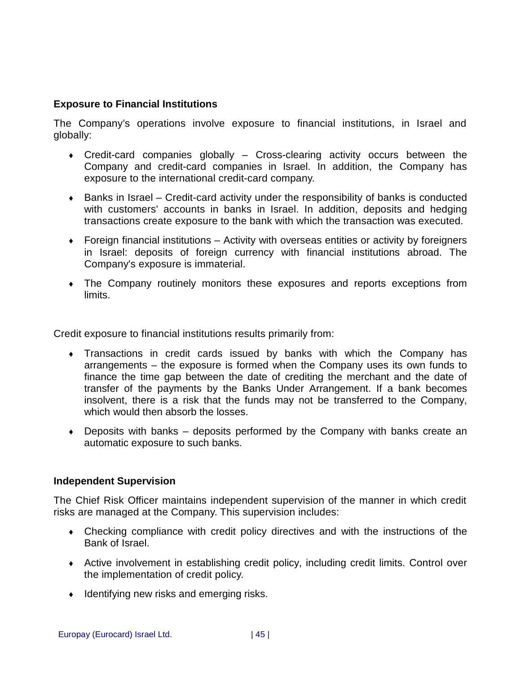# **Exposure to Financial Institutions**

The Company's operations involve exposure to financial institutions, in Israel and globally:

- $\bullet$  Credit-card companies globally Cross-clearing activity occurs between the Company and credit-card companies in Israel. In addition, the Company has exposure to the international credit-card company.
- $\bullet$  Banks in Israel Credit-card activity under the responsibility of banks is conducted with customers' accounts in banks in Israel. In addition, deposits and hedging transactions create exposure to the bank with which the transaction was executed.
- $\bullet$  Foreign financial institutions Activity with overseas entities or activity by foreigners in Israel: deposits of foreign currency with financial institutions abroad. The Company's exposure is immaterial.
- The Company routinely monitors these exposures and reports exceptions from limits.

Credit exposure to financial institutions results primarily from:

- ♦ Transactions in credit cards issued by banks with which the Company has arrangements – the exposure is formed when the Company uses its own funds to finance the time gap between the date of crediting the merchant and the date of transfer of the payments by the Banks Under Arrangement. If a bank becomes insolvent, there is a risk that the funds may not be transferred to the Company, which would then absorb the losses.
- $\bullet$  Deposits with banks deposits performed by the Company with banks create an automatic exposure to such banks.

# **Independent Supervision**

The Chief Risk Officer maintains independent supervision of the manner in which credit risks are managed at the Company. This supervision includes:

- ♦ Checking compliance with credit policy directives and with the instructions of the Bank of Israel.
- ♦ Active involvement in establishing credit policy, including credit limits. Control over the implementation of credit policy.
- $\bullet$  Identifying new risks and emerging risks.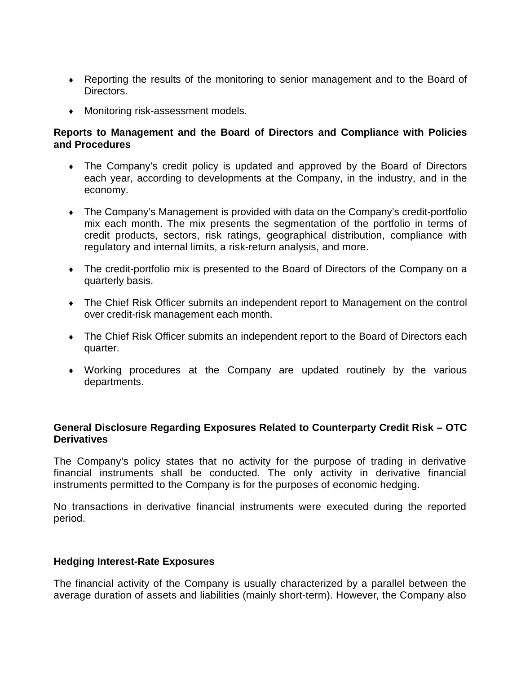- ♦ Reporting the results of the monitoring to senior management and to the Board of Directors.
- ♦ Monitoring risk-assessment models.

# **Reports to Management and the Board of Directors and Compliance with Policies and Procedures**

- The Company's credit policy is updated and approved by the Board of Directors each year, according to developments at the Company, in the industry, and in the economy.
- The Company's Management is provided with data on the Company's credit-portfolio mix each month. The mix presents the segmentation of the portfolio in terms of credit products, sectors, risk ratings, geographical distribution, compliance with regulatory and internal limits, a risk-return analysis, and more.
- The credit-portfolio mix is presented to the Board of Directors of the Company on a quarterly basis.
- The Chief Risk Officer submits an independent report to Management on the control over credit-risk management each month.
- The Chief Risk Officer submits an independent report to the Board of Directors each quarter.
- ♦ Working procedures at the Company are updated routinely by the various departments.

# **General Disclosure Regarding Exposures Related to Counterparty Credit Risk – OTC Derivatives**

The Company's policy states that no activity for the purpose of trading in derivative financial instruments shall be conducted. The only activity in derivative financial instruments permitted to the Company is for the purposes of economic hedging.

No transactions in derivative financial instruments were executed during the reported period.

# **Hedging Interest-Rate Exposures**

The financial activity of the Company is usually characterized by a parallel between the average duration of assets and liabilities (mainly short-term). However, the Company also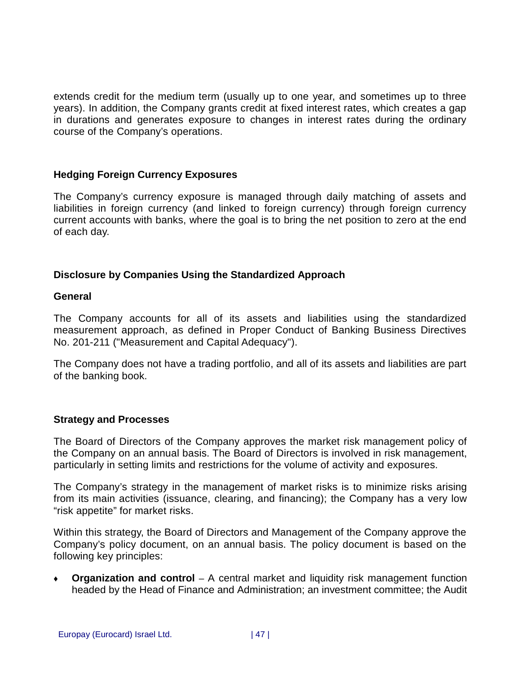extends credit for the medium term (usually up to one year, and sometimes up to three years). In addition, the Company grants credit at fixed interest rates, which creates a gap in durations and generates exposure to changes in interest rates during the ordinary course of the Company's operations.

# **Hedging Foreign Currency Exposures**

The Company's currency exposure is managed through daily matching of assets and liabilities in foreign currency (and linked to foreign currency) through foreign currency current accounts with banks, where the goal is to bring the net position to zero at the end of each day.

# **Disclosure by Companies Using the Standardized Approach**

#### **General**

The Company accounts for all of its assets and liabilities using the standardized measurement approach, as defined in Proper Conduct of Banking Business Directives No. 201-211 ("Measurement and Capital Adequacy").

The Company does not have a trading portfolio, and all of its assets and liabilities are part of the banking book.

# **Strategy and Processes**

The Board of Directors of the Company approves the market risk management policy of the Company on an annual basis. The Board of Directors is involved in risk management, particularly in setting limits and restrictions for the volume of activity and exposures.

The Company's strategy in the management of market risks is to minimize risks arising from its main activities (issuance, clearing, and financing); the Company has a very low "risk appetite" for market risks.

Within this strategy, the Board of Directors and Management of the Company approve the Company's policy document, on an annual basis. The policy document is based on the following key principles:

**Organization and control** – A central market and liquidity risk management function headed by the Head of Finance and Administration; an investment committee; the Audit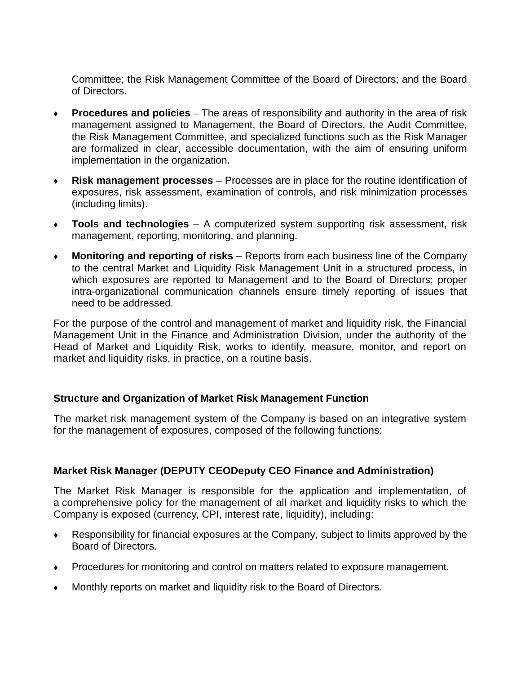Committee; the Risk Management Committee of the Board of Directors; and the Board of Directors.

- ♦ **Procedures and policies** The areas of responsibility and authority in the area of risk management assigned to Management, the Board of Directors, the Audit Committee, the Risk Management Committee, and specialized functions such as the Risk Manager are formalized in clear, accessible documentation, with the aim of ensuring uniform implementation in the organization.
- ♦ **Risk management processes** Processes are in place for the routine identification of exposures, risk assessment, examination of controls, and risk minimization processes (including limits).
- ♦ **Tools and technologies** A computerized system supporting risk assessment, risk management, reporting, monitoring, and planning.
- ♦ **Monitoring and reporting of risks** Reports from each business line of the Company to the central Market and Liquidity Risk Management Unit in a structured process, in which exposures are reported to Management and to the Board of Directors; proper intra-organizational communication channels ensure timely reporting of issues that need to be addressed.

For the purpose of the control and management of market and liquidity risk, the Financial Management Unit in the Finance and Administration Division, under the authority of the Head of Market and Liquidity Risk, works to identify, measure, monitor, and report on market and liquidity risks, in practice, on a routine basis.

# **Structure and Organization of Market Risk Management Function**

The market risk management system of the Company is based on an integrative system for the management of exposures, composed of the following functions:

# **Market Risk Manager (DEPUTY CEODeputy CEO Finance and Administration)**

The Market Risk Manager is responsible for the application and implementation, of a comprehensive policy for the management of all market and liquidity risks to which the Company is exposed (currency, CPI, interest rate, liquidity), including:

- ♦ Responsibility for financial exposures at the Company, subject to limits approved by the Board of Directors.
- ♦ Procedures for monitoring and control on matters related to exposure management.
- Monthly reports on market and liquidity risk to the Board of Directors.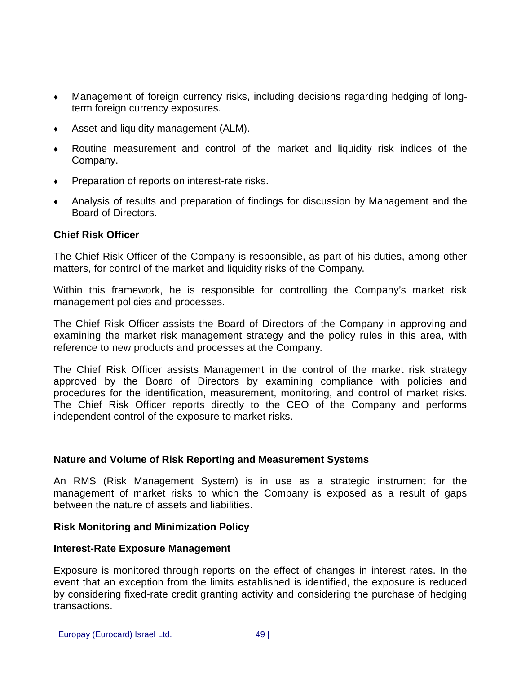- ♦ Management of foreign currency risks, including decisions regarding hedging of longterm foreign currency exposures.
- ♦ Asset and liquidity management (ALM).
- ♦ Routine measurement and control of the market and liquidity risk indices of the Company.
- ♦ Preparation of reports on interest-rate risks.
- ♦ Analysis of results and preparation of findings for discussion by Management and the Board of Directors.

# **Chief Risk Officer**

The Chief Risk Officer of the Company is responsible, as part of his duties, among other matters, for control of the market and liquidity risks of the Company.

Within this framework, he is responsible for controlling the Company's market risk management policies and processes.

The Chief Risk Officer assists the Board of Directors of the Company in approving and examining the market risk management strategy and the policy rules in this area, with reference to new products and processes at the Company.

The Chief Risk Officer assists Management in the control of the market risk strategy approved by the Board of Directors by examining compliance with policies and procedures for the identification, measurement, monitoring, and control of market risks. The Chief Risk Officer reports directly to the CEO of the Company and performs independent control of the exposure to market risks.

# **Nature and Volume of Risk Reporting and Measurement Systems**

An RMS (Risk Management System) is in use as a strategic instrument for the management of market risks to which the Company is exposed as a result of gaps between the nature of assets and liabilities.

# **Risk Monitoring and Minimization Policy**

# **Interest-Rate Exposure Management**

Exposure is monitored through reports on the effect of changes in interest rates. In the event that an exception from the limits established is identified, the exposure is reduced by considering fixed-rate credit granting activity and considering the purchase of hedging transactions.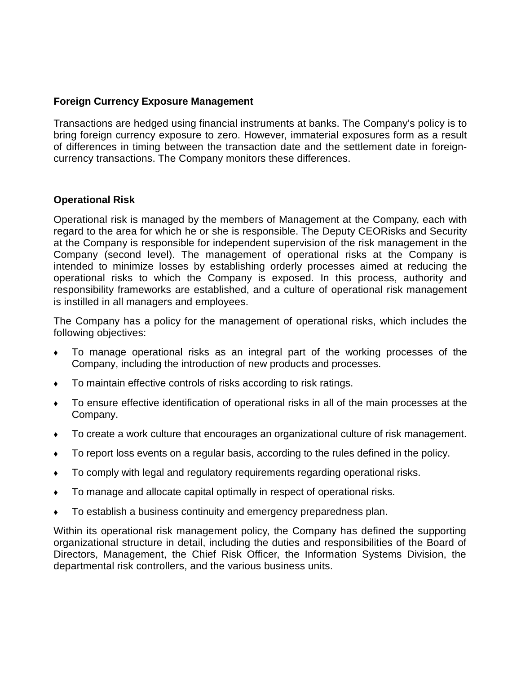# **Foreign Currency Exposure Management**

Transactions are hedged using financial instruments at banks. The Company's policy is to bring foreign currency exposure to zero. However, immaterial exposures form as a result of differences in timing between the transaction date and the settlement date in foreigncurrency transactions. The Company monitors these differences.

# **Operational Risk**

Operational risk is managed by the members of Management at the Company, each with regard to the area for which he or she is responsible. The Deputy CEORisks and Security at the Company is responsible for independent supervision of the risk management in the Company (second level). The management of operational risks at the Company is intended to minimize losses by establishing orderly processes aimed at reducing the operational risks to which the Company is exposed. In this process, authority and responsibility frameworks are established, and a culture of operational risk management is instilled in all managers and employees.

The Company has a policy for the management of operational risks, which includes the following objectives:

- ♦ To manage operational risks as an integral part of the working processes of the Company, including the introduction of new products and processes.
- ♦ To maintain effective controls of risks according to risk ratings.
- ♦ To ensure effective identification of operational risks in all of the main processes at the Company.
- ♦ To create a work culture that encourages an organizational culture of risk management.
- ♦ To report loss events on a regular basis, according to the rules defined in the policy.
- ♦ To comply with legal and regulatory requirements regarding operational risks.
- ♦ To manage and allocate capital optimally in respect of operational risks.
- $\bullet$  To establish a business continuity and emergency preparedness plan.

Within its operational risk management policy, the Company has defined the supporting organizational structure in detail, including the duties and responsibilities of the Board of Directors, Management, the Chief Risk Officer, the Information Systems Division, the departmental risk controllers, and the various business units.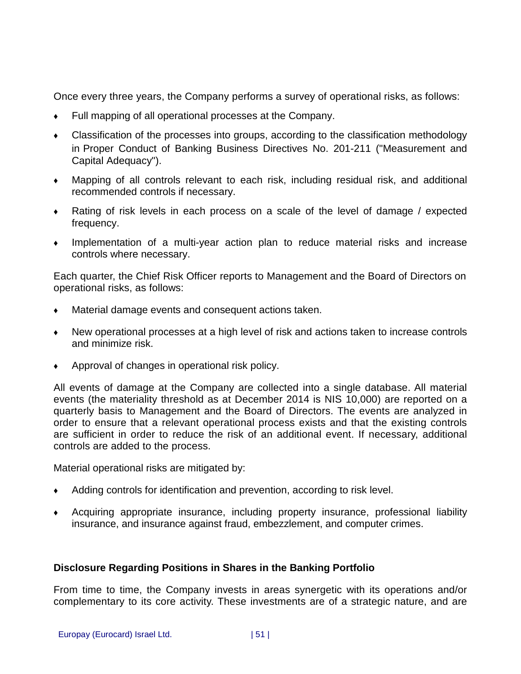Once every three years, the Company performs a survey of operational risks, as follows:

- Full mapping of all operational processes at the Company.
- ♦ Classification of the processes into groups, according to the classification methodology in Proper Conduct of Banking Business Directives No. 201-211 ("Measurement and Capital Adequacy").
- ♦ Mapping of all controls relevant to each risk, including residual risk, and additional recommended controls if necessary.
- ♦ Rating of risk levels in each process on a scale of the level of damage / expected frequency.
- ♦ Implementation of a multi-year action plan to reduce material risks and increase controls where necessary.

Each quarter, the Chief Risk Officer reports to Management and the Board of Directors on operational risks, as follows:

- Material damage events and consequent actions taken.
- ♦ New operational processes at a high level of risk and actions taken to increase controls and minimize risk.
- Approval of changes in operational risk policy.

All events of damage at the Company are collected into a single database. All material events (the materiality threshold as at December 2014 is NIS 10,000) are reported on a quarterly basis to Management and the Board of Directors. The events are analyzed in order to ensure that a relevant operational process exists and that the existing controls are sufficient in order to reduce the risk of an additional event. If necessary, additional controls are added to the process.

Material operational risks are mitigated by:

- Adding controls for identification and prevention, according to risk level.
- ♦ Acquiring appropriate insurance, including property insurance, professional liability insurance, and insurance against fraud, embezzlement, and computer crimes.

# **Disclosure Regarding Positions in Shares in the Banking Portfolio**

From time to time, the Company invests in areas synergetic with its operations and/or complementary to its core activity. These investments are of a strategic nature, and are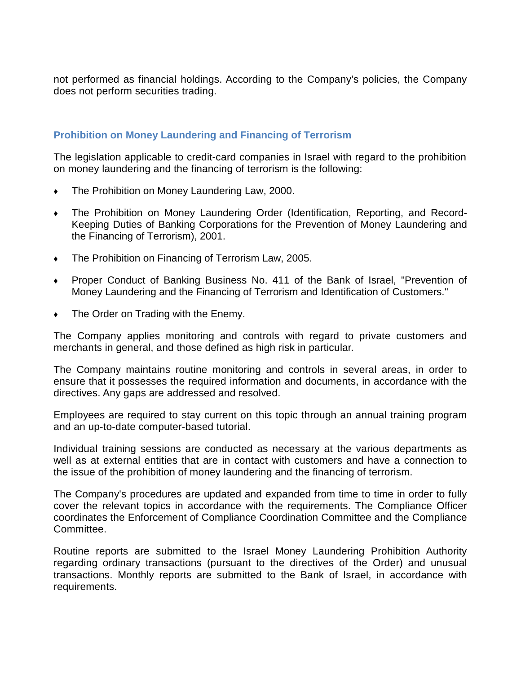not performed as financial holdings. According to the Company's policies, the Company does not perform securities trading.

# **Prohibition on Money Laundering and Financing of Terrorism**

The legislation applicable to credit-card companies in Israel with regard to the prohibition on money laundering and the financing of terrorism is the following:

- ♦ The Prohibition on Money Laundering Law, 2000.
- ♦ The Prohibition on Money Laundering Order (Identification, Reporting, and Record-Keeping Duties of Banking Corporations for the Prevention of Money Laundering and the Financing of Terrorism), 2001.
- ♦ The Prohibition on Financing of Terrorism Law, 2005.
- ♦ Proper Conduct of Banking Business No. 411 of the Bank of Israel, "Prevention of Money Laundering and the Financing of Terrorism and Identification of Customers."
- The Order on Trading with the Enemy.

The Company applies monitoring and controls with regard to private customers and merchants in general, and those defined as high risk in particular.

The Company maintains routine monitoring and controls in several areas, in order to ensure that it possesses the required information and documents, in accordance with the directives. Any gaps are addressed and resolved.

Employees are required to stay current on this topic through an annual training program and an up-to-date computer-based tutorial.

Individual training sessions are conducted as necessary at the various departments as well as at external entities that are in contact with customers and have a connection to the issue of the prohibition of money laundering and the financing of terrorism.

The Company's procedures are updated and expanded from time to time in order to fully cover the relevant topics in accordance with the requirements. The Compliance Officer coordinates the Enforcement of Compliance Coordination Committee and the Compliance Committee.

Routine reports are submitted to the Israel Money Laundering Prohibition Authority regarding ordinary transactions (pursuant to the directives of the Order) and unusual transactions. Monthly reports are submitted to the Bank of Israel, in accordance with requirements.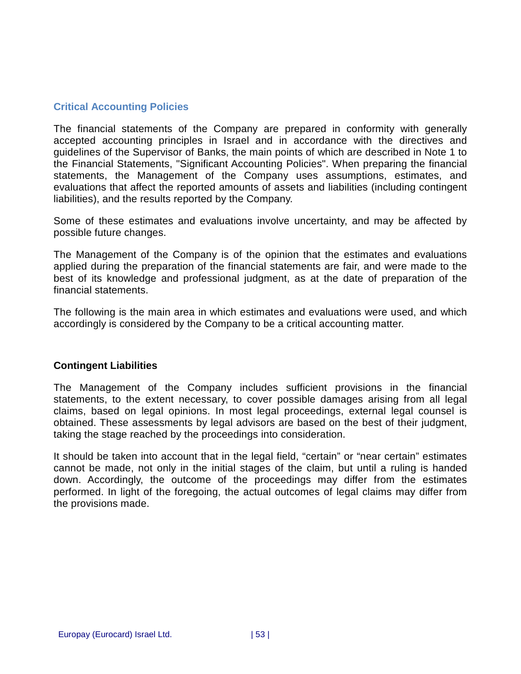# **Critical Accounting Policies**

The financial statements of the Company are prepared in conformity with generally accepted accounting principles in Israel and in accordance with the directives and guidelines of the Supervisor of Banks, the main points of which are described in Note 1 to the Financial Statements, "Significant Accounting Policies". When preparing the financial statements, the Management of the Company uses assumptions, estimates, and evaluations that affect the reported amounts of assets and liabilities (including contingent liabilities), and the results reported by the Company.

Some of these estimates and evaluations involve uncertainty, and may be affected by possible future changes.

The Management of the Company is of the opinion that the estimates and evaluations applied during the preparation of the financial statements are fair, and were made to the best of its knowledge and professional judgment, as at the date of preparation of the financial statements.

The following is the main area in which estimates and evaluations were used, and which accordingly is considered by the Company to be a critical accounting matter.

# **Contingent Liabilities**

The Management of the Company includes sufficient provisions in the financial statements, to the extent necessary, to cover possible damages arising from all legal claims, based on legal opinions. In most legal proceedings, external legal counsel is obtained. These assessments by legal advisors are based on the best of their judgment, taking the stage reached by the proceedings into consideration.

It should be taken into account that in the legal field, "certain" or "near certain" estimates cannot be made, not only in the initial stages of the claim, but until a ruling is handed down. Accordingly, the outcome of the proceedings may differ from the estimates performed. In light of the foregoing, the actual outcomes of legal claims may differ from the provisions made.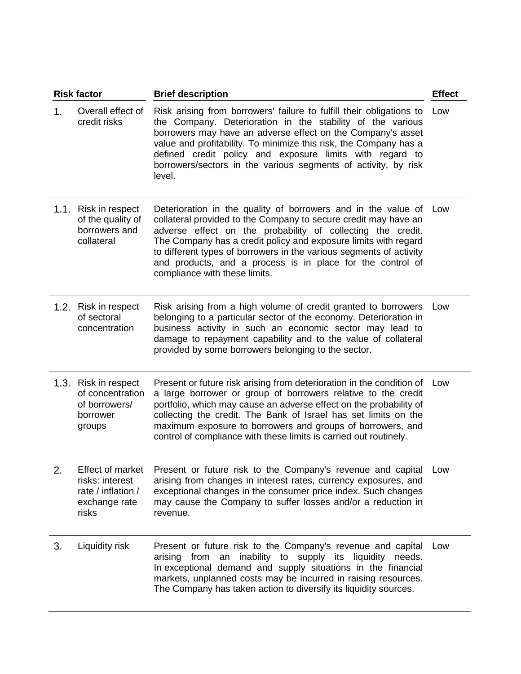| <b>Risk factor</b> |                                                                                 | <b>Brief description</b>                                                                                                                                                                                                                                                                                                                                                                                                                 |     |
|--------------------|---------------------------------------------------------------------------------|------------------------------------------------------------------------------------------------------------------------------------------------------------------------------------------------------------------------------------------------------------------------------------------------------------------------------------------------------------------------------------------------------------------------------------------|-----|
| 1.                 | Overall effect of<br>credit risks                                               | Risk arising from borrowers' failure to fulfill their obligations to<br>the Company. Deterioration in the stability of the various<br>borrowers may have an adverse effect on the Company's asset<br>value and profitability. To minimize this risk, the Company has a<br>defined credit policy and exposure limits with regard to<br>borrowers/sectors in the various segments of activity, by risk<br>level.                           | Low |
|                    | 1.1. Risk in respect<br>of the quality of<br>borrowers and<br>collateral        | Deterioration in the quality of borrowers and in the value of<br>collateral provided to the Company to secure credit may have an<br>adverse effect on the probability of collecting the credit.<br>The Company has a credit policy and exposure limits with regard<br>to different types of borrowers in the various segments of activity<br>and products, and a process is in place for the control of<br>compliance with these limits. | Low |
|                    | 1.2. Risk in respect<br>of sectoral<br>concentration                            | Risk arising from a high volume of credit granted to borrowers<br>belonging to a particular sector of the economy. Deterioration in<br>business activity in such an economic sector may lead to<br>damage to repayment capability and to the value of collateral<br>provided by some borrowers belonging to the sector.                                                                                                                  | Low |
|                    | 1.3. Risk in respect<br>of concentration<br>of borrowers/<br>borrower<br>groups | Present or future risk arising from deterioration in the condition of<br>a large borrower or group of borrowers relative to the credit<br>portfolio, which may cause an adverse effect on the probability of<br>collecting the credit. The Bank of Israel has set limits on the<br>maximum exposure to borrowers and groups of borrowers, and<br>control of compliance with these limits is carried out routinely.                       | Low |
|                    | risks: interest<br>rate / inflation /<br>exchange rate<br>risks                 | Effect of market Present or future risk to the Company's revenue and capital Low<br>arising from changes in interest rates, currency exposures, and<br>exceptional changes in the consumer price index. Such changes<br>may cause the Company to suffer losses and/or a reduction in<br>revenue.                                                                                                                                         |     |
| 3.                 | Liquidity risk                                                                  | Present or future risk to the Company's revenue and capital<br>arising from an inability to supply its liquidity needs.<br>In exceptional demand and supply situations in the financial<br>markets, unplanned costs may be incurred in raising resources.<br>The Company has taken action to diversify its liquidity sources.                                                                                                            | Low |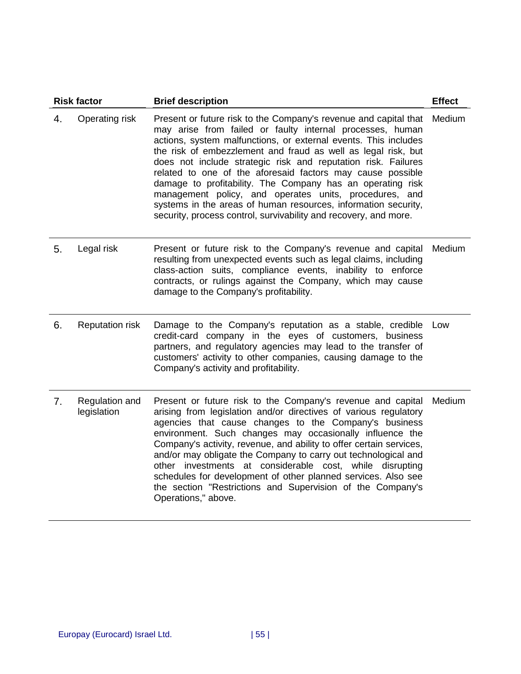|                | <b>Risk factor</b>            | <b>Brief description</b>                                                                                                                                                                                                                                                                                                                                                                                                                                                                                                                                                                                                                                       | <b>Effect</b> |
|----------------|-------------------------------|----------------------------------------------------------------------------------------------------------------------------------------------------------------------------------------------------------------------------------------------------------------------------------------------------------------------------------------------------------------------------------------------------------------------------------------------------------------------------------------------------------------------------------------------------------------------------------------------------------------------------------------------------------------|---------------|
| 4.             | Operating risk                | Present or future risk to the Company's revenue and capital that<br>may arise from failed or faulty internal processes, human<br>actions, system malfunctions, or external events. This includes<br>the risk of embezzlement and fraud as well as legal risk, but<br>does not include strategic risk and reputation risk. Failures<br>related to one of the aforesaid factors may cause possible<br>damage to profitability. The Company has an operating risk<br>management policy, and operates units, procedures, and<br>systems in the areas of human resources, information security,<br>security, process control, survivability and recovery, and more. | Medium        |
| 5.             | Legal risk                    | Present or future risk to the Company's revenue and capital<br>resulting from unexpected events such as legal claims, including<br>class-action suits, compliance events, inability to enforce<br>contracts, or rulings against the Company, which may cause<br>damage to the Company's profitability.                                                                                                                                                                                                                                                                                                                                                         | Medium        |
| 6.             | <b>Reputation risk</b>        | Damage to the Company's reputation as a stable, credible<br>credit-card company in the eyes of customers, business<br>partners, and regulatory agencies may lead to the transfer of<br>customers' activity to other companies, causing damage to the<br>Company's activity and profitability.                                                                                                                                                                                                                                                                                                                                                                  | Low           |
| 7 <sub>1</sub> | Regulation and<br>legislation | Present or future risk to the Company's revenue and capital<br>arising from legislation and/or directives of various regulatory<br>agencies that cause changes to the Company's business<br>environment. Such changes may occasionally influence the<br>Company's activity, revenue, and ability to offer certain services,<br>and/or may obligate the Company to carry out technological and<br>other investments at considerable cost, while disrupting<br>schedules for development of other planned services. Also see<br>the section "Restrictions and Supervision of the Company's<br>Operations," above.                                                | Medium        |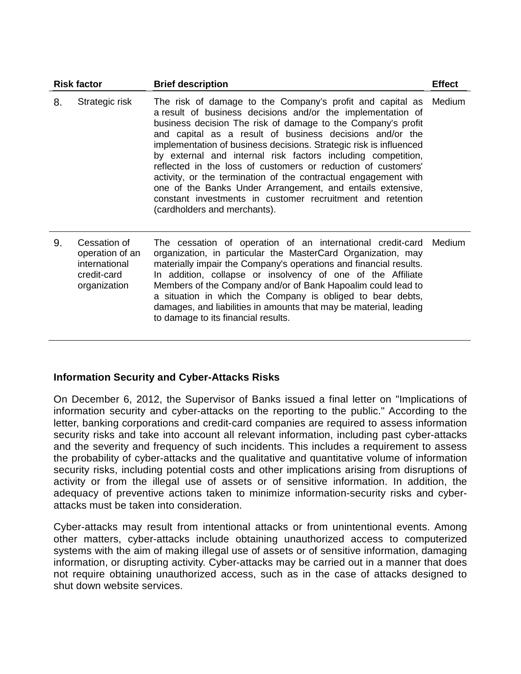|    | <b>Risk factor</b>                                                              | <b>Brief description</b>                                                                                                                                                                                                                                                                                                                                                                                                                                                                                                                                                                                                                                                                   | <b>Effect</b> |
|----|---------------------------------------------------------------------------------|--------------------------------------------------------------------------------------------------------------------------------------------------------------------------------------------------------------------------------------------------------------------------------------------------------------------------------------------------------------------------------------------------------------------------------------------------------------------------------------------------------------------------------------------------------------------------------------------------------------------------------------------------------------------------------------------|---------------|
| 8. | Strategic risk                                                                  | The risk of damage to the Company's profit and capital as<br>a result of business decisions and/or the implementation of<br>business decision The risk of damage to the Company's profit<br>and capital as a result of business decisions and/or the<br>implementation of business decisions. Strategic risk is influenced<br>by external and internal risk factors including competition,<br>reflected in the loss of customers or reduction of customers'<br>activity, or the termination of the contractual engagement with<br>one of the Banks Under Arrangement, and entails extensive,<br>constant investments in customer recruitment and retention<br>(cardholders and merchants). | Medium        |
| 9. | Cessation of<br>operation of an<br>international<br>credit-card<br>organization | The cessation of operation of an international credit-card<br>organization, in particular the MasterCard Organization, may<br>materially impair the Company's operations and financial results.<br>In addition, collapse or insolvency of one of the Affiliate<br>Members of the Company and/or of Bank Hapoalim could lead to<br>a situation in which the Company is obliged to bear debts,<br>damages, and liabilities in amounts that may be material, leading                                                                                                                                                                                                                          | Medium        |

to damage to its financial results.

# **Information Security and Cyber-Attacks Risks**

On December 6, 2012, the Supervisor of Banks issued a final letter on "Implications of information security and cyber-attacks on the reporting to the public." According to the letter, banking corporations and credit-card companies are required to assess information security risks and take into account all relevant information, including past cyber-attacks and the severity and frequency of such incidents. This includes a requirement to assess the probability of cyber-attacks and the qualitative and quantitative volume of information security risks, including potential costs and other implications arising from disruptions of activity or from the illegal use of assets or of sensitive information. In addition, the adequacy of preventive actions taken to minimize information-security risks and cyberattacks must be taken into consideration.

Cyber-attacks may result from intentional attacks or from unintentional events. Among other matters, cyber-attacks include obtaining unauthorized access to computerized systems with the aim of making illegal use of assets or of sensitive information, damaging information, or disrupting activity. Cyber-attacks may be carried out in a manner that does not require obtaining unauthorized access, such as in the case of attacks designed to shut down website services.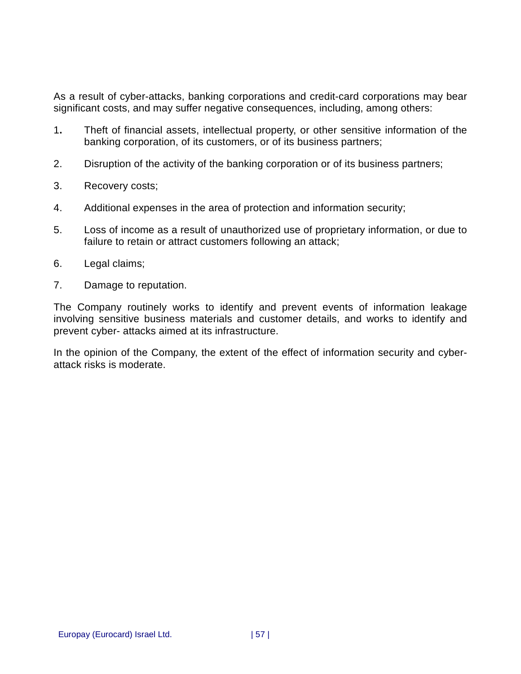As a result of cyber-attacks, banking corporations and credit-card corporations may bear significant costs, and may suffer negative consequences, including, among others:

- 1**.** Theft of financial assets, intellectual property, or other sensitive information of the banking corporation, of its customers, or of its business partners;
- 2. Disruption of the activity of the banking corporation or of its business partners;
- 3. Recovery costs;
- 4. Additional expenses in the area of protection and information security;
- 5. Loss of income as a result of unauthorized use of proprietary information, or due to failure to retain or attract customers following an attack;
- 6. Legal claims;
- 7. Damage to reputation.

The Company routinely works to identify and prevent events of information leakage involving sensitive business materials and customer details, and works to identify and prevent cyber- attacks aimed at its infrastructure.

In the opinion of the Company, the extent of the effect of information security and cyberattack risks is moderate.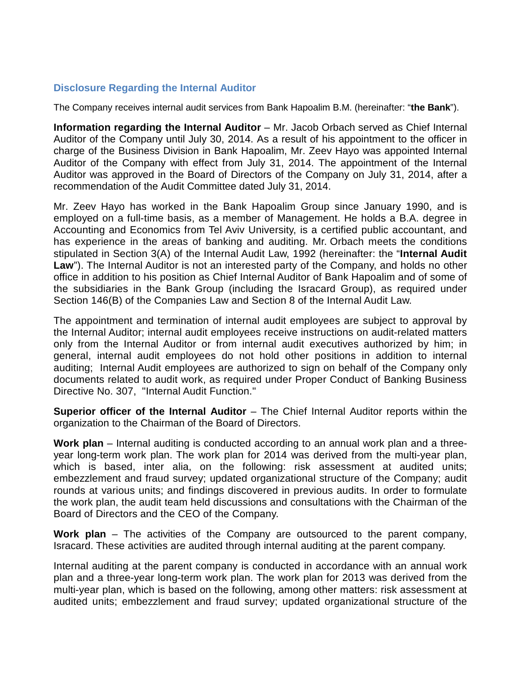# **Disclosure Regarding the Internal Auditor**

The Company receives internal audit services from Bank Hapoalim B.M. (hereinafter: "**the Bank**").

**Information regarding the Internal Auditor** – Mr. Jacob Orbach served as Chief Internal Auditor of the Company until July 30, 2014. As a result of his appointment to the officer in charge of the Business Division in Bank Hapoalim, Mr. Zeev Hayo was appointed Internal Auditor of the Company with effect from July 31, 2014. The appointment of the Internal Auditor was approved in the Board of Directors of the Company on July 31, 2014, after a recommendation of the Audit Committee dated July 31, 2014.

Mr. Zeev Hayo has worked in the Bank Hapoalim Group since January 1990, and is employed on a full-time basis, as a member of Management. He holds a B.A. degree in Accounting and Economics from Tel Aviv University, is a certified public accountant, and has experience in the areas of banking and auditing. Mr. Orbach meets the conditions stipulated in Section 3(A) of the Internal Audit Law, 1992 (hereinafter: the "**Internal Audit Law**"). The Internal Auditor is not an interested party of the Company, and holds no other office in addition to his position as Chief Internal Auditor of Bank Hapoalim and of some of the subsidiaries in the Bank Group (including the Isracard Group), as required under Section 146(B) of the Companies Law and Section 8 of the Internal Audit Law.

The appointment and termination of internal audit employees are subject to approval by the Internal Auditor; internal audit employees receive instructions on audit-related matters only from the Internal Auditor or from internal audit executives authorized by him; in general, internal audit employees do not hold other positions in addition to internal auditing; Internal Audit employees are authorized to sign on behalf of the Company only documents related to audit work, as required under Proper Conduct of Banking Business Directive No. 307, "Internal Audit Function."

**Superior officer of the Internal Auditor** – The Chief Internal Auditor reports within the organization to the Chairman of the Board of Directors.

**Work plan** – Internal auditing is conducted according to an annual work plan and a threeyear long-term work plan. The work plan for 2014 was derived from the multi-year plan, which is based, inter alia, on the following: risk assessment at audited units; embezzlement and fraud survey; updated organizational structure of the Company; audit rounds at various units; and findings discovered in previous audits. In order to formulate the work plan, the audit team held discussions and consultations with the Chairman of the Board of Directors and the CEO of the Company.

**Work plan** – The activities of the Company are outsourced to the parent company, Isracard. These activities are audited through internal auditing at the parent company.

Internal auditing at the parent company is conducted in accordance with an annual work plan and a three-year long-term work plan. The work plan for 2013 was derived from the multi-year plan, which is based on the following, among other matters: risk assessment at audited units; embezzlement and fraud survey; updated organizational structure of the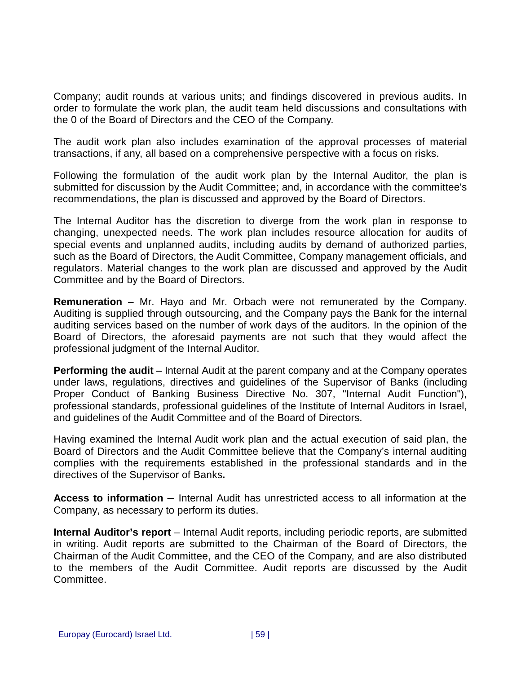Company; audit rounds at various units; and findings discovered in previous audits. In order to formulate the work plan, the audit team held discussions and consultations with the 0 of the Board of Directors and the CEO of the Company.

The audit work plan also includes examination of the approval processes of material transactions, if any, all based on a comprehensive perspective with a focus on risks.

Following the formulation of the audit work plan by the Internal Auditor, the plan is submitted for discussion by the Audit Committee; and, in accordance with the committee's recommendations, the plan is discussed and approved by the Board of Directors.

The Internal Auditor has the discretion to diverge from the work plan in response to changing, unexpected needs. The work plan includes resource allocation for audits of special events and unplanned audits, including audits by demand of authorized parties, such as the Board of Directors, the Audit Committee, Company management officials, and regulators. Material changes to the work plan are discussed and approved by the Audit Committee and by the Board of Directors.

**Remuneration** – Mr. Hayo and Mr. Orbach were not remunerated by the Company. Auditing is supplied through outsourcing, and the Company pays the Bank for the internal auditing services based on the number of work days of the auditors. In the opinion of the Board of Directors, the aforesaid payments are not such that they would affect the professional judgment of the Internal Auditor.

**Performing the audit** – Internal Audit at the parent company and at the Company operates under laws, regulations, directives and guidelines of the Supervisor of Banks (including Proper Conduct of Banking Business Directive No. 307, "Internal Audit Function"), professional standards, professional guidelines of the Institute of Internal Auditors in Israel, and guidelines of the Audit Committee and of the Board of Directors.

Having examined the Internal Audit work plan and the actual execution of said plan, the Board of Directors and the Audit Committee believe that the Company's internal auditing complies with the requirements established in the professional standards and in the directives of the Supervisor of Banks**.**

**Access to information** – Internal Audit has unrestricted access to all information at the Company, as necessary to perform its duties.

**Internal Auditor's report** – Internal Audit reports, including periodic reports, are submitted in writing. Audit reports are submitted to the Chairman of the Board of Directors, the Chairman of the Audit Committee, and the CEO of the Company, and are also distributed to the members of the Audit Committee. Audit reports are discussed by the Audit Committee.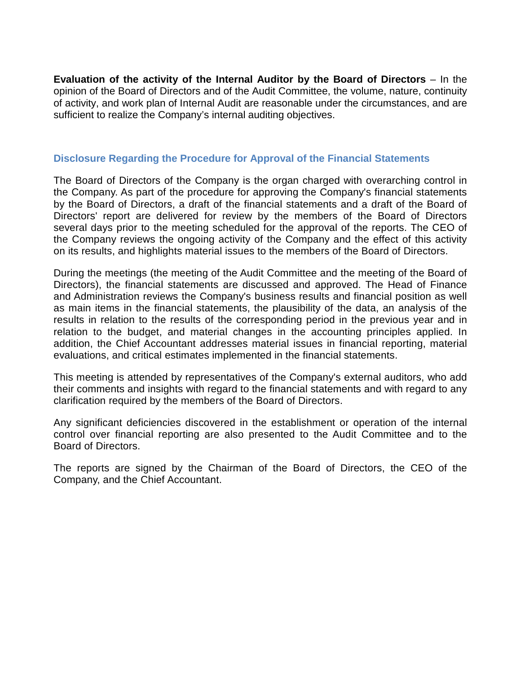**Evaluation of the activity of the Internal Auditor by the Board of Directors** – In the opinion of the Board of Directors and of the Audit Committee, the volume, nature, continuity of activity, and work plan of Internal Audit are reasonable under the circumstances, and are sufficient to realize the Company's internal auditing objectives.

## **Disclosure Regarding the Procedure for Approval of the Financial Statements**

The Board of Directors of the Company is the organ charged with overarching control in the Company. As part of the procedure for approving the Company's financial statements by the Board of Directors, a draft of the financial statements and a draft of the Board of Directors' report are delivered for review by the members of the Board of Directors several days prior to the meeting scheduled for the approval of the reports. The CEO of the Company reviews the ongoing activity of the Company and the effect of this activity on its results, and highlights material issues to the members of the Board of Directors.

During the meetings (the meeting of the Audit Committee and the meeting of the Board of Directors), the financial statements are discussed and approved. The Head of Finance and Administration reviews the Company's business results and financial position as well as main items in the financial statements, the plausibility of the data, an analysis of the results in relation to the results of the corresponding period in the previous year and in relation to the budget, and material changes in the accounting principles applied. In addition, the Chief Accountant addresses material issues in financial reporting, material evaluations, and critical estimates implemented in the financial statements.

This meeting is attended by representatives of the Company's external auditors, who add their comments and insights with regard to the financial statements and with regard to any clarification required by the members of the Board of Directors.

Any significant deficiencies discovered in the establishment or operation of the internal control over financial reporting are also presented to the Audit Committee and to the Board of Directors.

The reports are signed by the Chairman of the Board of Directors, the CEO of the Company, and the Chief Accountant.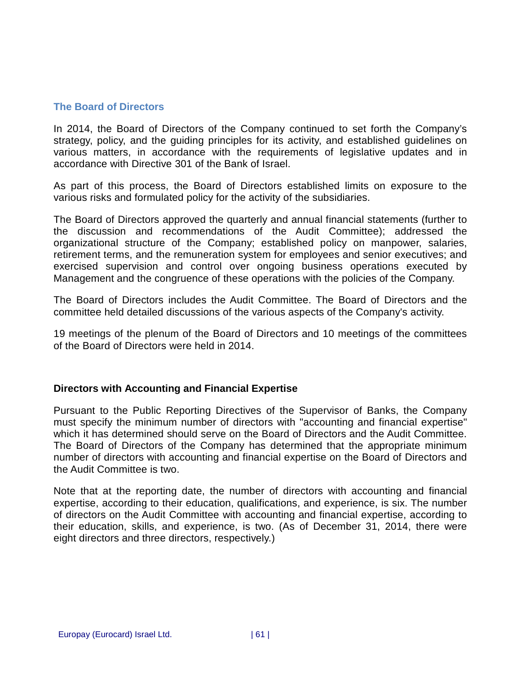## **The Board of Directors**

In 2014, the Board of Directors of the Company continued to set forth the Company's strategy, policy, and the guiding principles for its activity, and established guidelines on various matters, in accordance with the requirements of legislative updates and in accordance with Directive 301 of the Bank of Israel.

As part of this process, the Board of Directors established limits on exposure to the various risks and formulated policy for the activity of the subsidiaries.

The Board of Directors approved the quarterly and annual financial statements (further to the discussion and recommendations of the Audit Committee); addressed the organizational structure of the Company; established policy on manpower, salaries, retirement terms, and the remuneration system for employees and senior executives; and exercised supervision and control over ongoing business operations executed by Management and the congruence of these operations with the policies of the Company.

The Board of Directors includes the Audit Committee. The Board of Directors and the committee held detailed discussions of the various aspects of the Company's activity.

19 meetings of the plenum of the Board of Directors and 10 meetings of the committees of the Board of Directors were held in 2014.

# **Directors with Accounting and Financial Expertise**

Pursuant to the Public Reporting Directives of the Supervisor of Banks, the Company must specify the minimum number of directors with "accounting and financial expertise" which it has determined should serve on the Board of Directors and the Audit Committee. The Board of Directors of the Company has determined that the appropriate minimum number of directors with accounting and financial expertise on the Board of Directors and the Audit Committee is two.

Note that at the reporting date, the number of directors with accounting and financial expertise, according to their education, qualifications, and experience, is six. The number of directors on the Audit Committee with accounting and financial expertise, according to their education, skills, and experience, is two. (As of December 31, 2014, there were eight directors and three directors, respectively.)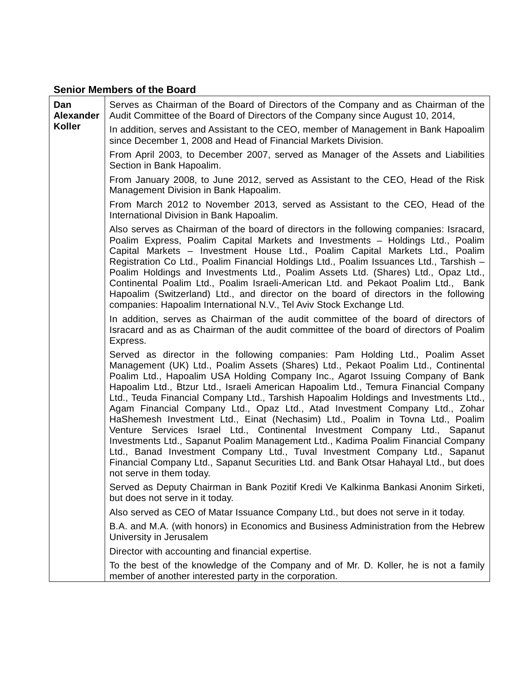# **Senior Members of the Board**

| Dan<br>Alexander | Serves as Chairman of the Board of Directors of the Company and as Chairman of the<br>Audit Committee of the Board of Directors of the Company since August 10, 2014,                                                                                                                                                                                                                                                                                                                                                                                                                                                                                                                                                                                                                                                                                                                                                                                                        |
|------------------|------------------------------------------------------------------------------------------------------------------------------------------------------------------------------------------------------------------------------------------------------------------------------------------------------------------------------------------------------------------------------------------------------------------------------------------------------------------------------------------------------------------------------------------------------------------------------------------------------------------------------------------------------------------------------------------------------------------------------------------------------------------------------------------------------------------------------------------------------------------------------------------------------------------------------------------------------------------------------|
| <b>Koller</b>    | In addition, serves and Assistant to the CEO, member of Management in Bank Hapoalim<br>since December 1, 2008 and Head of Financial Markets Division.                                                                                                                                                                                                                                                                                                                                                                                                                                                                                                                                                                                                                                                                                                                                                                                                                        |
|                  | From April 2003, to December 2007, served as Manager of the Assets and Liabilities<br>Section in Bank Hapoalim.                                                                                                                                                                                                                                                                                                                                                                                                                                                                                                                                                                                                                                                                                                                                                                                                                                                              |
|                  | From January 2008, to June 2012, served as Assistant to the CEO, Head of the Risk<br>Management Division in Bank Hapoalim.                                                                                                                                                                                                                                                                                                                                                                                                                                                                                                                                                                                                                                                                                                                                                                                                                                                   |
|                  | From March 2012 to November 2013, served as Assistant to the CEO, Head of the<br>International Division in Bank Hapoalim.                                                                                                                                                                                                                                                                                                                                                                                                                                                                                                                                                                                                                                                                                                                                                                                                                                                    |
|                  | Also serves as Chairman of the board of directors in the following companies: Isracard,<br>Poalim Express, Poalim Capital Markets and Investments - Holdings Ltd., Poalim<br>Capital Markets - Investment House Ltd., Poalim Capital Markets Ltd., Poalim<br>Registration Co Ltd., Poalim Financial Holdings Ltd., Poalim Issuances Ltd., Tarshish -<br>Poalim Holdings and Investments Ltd., Poalim Assets Ltd. (Shares) Ltd., Opaz Ltd.,<br>Continental Poalim Ltd., Poalim Israeli-American Ltd. and Pekaot Poalim Ltd., Bank<br>Hapoalim (Switzerland) Ltd., and director on the board of directors in the following<br>companies: Hapoalim International N.V., Tel Aviv Stock Exchange Ltd.                                                                                                                                                                                                                                                                             |
|                  | In addition, serves as Chairman of the audit committee of the board of directors of<br>Isracard and as as Chairman of the audit committee of the board of directors of Poalim<br>Express.                                                                                                                                                                                                                                                                                                                                                                                                                                                                                                                                                                                                                                                                                                                                                                                    |
|                  | Served as director in the following companies: Pam Holding Ltd., Poalim Asset<br>Management (UK) Ltd., Poalim Assets (Shares) Ltd., Pekaot Poalim Ltd., Continental<br>Poalim Ltd., Hapoalim USA Holding Company Inc., Agarot Issuing Company of Bank<br>Hapoalim Ltd., Btzur Ltd., Israeli American Hapoalim Ltd., Temura Financial Company<br>Ltd., Teuda Financial Company Ltd., Tarshish Hapoalim Holdings and Investments Ltd.,<br>Agam Financial Company Ltd., Opaz Ltd., Atad Investment Company Ltd., Zohar<br>HaShemesh Investment Ltd., Einat (Nechasim) Ltd., Poalim in Tovna Ltd., Poalim<br>Venture Services Israel Ltd., Continental Investment Company Ltd., Sapanut<br>Investments Ltd., Sapanut Poalim Management Ltd., Kadima Poalim Financial Company<br>Ltd., Banad Investment Company Ltd., Tuval Investment Company Ltd., Sapanut<br>Financial Company Ltd., Sapanut Securities Ltd. and Bank Otsar Hahayal Ltd., but does<br>not serve in them today. |
|                  | Served as Deputy Chairman in Bank Pozitif Kredi Ve Kalkinma Bankasi Anonim Sirketi,<br>but does not serve in it today.                                                                                                                                                                                                                                                                                                                                                                                                                                                                                                                                                                                                                                                                                                                                                                                                                                                       |
|                  | Also served as CEO of Matar Issuance Company Ltd., but does not serve in it today.                                                                                                                                                                                                                                                                                                                                                                                                                                                                                                                                                                                                                                                                                                                                                                                                                                                                                           |
|                  | B.A. and M.A. (with honors) in Economics and Business Administration from the Hebrew<br>University in Jerusalem                                                                                                                                                                                                                                                                                                                                                                                                                                                                                                                                                                                                                                                                                                                                                                                                                                                              |
|                  | Director with accounting and financial expertise.                                                                                                                                                                                                                                                                                                                                                                                                                                                                                                                                                                                                                                                                                                                                                                                                                                                                                                                            |
|                  | To the best of the knowledge of the Company and of Mr. D. Koller, he is not a family<br>member of another interested party in the corporation.                                                                                                                                                                                                                                                                                                                                                                                                                                                                                                                                                                                                                                                                                                                                                                                                                               |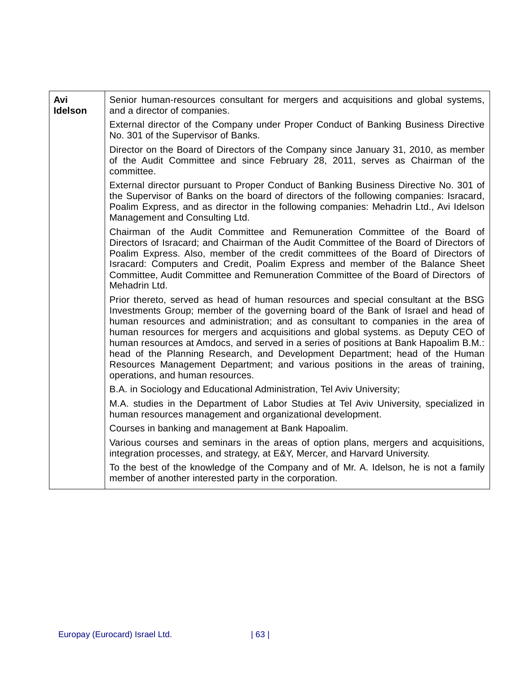| Avi<br><b>Idelson</b> | Senior human-resources consultant for mergers and acquisitions and global systems,<br>and a director of companies.                                                                                                                                                                                                                                                                                                                                                                                                                                                                                                                                  |
|-----------------------|-----------------------------------------------------------------------------------------------------------------------------------------------------------------------------------------------------------------------------------------------------------------------------------------------------------------------------------------------------------------------------------------------------------------------------------------------------------------------------------------------------------------------------------------------------------------------------------------------------------------------------------------------------|
|                       | External director of the Company under Proper Conduct of Banking Business Directive<br>No. 301 of the Supervisor of Banks.                                                                                                                                                                                                                                                                                                                                                                                                                                                                                                                          |
|                       | Director on the Board of Directors of the Company since January 31, 2010, as member<br>of the Audit Committee and since February 28, 2011, serves as Chairman of the<br>committee.                                                                                                                                                                                                                                                                                                                                                                                                                                                                  |
|                       | External director pursuant to Proper Conduct of Banking Business Directive No. 301 of<br>the Supervisor of Banks on the board of directors of the following companies: Isracard,<br>Poalim Express, and as director in the following companies: Mehadrin Ltd., Avi Idelson<br>Management and Consulting Ltd.                                                                                                                                                                                                                                                                                                                                        |
|                       | Chairman of the Audit Committee and Remuneration Committee of the Board of<br>Directors of Isracard; and Chairman of the Audit Committee of the Board of Directors of<br>Poalim Express. Also, member of the credit committees of the Board of Directors of<br>Isracard: Computers and Credit, Poalim Express and member of the Balance Sheet<br>Committee, Audit Committee and Remuneration Committee of the Board of Directors of<br>Mehadrin Ltd.                                                                                                                                                                                                |
|                       | Prior thereto, served as head of human resources and special consultant at the BSG<br>Investments Group; member of the governing board of the Bank of Israel and head of<br>human resources and administration; and as consultant to companies in the area of<br>human resources for mergers and acquisitions and global systems. as Deputy CEO of<br>human resources at Amdocs, and served in a series of positions at Bank Hapoalim B.M.:<br>head of the Planning Research, and Development Department; head of the Human<br>Resources Management Department; and various positions in the areas of training,<br>operations, and human resources. |
|                       | B.A. in Sociology and Educational Administration, Tel Aviv University;                                                                                                                                                                                                                                                                                                                                                                                                                                                                                                                                                                              |
|                       | M.A. studies in the Department of Labor Studies at Tel Aviv University, specialized in<br>human resources management and organizational development.                                                                                                                                                                                                                                                                                                                                                                                                                                                                                                |
|                       | Courses in banking and management at Bank Hapoalim.                                                                                                                                                                                                                                                                                                                                                                                                                                                                                                                                                                                                 |
|                       | Various courses and seminars in the areas of option plans, mergers and acquisitions,<br>integration processes, and strategy, at E&Y, Mercer, and Harvard University.                                                                                                                                                                                                                                                                                                                                                                                                                                                                                |
|                       | To the best of the knowledge of the Company and of Mr. A. Idelson, he is not a family<br>member of another interested party in the corporation.                                                                                                                                                                                                                                                                                                                                                                                                                                                                                                     |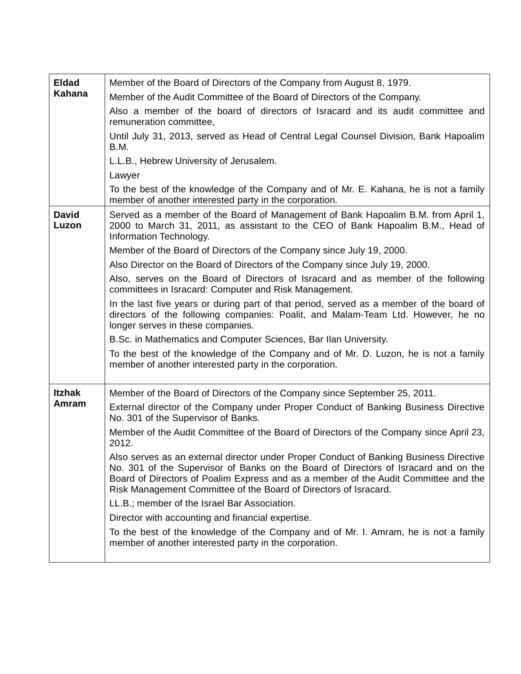| <b>Eldad</b>          | Member of the Board of Directors of the Company from August 8, 1979.                                                                                                                                                                                                                                                                     |
|-----------------------|------------------------------------------------------------------------------------------------------------------------------------------------------------------------------------------------------------------------------------------------------------------------------------------------------------------------------------------|
| Kahana                | Member of the Audit Committee of the Board of Directors of the Company.                                                                                                                                                                                                                                                                  |
|                       | Also a member of the board of directors of Isracard and its audit committee and<br>remuneration committee,                                                                                                                                                                                                                               |
|                       | Until July 31, 2013, served as Head of Central Legal Counsel Division, Bank Hapoalim<br>B.M.                                                                                                                                                                                                                                             |
|                       | L.L.B., Hebrew University of Jerusalem.                                                                                                                                                                                                                                                                                                  |
|                       | Lawyer                                                                                                                                                                                                                                                                                                                                   |
|                       | To the best of the knowledge of the Company and of Mr. E. Kahana, he is not a family<br>member of another interested party in the corporation.                                                                                                                                                                                           |
| <b>David</b><br>Luzon | Served as a member of the Board of Management of Bank Hapoalim B.M. from April 1,<br>2000 to March 31, 2011, as assistant to the CEO of Bank Hapoalim B.M., Head of<br>Information Technology.                                                                                                                                           |
|                       | Member of the Board of Directors of the Company since July 19, 2000.                                                                                                                                                                                                                                                                     |
|                       | Also Director on the Board of Directors of the Company since July 19, 2000.                                                                                                                                                                                                                                                              |
|                       | Also, serves on the Board of Directors of Isracard and as member of the following<br>committees in Isracard: Computer and Risk Management.                                                                                                                                                                                               |
|                       | In the last five years or during part of that period, served as a member of the board of<br>directors of the following companies: Poalit, and Malam-Team Ltd. However, he no<br>longer serves in these companies.                                                                                                                        |
|                       | B.Sc. in Mathematics and Computer Sciences, Bar Ilan University.                                                                                                                                                                                                                                                                         |
|                       | To the best of the knowledge of the Company and of Mr. D. Luzon, he is not a family<br>member of another interested party in the corporation.                                                                                                                                                                                            |
| <b>Itzhak</b>         | Member of the Board of Directors of the Company since September 25, 2011.                                                                                                                                                                                                                                                                |
| Amram                 | External director of the Company under Proper Conduct of Banking Business Directive<br>No. 301 of the Supervisor of Banks.                                                                                                                                                                                                               |
|                       | Member of the Audit Committee of the Board of Directors of the Company since April 23,<br>2012.                                                                                                                                                                                                                                          |
|                       | Also serves as an external director under Proper Conduct of Banking Business Directive<br>No. 301 of the Supervisor of Banks on the Board of Directors of Isracard and on the<br>Board of Directors of Poalim Express and as a member of the Audit Committee and the<br>Risk Management Committee of the Board of Directors of Isracard. |
|                       | LL.B.; member of the Israel Bar Association.                                                                                                                                                                                                                                                                                             |
|                       | Director with accounting and financial expertise.                                                                                                                                                                                                                                                                                        |
|                       | To the best of the knowledge of the Company and of Mr. I. Amram, he is not a family<br>member of another interested party in the corporation.                                                                                                                                                                                            |
|                       |                                                                                                                                                                                                                                                                                                                                          |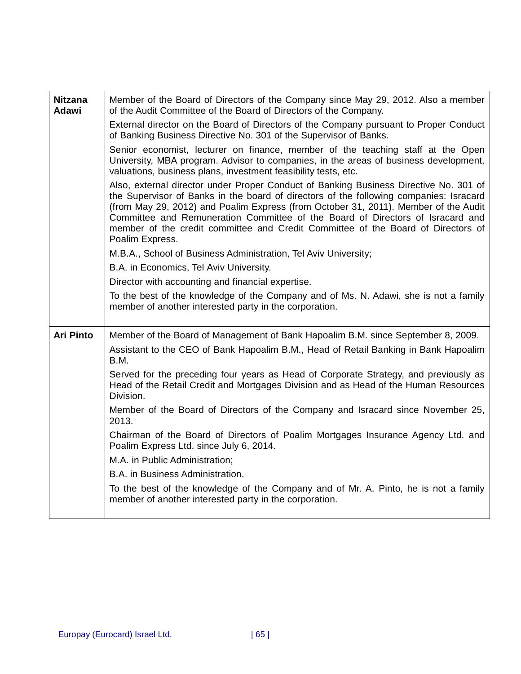| <b>Nitzana</b><br>Adawi | Member of the Board of Directors of the Company since May 29, 2012. Also a member<br>of the Audit Committee of the Board of Directors of the Company.                                                                                                                                                                                                                                                                                                           |
|-------------------------|-----------------------------------------------------------------------------------------------------------------------------------------------------------------------------------------------------------------------------------------------------------------------------------------------------------------------------------------------------------------------------------------------------------------------------------------------------------------|
|                         | External director on the Board of Directors of the Company pursuant to Proper Conduct<br>of Banking Business Directive No. 301 of the Supervisor of Banks.                                                                                                                                                                                                                                                                                                      |
|                         | Senior economist, lecturer on finance, member of the teaching staff at the Open<br>University, MBA program. Advisor to companies, in the areas of business development,<br>valuations, business plans, investment feasibility tests, etc.                                                                                                                                                                                                                       |
|                         | Also, external director under Proper Conduct of Banking Business Directive No. 301 of<br>the Supervisor of Banks in the board of directors of the following companies: Isracard<br>(from May 29, 2012) and Poalim Express (from October 31, 2011). Member of the Audit<br>Committee and Remuneration Committee of the Board of Directors of Isracard and<br>member of the credit committee and Credit Committee of the Board of Directors of<br>Poalim Express. |
|                         | M.B.A., School of Business Administration, Tel Aviv University;                                                                                                                                                                                                                                                                                                                                                                                                 |
|                         | B.A. in Economics, Tel Aviv University.                                                                                                                                                                                                                                                                                                                                                                                                                         |
|                         | Director with accounting and financial expertise.                                                                                                                                                                                                                                                                                                                                                                                                               |
|                         | To the best of the knowledge of the Company and of Ms. N. Adawi, she is not a family<br>member of another interested party in the corporation.                                                                                                                                                                                                                                                                                                                  |
| <b>Ari Pinto</b>        | Member of the Board of Management of Bank Hapoalim B.M. since September 8, 2009.                                                                                                                                                                                                                                                                                                                                                                                |
|                         | Assistant to the CEO of Bank Hapoalim B.M., Head of Retail Banking in Bank Hapoalim<br><b>B.M.</b>                                                                                                                                                                                                                                                                                                                                                              |
|                         | Served for the preceding four years as Head of Corporate Strategy, and previously as<br>Head of the Retail Credit and Mortgages Division and as Head of the Human Resources<br>Division.                                                                                                                                                                                                                                                                        |
|                         | Member of the Board of Directors of the Company and Isracard since November 25,<br>2013.                                                                                                                                                                                                                                                                                                                                                                        |
|                         | Chairman of the Board of Directors of Poalim Mortgages Insurance Agency Ltd. and<br>Poalim Express Ltd. since July 6, 2014.                                                                                                                                                                                                                                                                                                                                     |
|                         | M.A. in Public Administration;                                                                                                                                                                                                                                                                                                                                                                                                                                  |
|                         |                                                                                                                                                                                                                                                                                                                                                                                                                                                                 |
|                         | B.A. in Business Administration.                                                                                                                                                                                                                                                                                                                                                                                                                                |
|                         | To the best of the knowledge of the Company and of Mr. A. Pinto, he is not a family<br>member of another interested party in the corporation.                                                                                                                                                                                                                                                                                                                   |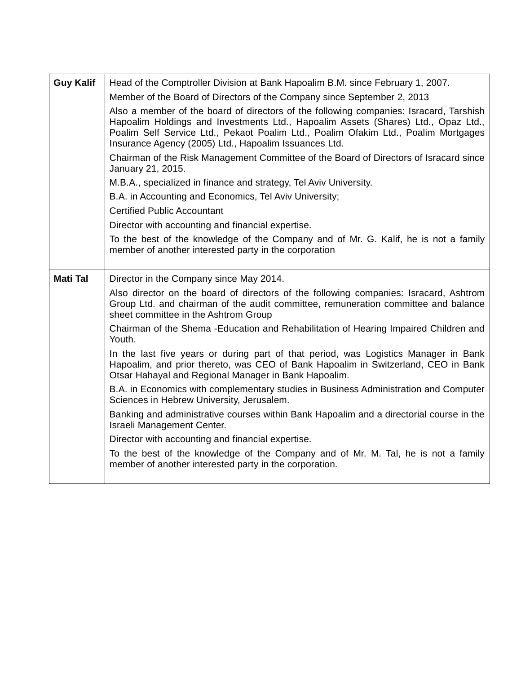| <b>Guy Kalif</b> | Head of the Comptroller Division at Bank Hapoalim B.M. since February 1, 2007.                                                                                                                                                                                                                                             |
|------------------|----------------------------------------------------------------------------------------------------------------------------------------------------------------------------------------------------------------------------------------------------------------------------------------------------------------------------|
|                  | Member of the Board of Directors of the Company since September 2, 2013                                                                                                                                                                                                                                                    |
|                  | Also a member of the board of directors of the following companies: Isracard, Tarshish<br>Hapoalim Holdings and Investments Ltd., Hapoalim Assets (Shares) Ltd., Opaz Ltd.,<br>Poalim Self Service Ltd., Pekaot Poalim Ltd., Poalim Ofakim Ltd., Poalim Mortgages<br>Insurance Agency (2005) Ltd., Hapoalim Issuances Ltd. |
|                  | Chairman of the Risk Management Committee of the Board of Directors of Isracard since<br>January 21, 2015.                                                                                                                                                                                                                 |
|                  | M.B.A., specialized in finance and strategy, Tel Aviv University.                                                                                                                                                                                                                                                          |
|                  | B.A. in Accounting and Economics, Tel Aviv University;                                                                                                                                                                                                                                                                     |
|                  | <b>Certified Public Accountant</b>                                                                                                                                                                                                                                                                                         |
|                  | Director with accounting and financial expertise.                                                                                                                                                                                                                                                                          |
|                  | To the best of the knowledge of the Company and of Mr. G. Kalif, he is not a family<br>member of another interested party in the corporation                                                                                                                                                                               |
| <b>Mati Tal</b>  | Director in the Company since May 2014.                                                                                                                                                                                                                                                                                    |
|                  | Also director on the board of directors of the following companies: Isracard, Ashtrom<br>Group Ltd. and chairman of the audit committee, remuneration committee and balance<br>sheet committee in the Ashtrom Group                                                                                                        |
|                  | Chairman of the Shema - Education and Rehabilitation of Hearing Impaired Children and<br>Youth.                                                                                                                                                                                                                            |
|                  | In the last five years or during part of that period, was Logistics Manager in Bank<br>Hapoalim, and prior thereto, was CEO of Bank Hapoalim in Switzerland, CEO in Bank<br>Otsar Hahayal and Regional Manager in Bank Hapoalim.                                                                                           |
|                  | B.A. in Economics with complementary studies in Business Administration and Computer<br>Sciences in Hebrew University, Jerusalem.                                                                                                                                                                                          |
|                  | Banking and administrative courses within Bank Hapoalim and a directorial course in the<br>Israeli Management Center.                                                                                                                                                                                                      |
|                  | Director with accounting and financial expertise.                                                                                                                                                                                                                                                                          |
|                  | To the best of the knowledge of the Company and of Mr. M. Tal, he is not a family<br>member of another interested party in the corporation.                                                                                                                                                                                |
|                  |                                                                                                                                                                                                                                                                                                                            |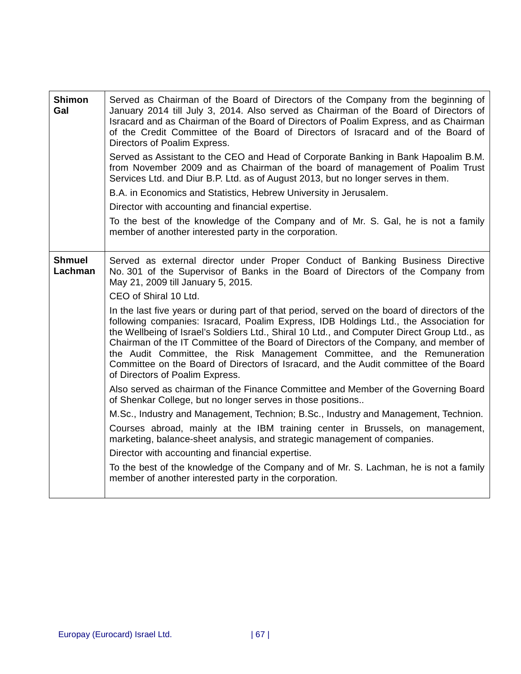| <b>Shimon</b><br>Gal     | Served as Chairman of the Board of Directors of the Company from the beginning of<br>January 2014 till July 3, 2014. Also served as Chairman of the Board of Directors of<br>Isracard and as Chairman of the Board of Directors of Poalim Express, and as Chairman<br>of the Credit Committee of the Board of Directors of Isracard and of the Board of<br>Directors of Poalim Express.<br>Served as Assistant to the CEO and Head of Corporate Banking in Bank Hapoalim B.M.<br>from November 2009 and as Chairman of the board of management of Poalim Trust<br>Services Ltd. and Diur B.P. Ltd. as of August 2013, but no longer serves in them.<br>B.A. in Economics and Statistics, Hebrew University in Jerusalem.<br>Director with accounting and financial expertise. |
|--------------------------|-------------------------------------------------------------------------------------------------------------------------------------------------------------------------------------------------------------------------------------------------------------------------------------------------------------------------------------------------------------------------------------------------------------------------------------------------------------------------------------------------------------------------------------------------------------------------------------------------------------------------------------------------------------------------------------------------------------------------------------------------------------------------------|
|                          | To the best of the knowledge of the Company and of Mr. S. Gal, he is not a family<br>member of another interested party in the corporation.                                                                                                                                                                                                                                                                                                                                                                                                                                                                                                                                                                                                                                   |
| <b>Shmuel</b><br>Lachman | Served as external director under Proper Conduct of Banking Business Directive<br>No. 301 of the Supervisor of Banks in the Board of Directors of the Company from<br>May 21, 2009 till January 5, 2015.<br>CEO of Shiral 10 Ltd.                                                                                                                                                                                                                                                                                                                                                                                                                                                                                                                                             |
|                          | In the last five years or during part of that period, served on the board of directors of the<br>following companies: Isracard, Poalim Express, IDB Holdings Ltd., the Association for<br>the Wellbeing of Israel's Soldiers Ltd., Shiral 10 Ltd., and Computer Direct Group Ltd., as<br>Chairman of the IT Committee of the Board of Directors of the Company, and member of<br>the Audit Committee, the Risk Management Committee, and the Remuneration<br>Committee on the Board of Directors of Isracard, and the Audit committee of the Board<br>of Directors of Poalim Express.                                                                                                                                                                                         |
|                          | Also served as chairman of the Finance Committee and Member of the Governing Board<br>of Shenkar College, but no longer serves in those positions                                                                                                                                                                                                                                                                                                                                                                                                                                                                                                                                                                                                                             |
|                          | M.Sc., Industry and Management, Technion; B.Sc., Industry and Management, Technion.<br>Courses abroad, mainly at the IBM training center in Brussels, on management,<br>marketing, balance-sheet analysis, and strategic management of companies.<br>Director with accounting and financial expertise.                                                                                                                                                                                                                                                                                                                                                                                                                                                                        |
|                          | To the best of the knowledge of the Company and of Mr. S. Lachman, he is not a family<br>member of another interested party in the corporation.                                                                                                                                                                                                                                                                                                                                                                                                                                                                                                                                                                                                                               |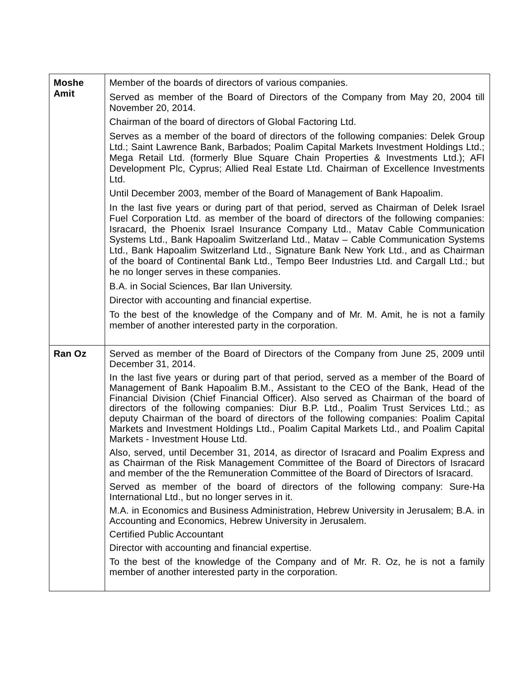| <b>Moshe</b> | Member of the boards of directors of various companies.                                                                                                                                                                                                                                                                                                                                                                                                                                                                                                                               |
|--------------|---------------------------------------------------------------------------------------------------------------------------------------------------------------------------------------------------------------------------------------------------------------------------------------------------------------------------------------------------------------------------------------------------------------------------------------------------------------------------------------------------------------------------------------------------------------------------------------|
| Amit         | Served as member of the Board of Directors of the Company from May 20, 2004 till<br>November 20, 2014.                                                                                                                                                                                                                                                                                                                                                                                                                                                                                |
|              | Chairman of the board of directors of Global Factoring Ltd.                                                                                                                                                                                                                                                                                                                                                                                                                                                                                                                           |
|              | Serves as a member of the board of directors of the following companies: Delek Group<br>Ltd.; Saint Lawrence Bank, Barbados; Poalim Capital Markets Investment Holdings Ltd.;<br>Mega Retail Ltd. (formerly Blue Square Chain Properties & Investments Ltd.); AFI<br>Development Plc, Cyprus; Allied Real Estate Ltd. Chairman of Excellence Investments<br>Ltd.                                                                                                                                                                                                                      |
|              | Until December 2003, member of the Board of Management of Bank Hapoalim.                                                                                                                                                                                                                                                                                                                                                                                                                                                                                                              |
|              | In the last five years or during part of that period, served as Chairman of Delek Israel<br>Fuel Corporation Ltd. as member of the board of directors of the following companies:<br>Isracard, the Phoenix Israel Insurance Company Ltd., Matav Cable Communication<br>Systems Ltd., Bank Hapoalim Switzerland Ltd., Matav - Cable Communication Systems<br>Ltd., Bank Hapoalim Switzerland Ltd., Signature Bank New York Ltd., and as Chairman<br>of the board of Continental Bank Ltd., Tempo Beer Industries Ltd. and Cargall Ltd.; but<br>he no longer serves in these companies. |
|              | B.A. in Social Sciences, Bar Ilan University.                                                                                                                                                                                                                                                                                                                                                                                                                                                                                                                                         |
|              | Director with accounting and financial expertise.                                                                                                                                                                                                                                                                                                                                                                                                                                                                                                                                     |
|              | To the best of the knowledge of the Company and of Mr. M. Amit, he is not a family<br>member of another interested party in the corporation.                                                                                                                                                                                                                                                                                                                                                                                                                                          |
| Ran Oz       | Served as member of the Board of Directors of the Company from June 25, 2009 until<br>December 31, 2014.                                                                                                                                                                                                                                                                                                                                                                                                                                                                              |
|              | In the last five years or during part of that period, served as a member of the Board of<br>Management of Bank Hapoalim B.M., Assistant to the CEO of the Bank, Head of the<br>Financial Division (Chief Financial Officer). Also served as Chairman of the board of<br>directors of the following companies: Diur B.P. Ltd., Poalim Trust Services Ltd.; as<br>deputy Chairman of the board of directors of the following companies: Poalim Capital<br>Markets and Investment Holdings Ltd., Poalim Capital Markets Ltd., and Poalim Capital<br>Markets - Investment House Ltd.      |
|              | Also, served, until December 31, 2014, as director of Isracard and Poalim Express and<br>as Chairman of the Risk Management Committee of the Board of Directors of Isracard<br>and member of the the Remuneration Committee of the Board of Directors of Isracard.                                                                                                                                                                                                                                                                                                                    |
|              | Served as member of the board of directors of the following company: Sure-Ha<br>International Ltd., but no longer serves in it.                                                                                                                                                                                                                                                                                                                                                                                                                                                       |
|              | M.A. in Economics and Business Administration, Hebrew University in Jerusalem; B.A. in<br>Accounting and Economics, Hebrew University in Jerusalem.                                                                                                                                                                                                                                                                                                                                                                                                                                   |
|              | <b>Certified Public Accountant</b>                                                                                                                                                                                                                                                                                                                                                                                                                                                                                                                                                    |
|              | Director with accounting and financial expertise.                                                                                                                                                                                                                                                                                                                                                                                                                                                                                                                                     |
|              | To the best of the knowledge of the Company and of Mr. R. Oz, he is not a family<br>member of another interested party in the corporation.                                                                                                                                                                                                                                                                                                                                                                                                                                            |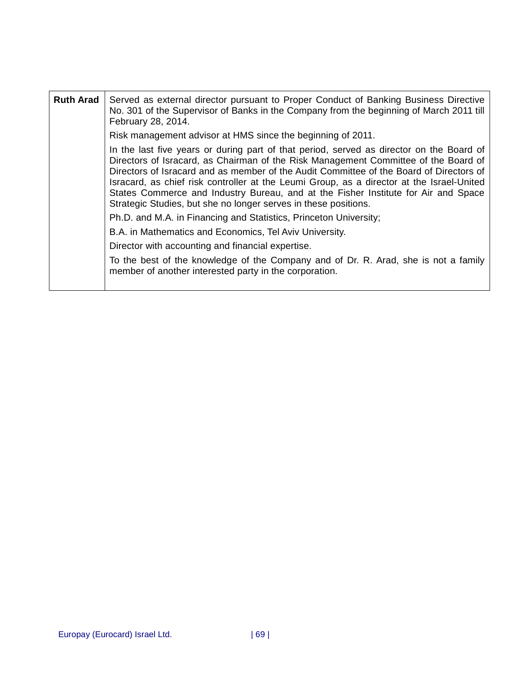| <b>Ruth Arad</b> | Served as external director pursuant to Proper Conduct of Banking Business Directive<br>No. 301 of the Supervisor of Banks in the Company from the beginning of March 2011 till<br>February 28, 2014.                                                                                                                                                                                                                                                                                                                            |
|------------------|----------------------------------------------------------------------------------------------------------------------------------------------------------------------------------------------------------------------------------------------------------------------------------------------------------------------------------------------------------------------------------------------------------------------------------------------------------------------------------------------------------------------------------|
|                  | Risk management advisor at HMS since the beginning of 2011.                                                                                                                                                                                                                                                                                                                                                                                                                                                                      |
|                  | In the last five years or during part of that period, served as director on the Board of<br>Directors of Isracard, as Chairman of the Risk Management Committee of the Board of<br>Directors of Isracard and as member of the Audit Committee of the Board of Directors of<br>Isracard, as chief risk controller at the Leumi Group, as a director at the Israel-United<br>States Commerce and Industry Bureau, and at the Fisher Institute for Air and Space<br>Strategic Studies, but she no longer serves in these positions. |
|                  | Ph.D. and M.A. in Financing and Statistics, Princeton University;                                                                                                                                                                                                                                                                                                                                                                                                                                                                |
|                  | B.A. in Mathematics and Economics, Tel Aviv University.                                                                                                                                                                                                                                                                                                                                                                                                                                                                          |
|                  | Director with accounting and financial expertise.                                                                                                                                                                                                                                                                                                                                                                                                                                                                                |
|                  | To the best of the knowledge of the Company and of Dr. R. Arad, she is not a family<br>member of another interested party in the corporation.                                                                                                                                                                                                                                                                                                                                                                                    |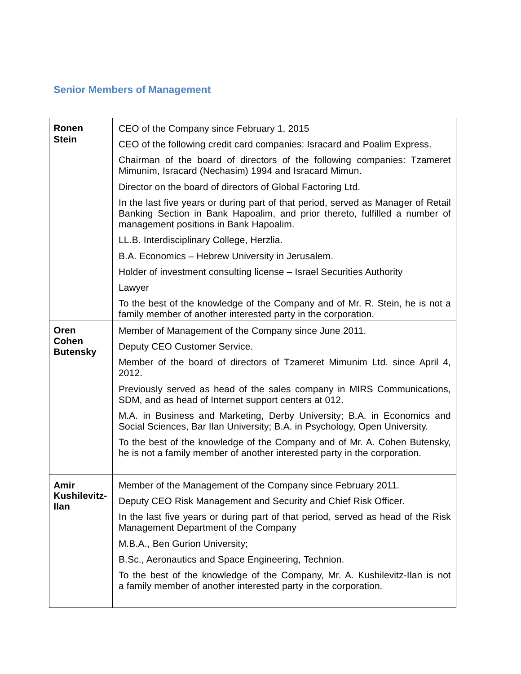# **Senior Members of Management**

| Ronen<br><b>Stein</b>           | CEO of the Company since February 1, 2015                                                                                                                                                                 |
|---------------------------------|-----------------------------------------------------------------------------------------------------------------------------------------------------------------------------------------------------------|
|                                 | CEO of the following credit card companies: Isracard and Poalim Express.                                                                                                                                  |
|                                 | Chairman of the board of directors of the following companies: Tzameret<br>Mimunim, Isracard (Nechasim) 1994 and Isracard Mimun.                                                                          |
|                                 | Director on the board of directors of Global Factoring Ltd.                                                                                                                                               |
|                                 | In the last five years or during part of that period, served as Manager of Retail<br>Banking Section in Bank Hapoalim, and prior thereto, fulfilled a number of<br>management positions in Bank Hapoalim. |
|                                 | LL.B. Interdisciplinary College, Herzlia.                                                                                                                                                                 |
|                                 | B.A. Economics - Hebrew University in Jerusalem.                                                                                                                                                          |
|                                 | Holder of investment consulting license – Israel Securities Authority                                                                                                                                     |
|                                 | Lawyer                                                                                                                                                                                                    |
|                                 | To the best of the knowledge of the Company and of Mr. R. Stein, he is not a<br>family member of another interested party in the corporation.                                                             |
| Oren                            | Member of Management of the Company since June 2011.                                                                                                                                                      |
| <b>Cohen</b><br><b>Butensky</b> | Deputy CEO Customer Service.                                                                                                                                                                              |
|                                 | Member of the board of directors of Tzameret Mimunim Ltd. since April 4,<br>2012.                                                                                                                         |
|                                 | Previously served as head of the sales company in MIRS Communications,<br>SDM, and as head of Internet support centers at 012.                                                                            |
|                                 | M.A. in Business and Marketing, Derby University; B.A. in Economics and<br>Social Sciences, Bar Ilan University; B.A. in Psychology, Open University.                                                     |
|                                 | To the best of the knowledge of the Company and of Mr. A. Cohen Butensky,<br>he is not a family member of another interested party in the corporation.                                                    |
|                                 |                                                                                                                                                                                                           |
| Amir<br>Kushilevitz-            | Member of the Management of the Company since February 2011.                                                                                                                                              |
| <b>Ilan</b>                     | Deputy CEO Risk Management and Security and Chief Risk Officer.                                                                                                                                           |
|                                 | In the last five years or during part of that period, served as head of the Risk<br>Management Department of the Company                                                                                  |
|                                 | M.B.A., Ben Gurion University;                                                                                                                                                                            |
|                                 | B.Sc., Aeronautics and Space Engineering, Technion.                                                                                                                                                       |
|                                 | To the best of the knowledge of the Company, Mr. A. Kushilevitz-Ilan is not<br>a family member of another interested party in the corporation.                                                            |
|                                 |                                                                                                                                                                                                           |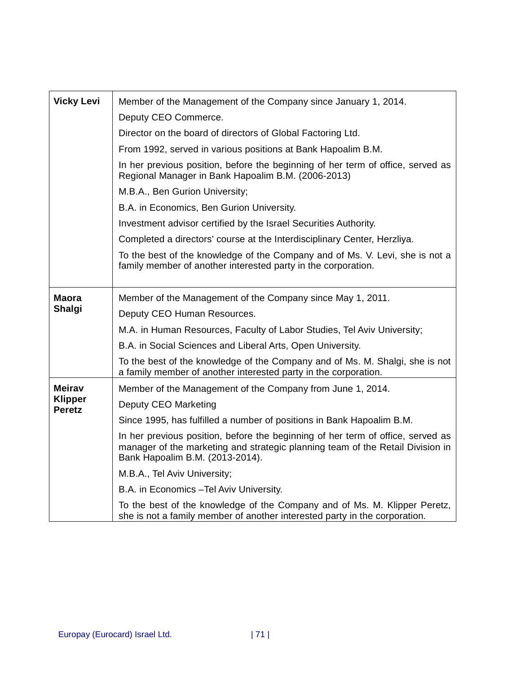| <b>Vicky Levi</b> | Member of the Management of the Company since January 1, 2014.                                                                                                                                       |
|-------------------|------------------------------------------------------------------------------------------------------------------------------------------------------------------------------------------------------|
|                   | Deputy CEO Commerce.                                                                                                                                                                                 |
|                   | Director on the board of directors of Global Factoring Ltd.                                                                                                                                          |
|                   | From 1992, served in various positions at Bank Hapoalim B.M.                                                                                                                                         |
|                   | In her previous position, before the beginning of her term of office, served as<br>Regional Manager in Bank Hapoalim B.M. (2006-2013)                                                                |
|                   | M.B.A., Ben Gurion University;                                                                                                                                                                       |
|                   | B.A. in Economics, Ben Gurion University.                                                                                                                                                            |
|                   | Investment advisor certified by the Israel Securities Authority.                                                                                                                                     |
|                   | Completed a directors' course at the Interdisciplinary Center, Herzliya.                                                                                                                             |
|                   | To the best of the knowledge of the Company and of Ms. V. Levi, she is not a<br>family member of another interested party in the corporation.                                                        |
| <b>Maora</b>      | Member of the Management of the Company since May 1, 2011.                                                                                                                                           |
| <b>Shalgi</b>     | Deputy CEO Human Resources.                                                                                                                                                                          |
|                   | M.A. in Human Resources, Faculty of Labor Studies, Tel Aviv University;                                                                                                                              |
|                   | B.A. in Social Sciences and Liberal Arts, Open University.                                                                                                                                           |
|                   | To the best of the knowledge of the Company and of Ms. M. Shalgi, she is not<br>a family member of another interested party in the corporation.                                                      |
| <b>Meirav</b>     | Member of the Management of the Company from June 1, 2014.                                                                                                                                           |
| <b>Klipper</b>    | <b>Deputy CEO Marketing</b>                                                                                                                                                                          |
| <b>Peretz</b>     | Since 1995, has fulfilled a number of positions in Bank Hapoalim B.M.                                                                                                                                |
|                   | In her previous position, before the beginning of her term of office, served as<br>manager of the marketing and strategic planning team of the Retail Division in<br>Bank Hapoalim B.M. (2013-2014). |
|                   | M.B.A., Tel Aviv University;                                                                                                                                                                         |
|                   | B.A. in Economics - Tel Aviv University.                                                                                                                                                             |
|                   | To the best of the knowledge of the Company and of Ms. M. Klipper Peretz,<br>she is not a family member of another interested party in the corporation.                                              |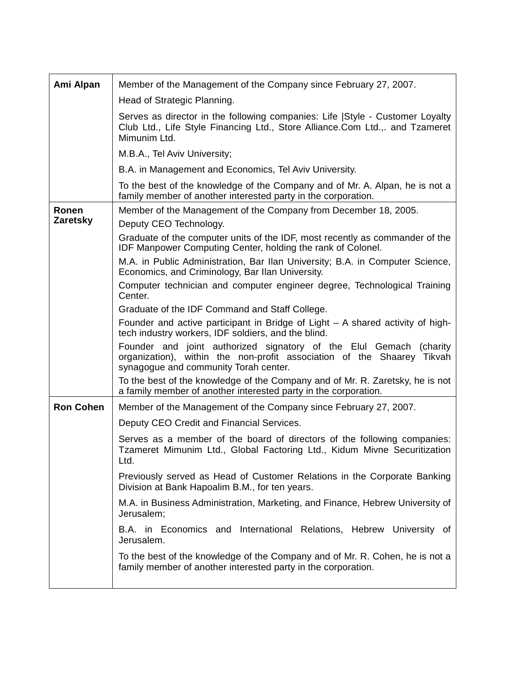| Ami Alpan        | Member of the Management of the Company since February 27, 2007.                                                                                                                      |
|------------------|---------------------------------------------------------------------------------------------------------------------------------------------------------------------------------------|
|                  | Head of Strategic Planning.                                                                                                                                                           |
|                  | Serves as director in the following companies: Life  Style - Customer Loyalty<br>Club Ltd., Life Style Financing Ltd., Store Alliance.Com Ltd., and Tzameret<br>Mimunim Ltd.          |
|                  | M.B.A., Tel Aviv University;                                                                                                                                                          |
|                  | B.A. in Management and Economics, Tel Aviv University.                                                                                                                                |
|                  | To the best of the knowledge of the Company and of Mr. A. Alpan, he is not a<br>family member of another interested party in the corporation.                                         |
| Ronen            | Member of the Management of the Company from December 18, 2005.                                                                                                                       |
| <b>Zaretsky</b>  | Deputy CEO Technology.                                                                                                                                                                |
|                  | Graduate of the computer units of the IDF, most recently as commander of the<br>IDF Manpower Computing Center, holding the rank of Colonel.                                           |
|                  | M.A. in Public Administration, Bar Ilan University; B.A. in Computer Science,<br>Economics, and Criminology, Bar Ilan University.                                                     |
|                  | Computer technician and computer engineer degree, Technological Training<br>Center.                                                                                                   |
|                  | Graduate of the IDF Command and Staff College.                                                                                                                                        |
|                  | Founder and active participant in Bridge of Light – A shared activity of high-<br>tech industry workers, IDF soldiers, and the blind.                                                 |
|                  | Founder and joint authorized signatory of the Elul Gemach (charity<br>organization), within the non-profit association of the Shaarey Tikvah<br>synagogue and community Torah center. |
|                  | To the best of the knowledge of the Company and of Mr. R. Zaretsky, he is not<br>a family member of another interested party in the corporation.                                      |
| <b>Ron Cohen</b> | Member of the Management of the Company since February 27, 2007.                                                                                                                      |
|                  | Deputy CEO Credit and Financial Services.                                                                                                                                             |
|                  | Serves as a member of the board of directors of the following companies:<br>Tzameret Mimunim Ltd., Global Factoring Ltd., Kidum Mivne Securitization<br>Ltd.                          |
|                  | Previously served as Head of Customer Relations in the Corporate Banking<br>Division at Bank Hapoalim B.M., for ten years.                                                            |
|                  | M.A. in Business Administration, Marketing, and Finance, Hebrew University of<br>Jerusalem;                                                                                           |
|                  | B.A. in Economics and International Relations, Hebrew University of<br>Jerusalem.                                                                                                     |
|                  | To the best of the knowledge of the Company and of Mr. R. Cohen, he is not a<br>family member of another interested party in the corporation.                                         |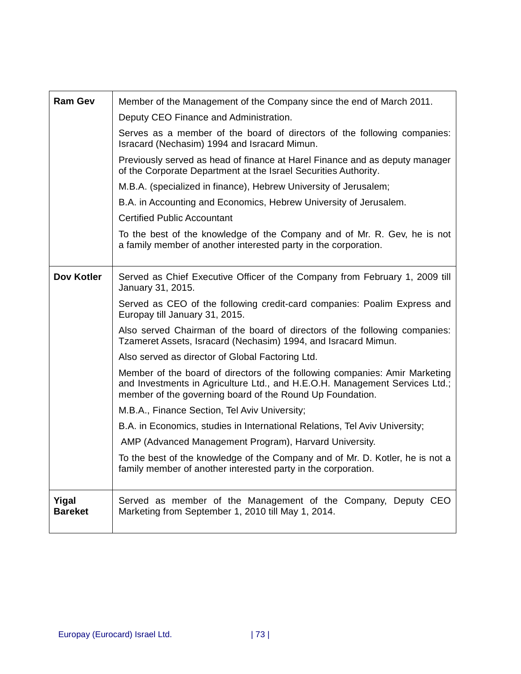| <b>Ram Gev</b>          | Member of the Management of the Company since the end of March 2011.                                                                                                                                                    |
|-------------------------|-------------------------------------------------------------------------------------------------------------------------------------------------------------------------------------------------------------------------|
|                         | Deputy CEO Finance and Administration.                                                                                                                                                                                  |
|                         | Serves as a member of the board of directors of the following companies:<br>Isracard (Nechasim) 1994 and Isracard Mimun.                                                                                                |
|                         | Previously served as head of finance at Harel Finance and as deputy manager<br>of the Corporate Department at the Israel Securities Authority.                                                                          |
|                         | M.B.A. (specialized in finance), Hebrew University of Jerusalem;                                                                                                                                                        |
|                         | B.A. in Accounting and Economics, Hebrew University of Jerusalem.                                                                                                                                                       |
|                         | <b>Certified Public Accountant</b>                                                                                                                                                                                      |
|                         | To the best of the knowledge of the Company and of Mr. R. Gev, he is not<br>a family member of another interested party in the corporation.                                                                             |
| <b>Dov Kotler</b>       | Served as Chief Executive Officer of the Company from February 1, 2009 till<br>January 31, 2015.                                                                                                                        |
|                         | Served as CEO of the following credit-card companies: Poalim Express and<br>Europay till January 31, 2015.                                                                                                              |
|                         | Also served Chairman of the board of directors of the following companies:<br>Tzameret Assets, Isracard (Nechasim) 1994, and Isracard Mimun.                                                                            |
|                         | Also served as director of Global Factoring Ltd.                                                                                                                                                                        |
|                         | Member of the board of directors of the following companies: Amir Marketing<br>and Investments in Agriculture Ltd., and H.E.O.H. Management Services Ltd.;<br>member of the governing board of the Round Up Foundation. |
|                         | M.B.A., Finance Section, Tel Aviv University;                                                                                                                                                                           |
|                         | B.A. in Economics, studies in International Relations, Tel Aviv University;                                                                                                                                             |
|                         | AMP (Advanced Management Program), Harvard University.                                                                                                                                                                  |
|                         | To the best of the knowledge of the Company and of Mr. D. Kotler, he is not a<br>family member of another interested party in the corporation.                                                                          |
| Yigal<br><b>Bareket</b> | Served as member of the Management of the Company, Deputy CEO<br>Marketing from September 1, 2010 till May 1, 2014.                                                                                                     |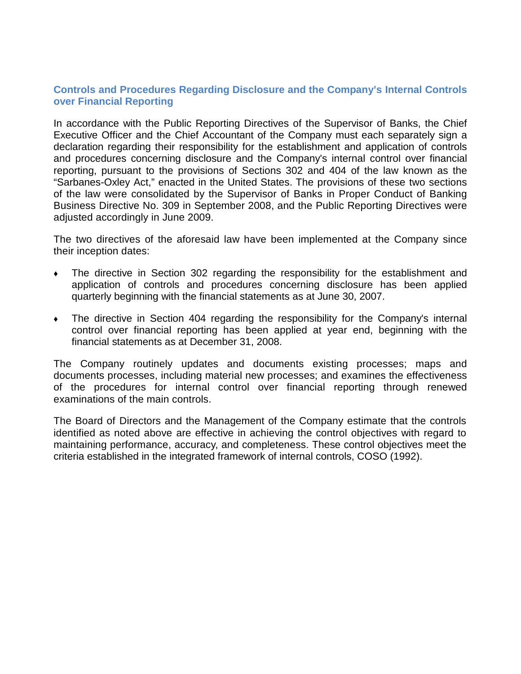#### **Controls and Procedures Regarding Disclosure and the Company's Internal Controls over Financial Reporting**

In accordance with the Public Reporting Directives of the Supervisor of Banks, the Chief Executive Officer and the Chief Accountant of the Company must each separately sign a declaration regarding their responsibility for the establishment and application of controls and procedures concerning disclosure and the Company's internal control over financial reporting, pursuant to the provisions of Sections 302 and 404 of the law known as the "Sarbanes-Oxley Act," enacted in the United States. The provisions of these two sections of the law were consolidated by the Supervisor of Banks in Proper Conduct of Banking Business Directive No. 309 in September 2008, and the Public Reporting Directives were adjusted accordingly in June 2009.

The two directives of the aforesaid law have been implemented at the Company since their inception dates:

- ♦ The directive in Section 302 regarding the responsibility for the establishment and application of controls and procedures concerning disclosure has been applied quarterly beginning with the financial statements as at June 30, 2007.
- ♦ The directive in Section 404 regarding the responsibility for the Company's internal control over financial reporting has been applied at year end, beginning with the financial statements as at December 31, 2008.

The Company routinely updates and documents existing processes; maps and documents processes, including material new processes; and examines the effectiveness of the procedures for internal control over financial reporting through renewed examinations of the main controls.

The Board of Directors and the Management of the Company estimate that the controls identified as noted above are effective in achieving the control objectives with regard to maintaining performance, accuracy, and completeness. These control objectives meet the criteria established in the integrated framework of internal controls, COSO (1992).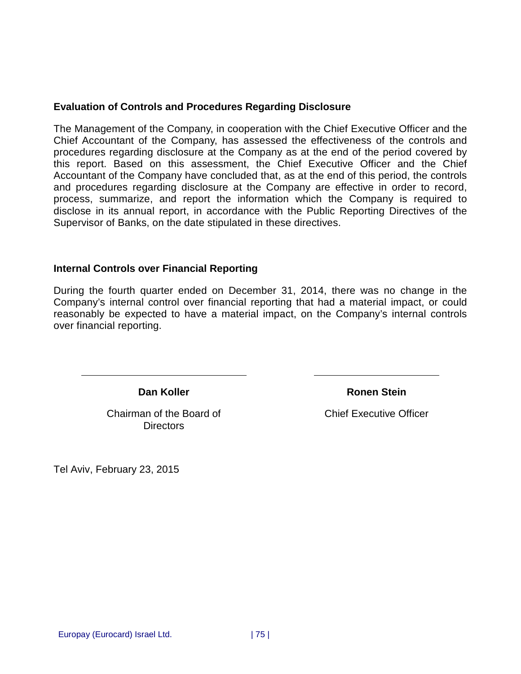#### **Evaluation of Controls and Procedures Regarding Disclosure**

The Management of the Company, in cooperation with the Chief Executive Officer and the Chief Accountant of the Company, has assessed the effectiveness of the controls and procedures regarding disclosure at the Company as at the end of the period covered by this report. Based on this assessment, the Chief Executive Officer and the Chief Accountant of the Company have concluded that, as at the end of this period, the controls and procedures regarding disclosure at the Company are effective in order to record, process, summarize, and report the information which the Company is required to disclose in its annual report, in accordance with the Public Reporting Directives of the Supervisor of Banks, on the date stipulated in these directives.

#### **Internal Controls over Financial Reporting**

During the fourth quarter ended on December 31, 2014, there was no change in the Company's internal control over financial reporting that had a material impact, or could reasonably be expected to have a material impact, on the Company's internal controls over financial reporting.

**Dan Koller**

Chairman of the Board of Directors

Tel Aviv, February 23, 2015

**Ronen Stein**

Chief Executive Officer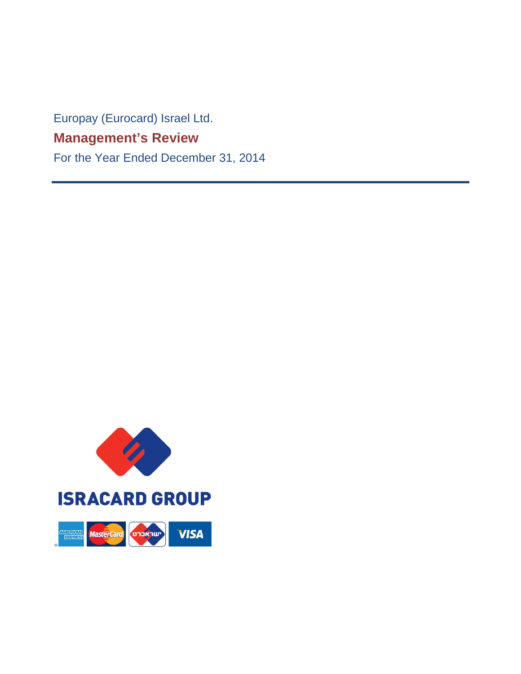Europay (Eurocard) Israel Ltd. **Management's Review** 

For the Year Ended December 31, 2014

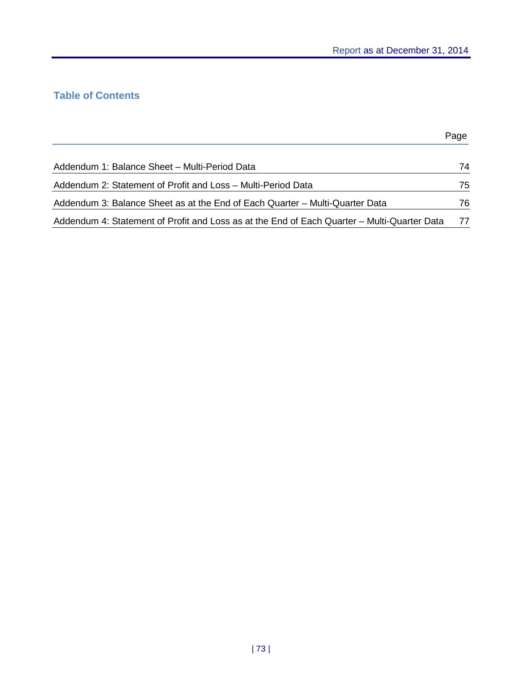# **Table of Contents**

|                                                                                             | Page |
|---------------------------------------------------------------------------------------------|------|
| Addendum 1: Balance Sheet - Multi-Period Data                                               | 74   |
| Addendum 2: Statement of Profit and Loss - Multi-Period Data                                | 75   |
| Addendum 3: Balance Sheet as at the End of Each Quarter - Multi-Quarter Data                | 76   |
| Addendum 4: Statement of Profit and Loss as at the End of Each Quarter - Multi-Quarter Data | 77   |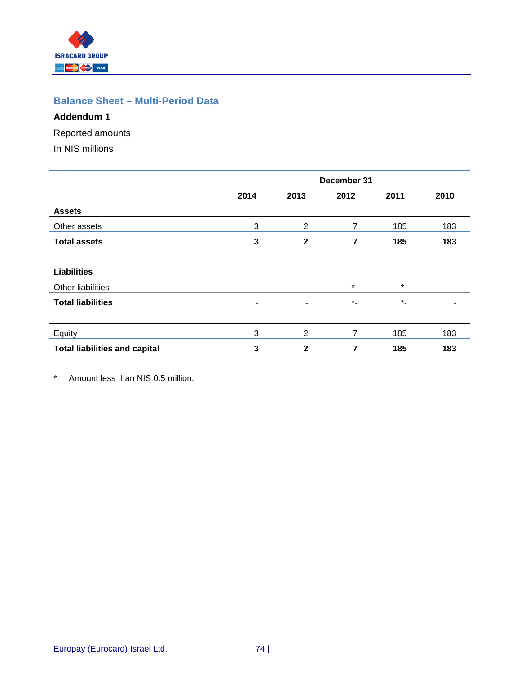

# <span id="page-77-0"></span>**Balance Sheet – Multi-Period Data**

# **Addendum 1**

Reported amounts

In NIS millions

|                                      | December 31 |                |           |         |      |  |
|--------------------------------------|-------------|----------------|-----------|---------|------|--|
|                                      | 2014        | 2013           | 2012      | 2011    | 2010 |  |
| <b>Assets</b>                        |             |                |           |         |      |  |
| Other assets                         | 3           | $\overline{2}$ | 7         | 185     | 183  |  |
| <b>Total assets</b>                  | 3           | $\mathbf{2}$   | 7         | 185     | 183  |  |
|                                      |             |                |           |         |      |  |
| <b>Liabilities</b>                   |             |                |           |         |      |  |
| Other liabilities                    | ۰.          | ٠              | $\star$ . | $\star$ |      |  |
| <b>Total liabilities</b>             | ۰           | ۰              | $\star$ . | $\star$ | ۰    |  |
|                                      |             |                |           |         |      |  |
| Equity                               | 3           | 2              | 7         | 185     | 183  |  |
| <b>Total liabilities and capital</b> | 3           | 2              |           | 185     | 183  |  |

\* Amount less than NIS 0.5 million.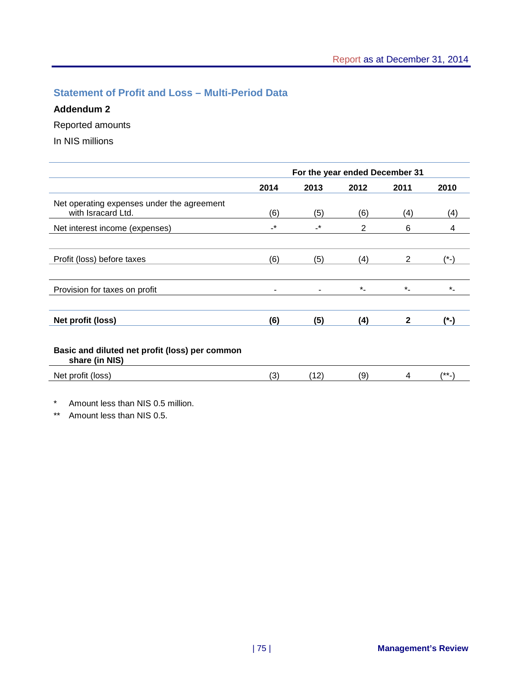# <span id="page-78-0"></span>**Statement of Profit and Loss – Multi-Period Data**

#### **Addendum 2**

Reported amounts

In NIS millions

|                                                                  | For the year ended December 31 |           |      |              |         |
|------------------------------------------------------------------|--------------------------------|-----------|------|--------------|---------|
|                                                                  | 2014                           | 2013      | 2012 | 2011         | 2010    |
| Net operating expenses under the agreement<br>with Isracard Ltd. | (6)                            | (5)       | (6)  | (4)          | (4)     |
| Net interest income (expenses)                                   | $\cdot^{\star}$                | $\cdot^*$ | 2    | 6            | 4       |
|                                                                  |                                |           |      |              |         |
| Profit (loss) before taxes                                       | (6)                            | (5)       | (4)  | 2            | (*-)    |
|                                                                  |                                |           |      |              |         |
| Provision for taxes on profit                                    | ۰                              |           | $*$  | $\star$      | $\star$ |
|                                                                  |                                |           |      |              |         |
| Net profit (loss)                                                | (6)                            | (5)       | (4)  | $\mathbf{2}$ | (*-)    |
|                                                                  |                                |           |      |              |         |
| Basic and diluted net profit (loss) per common<br>share (in NIS) |                                |           |      |              |         |

Net profit (loss) (3) (12) (9) 4 (\*\*-)

\* Amount less than NIS 0.5 million.

\*\* Amount less than NIS 0.5.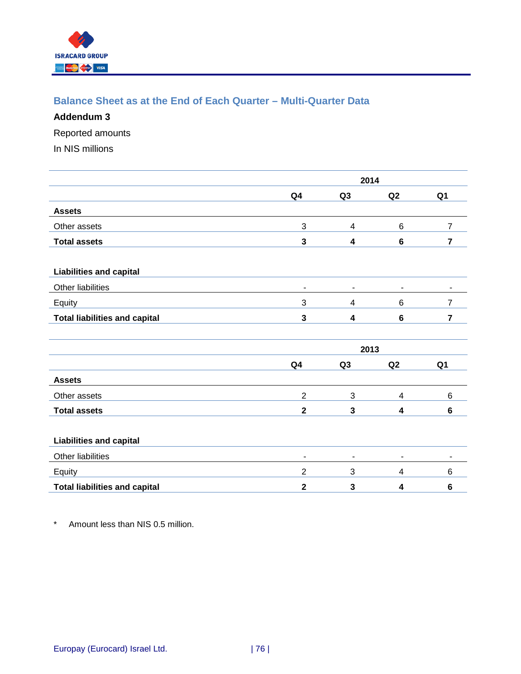

# <span id="page-79-0"></span>**Balance Sheet as at the End of Each Quarter – Multi-Quarter Data**

### **Addendum 3**

Reported amounts

In NIS millions

|                                      | 2014           |                              |                          |                          |  |
|--------------------------------------|----------------|------------------------------|--------------------------|--------------------------|--|
|                                      | Q4             | Q3                           | Q2                       | Q <sub>1</sub>           |  |
| <b>Assets</b>                        |                |                              |                          |                          |  |
| Other assets                         | 3              | $\overline{4}$               | $\,6$                    | $\overline{7}$           |  |
| <b>Total assets</b>                  | 3              | 4                            | 6                        | $\overline{7}$           |  |
|                                      |                |                              |                          |                          |  |
| <b>Liabilities and capital</b>       |                |                              |                          |                          |  |
| Other liabilities                    | $\blacksquare$ | $\qquad \qquad \blacksquare$ | $\overline{\phantom{0}}$ | $\overline{\phantom{0}}$ |  |
| Equity                               | 3              | 4                            | $\,6$                    | $\overline{7}$           |  |
| <b>Total liabilities and capital</b> | 3              | 4                            | $6\phantom{a}$           | $\overline{7}$           |  |
|                                      |                |                              |                          |                          |  |
|                                      | 2013           |                              |                          |                          |  |
|                                      |                |                              |                          |                          |  |
|                                      | Q4             | Q3                           | Q2                       | Q <sub>1</sub>           |  |
| <b>Assets</b>                        |                |                              |                          |                          |  |
| Other assets                         | $\overline{2}$ | 3                            | 4                        | 6                        |  |
| <b>Total assets</b>                  | $\mathbf{2}$   | 3                            | $\overline{\mathbf{4}}$  | 6                        |  |
|                                      |                |                              |                          |                          |  |
| <b>Liabilities and capital</b>       |                |                              |                          |                          |  |
| Other liabilities                    |                |                              |                          |                          |  |
| Equity                               | $\overline{2}$ | 3                            | 4                        | 6                        |  |

\* Amount less than NIS 0.5 million.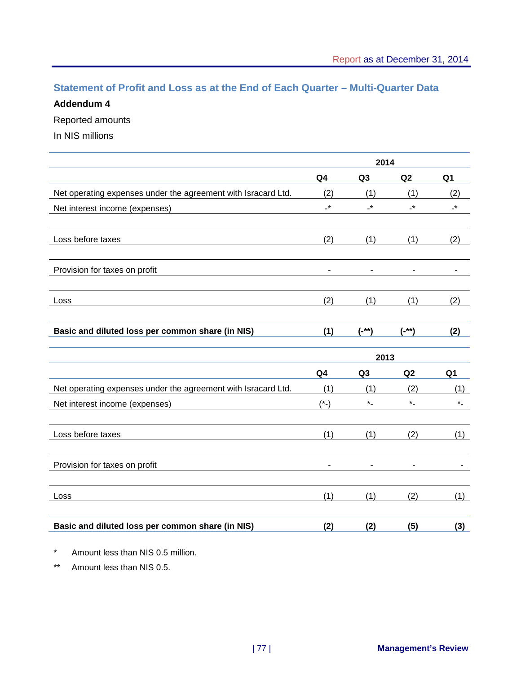# <span id="page-80-0"></span>**Statement of Profit and Loss as at the End of Each Quarter – Multi-Quarter Data**

#### **Addendum 4**

Reported amounts

In NIS millions

|                                                               | 2014           |                |                |                |
|---------------------------------------------------------------|----------------|----------------|----------------|----------------|
|                                                               | Q <sub>4</sub> | Q <sub>3</sub> | Q2             | Q <sub>1</sub> |
| Net operating expenses under the agreement with Isracard Ltd. | (2)            | (1)            | (1)            | (2)            |
| Net interest income (expenses)                                | -*             | -*             | -*             | -*             |
| Loss before taxes                                             | (2)            | (1)            | (1)            | (2)            |
| Provision for taxes on profit                                 |                |                |                |                |
| Loss                                                          | (2)            | (1)            | (1)            | (2)            |
| Basic and diluted loss per common share (in NIS)              | (1)            | $(-^{**})$     | $(-^{**})$     | (2)            |
|                                                               |                | 2013           |                |                |
|                                                               | Q4             | Q <sub>3</sub> | Q <sub>2</sub> | Q <sub>1</sub> |
| Net operating expenses under the agreement with Isracard Ltd. | (1)            | (1)            | (2)            | (1)            |
| Net interest income (expenses)                                | $(*-)$         | $\star$        | $\star$        | $^\star$ .     |
| Loss before taxes                                             | (1)            | (1)            | (2)            | (1)            |
| Provision for taxes on profit                                 |                |                |                |                |
| Loss                                                          | (1)            | (1)            | (2)            | (1)            |
| Basic and diluted loss per common share (in NIS)              | (2)            | (2)            | (5)            | (3)            |

\* Amount less than NIS 0.5 million.

\*\* Amount less than NIS 0.5.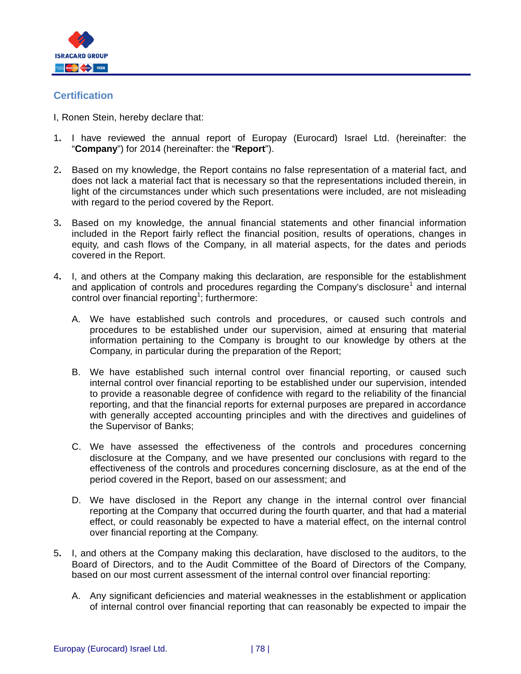

#### **Certification**

I, Ronen Stein, hereby declare that:

- 1**.** I have reviewed the annual report of Europay (Eurocard) Israel Ltd. (hereinafter: the "**Company**") for 2014 (hereinafter: the "**Report**").
- 2**.** Based on my knowledge, the Report contains no false representation of a material fact, and does not lack a material fact that is necessary so that the representations included therein, in light of the circumstances under which such presentations were included, are not misleading with regard to the period covered by the Report.
- 3**.** Based on my knowledge, the annual financial statements and other financial information included in the Report fairly reflect the financial position, results of operations, changes in equity, and cash flows of the Company, in all material aspects, for the dates and periods covered in the Report.
- 4**.** I, and others at the Company making this declaration, are responsible for the establishment and application of controls and procedures regarding the Company's disclosure<sup>1</sup> and internal control over financial reporting<sup>1</sup>; furthermore:
	- A. We have established such controls and procedures, or caused such controls and procedures to be established under our supervision, aimed at ensuring that material information pertaining to the Company is brought to our knowledge by others at the Company, in particular during the preparation of the Report;
	- B. We have established such internal control over financial reporting, or caused such internal control over financial reporting to be established under our supervision, intended to provide a reasonable degree of confidence with regard to the reliability of the financial reporting, and that the financial reports for external purposes are prepared in accordance with generally accepted accounting principles and with the directives and guidelines of the Supervisor of Banks;
	- C. We have assessed the effectiveness of the controls and procedures concerning disclosure at the Company, and we have presented our conclusions with regard to the effectiveness of the controls and procedures concerning disclosure, as at the end of the period covered in the Report, based on our assessment; and
	- D. We have disclosed in the Report any change in the internal control over financial reporting at the Company that occurred during the fourth quarter, and that had a material effect, or could reasonably be expected to have a material effect, on the internal control over financial reporting at the Company.
- 5**.** I, and others at the Company making this declaration, have disclosed to the auditors, to the Board of Directors, and to the Audit Committee of the Board of Directors of the Company, based on our most current assessment of the internal control over financial reporting:
	- A. Any significant deficiencies and material weaknesses in the establishment or application of internal control over financial reporting that can reasonably be expected to impair the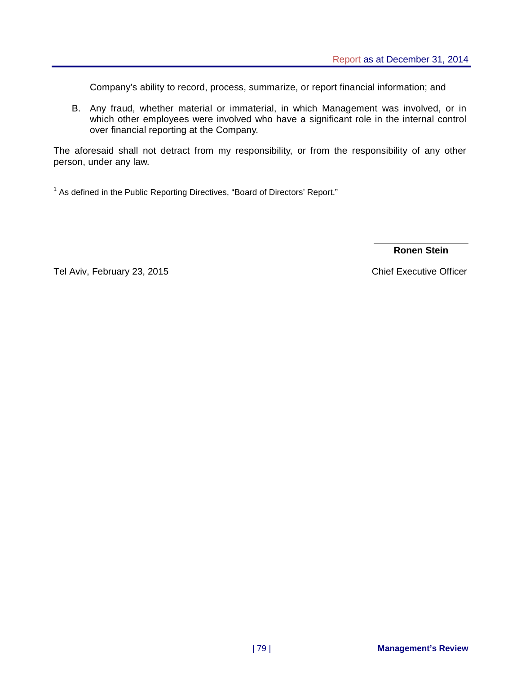Company's ability to record, process, summarize, or report financial information; and

B. Any fraud, whether material or immaterial, in which Management was involved, or in which other employees were involved who have a significant role in the internal control over financial reporting at the Company.

The aforesaid shall not detract from my responsibility, or from the responsibility of any other person, under any law.

<sup>1</sup> As defined in the Public Reporting Directives, "Board of Directors' Report."

**Ronen Stein**

Tel Aviv, February 23, 2015 **Chief Executive Officer** Chief Executive Officer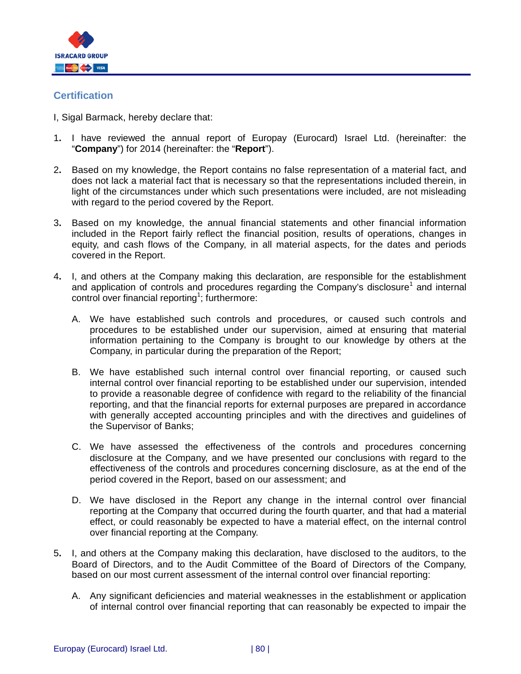

## **Certification**

I, Sigal Barmack, hereby declare that:

- 1**.** I have reviewed the annual report of Europay (Eurocard) Israel Ltd. (hereinafter: the "**Company**") for 2014 (hereinafter: the "**Report**").
- 2**.** Based on my knowledge, the Report contains no false representation of a material fact, and does not lack a material fact that is necessary so that the representations included therein, in light of the circumstances under which such presentations were included, are not misleading with regard to the period covered by the Report.
- 3**.** Based on my knowledge, the annual financial statements and other financial information included in the Report fairly reflect the financial position, results of operations, changes in equity, and cash flows of the Company, in all material aspects, for the dates and periods covered in the Report.
- 4**.** I, and others at the Company making this declaration, are responsible for the establishment and application of controls and procedures regarding the Company's disclosure<sup>1</sup> and internal control over financial reporting<sup>1</sup>; furthermore:
	- A. We have established such controls and procedures, or caused such controls and procedures to be established under our supervision, aimed at ensuring that material information pertaining to the Company is brought to our knowledge by others at the Company, in particular during the preparation of the Report;
	- B. We have established such internal control over financial reporting, or caused such internal control over financial reporting to be established under our supervision, intended to provide a reasonable degree of confidence with regard to the reliability of the financial reporting, and that the financial reports for external purposes are prepared in accordance with generally accepted accounting principles and with the directives and guidelines of the Supervisor of Banks;
	- C. We have assessed the effectiveness of the controls and procedures concerning disclosure at the Company, and we have presented our conclusions with regard to the effectiveness of the controls and procedures concerning disclosure, as at the end of the period covered in the Report, based on our assessment; and
	- D. We have disclosed in the Report any change in the internal control over financial reporting at the Company that occurred during the fourth quarter, and that had a material effect, or could reasonably be expected to have a material effect, on the internal control over financial reporting at the Company.
- 5**.** I, and others at the Company making this declaration, have disclosed to the auditors, to the Board of Directors, and to the Audit Committee of the Board of Directors of the Company, based on our most current assessment of the internal control over financial reporting:
	- A. Any significant deficiencies and material weaknesses in the establishment or application of internal control over financial reporting that can reasonably be expected to impair the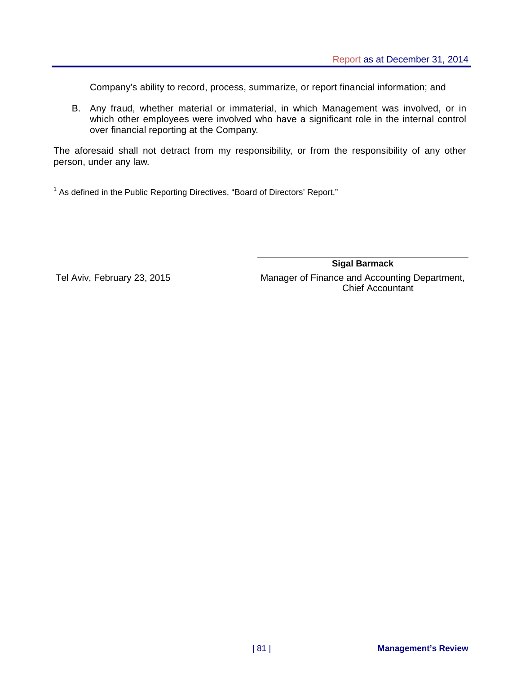Company's ability to record, process, summarize, or report financial information; and

B. Any fraud, whether material or immaterial, in which Management was involved, or in which other employees were involved who have a significant role in the internal control over financial reporting at the Company.

The aforesaid shall not detract from my responsibility, or from the responsibility of any other person, under any law.

 $1$  As defined in the Public Reporting Directives, "Board of Directors' Report."

**Sigal Barmack** Tel Aviv, February 23, 2015 Manager of Finance and Accounting Department, Chief Accountant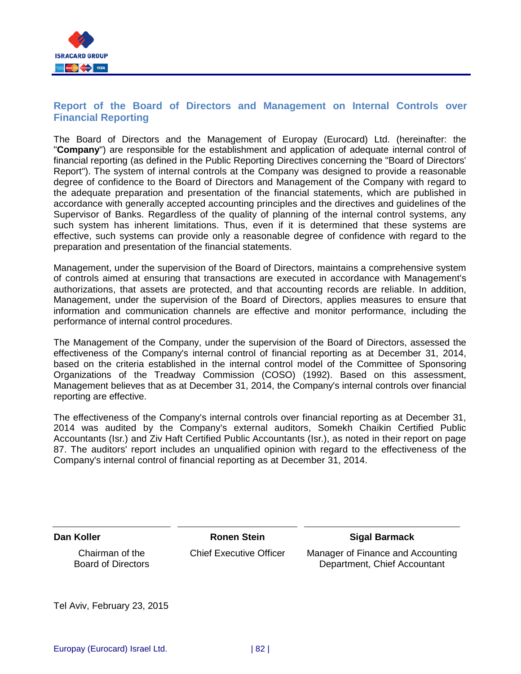

#### **Report of the Board of Directors and Management on Internal Controls over Financial Reporting**

The Board of Directors and the Management of Europay (Eurocard) Ltd. (hereinafter: the "**Company**") are responsible for the establishment and application of adequate internal control of financial reporting (as defined in the Public Reporting Directives concerning the "Board of Directors' Report"). The system of internal controls at the Company was designed to provide a reasonable degree of confidence to the Board of Directors and Management of the Company with regard to the adequate preparation and presentation of the financial statements, which are published in accordance with generally accepted accounting principles and the directives and guidelines of the Supervisor of Banks. Regardless of the quality of planning of the internal control systems, any such system has inherent limitations. Thus, even if it is determined that these systems are effective, such systems can provide only a reasonable degree of confidence with regard to the preparation and presentation of the financial statements.

Management, under the supervision of the Board of Directors, maintains a comprehensive system of controls aimed at ensuring that transactions are executed in accordance with Management's authorizations, that assets are protected, and that accounting records are reliable. In addition, Management, under the supervision of the Board of Directors, applies measures to ensure that information and communication channels are effective and monitor performance, including the performance of internal control procedures.

The Management of the Company, under the supervision of the Board of Directors, assessed the effectiveness of the Company's internal control of financial reporting as at December 31, 2014, based on the criteria established in the internal control model of the Committee of Sponsoring Organizations of the Treadway Commission (COSO) (1992). Based on this assessment, Management believes that as at December 31, 2014, the Company's internal controls over financial reporting are effective.

The effectiveness of the Company's internal controls over financial reporting as at December 31, 2014 was audited by the Company's external auditors, Somekh Chaikin Certified Public Accountants (Isr.) and Ziv Haft Certified Public Accountants (Isr.), as noted in their report on page 87. The auditors' report includes an unqualified opinion with regard to the effectiveness of the Company's internal control of financial reporting as at December 31, 2014.

Chairman of the Board of Directors

**Dan Koller Ronen Stein Sigal Barmack**

Chief Executive Officer Manager of Finance and Accounting Department, Chief Accountant

Tel Aviv, February 23, 2015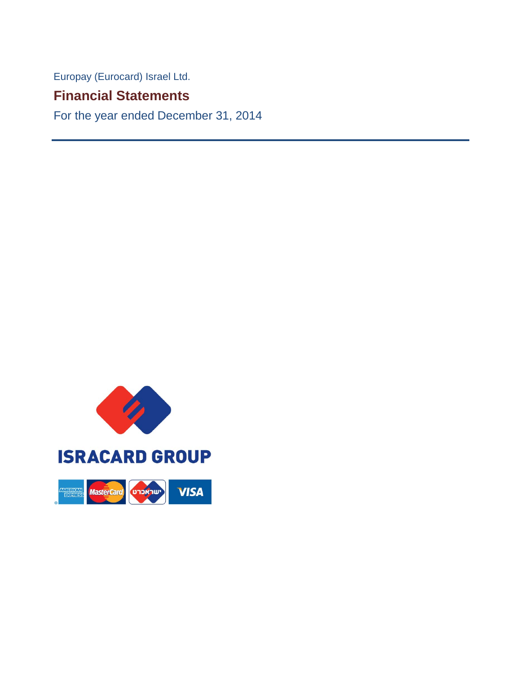Europay (Eurocard) Israel Ltd.

# **Financial Statements**

For the year ended December 31, 2014

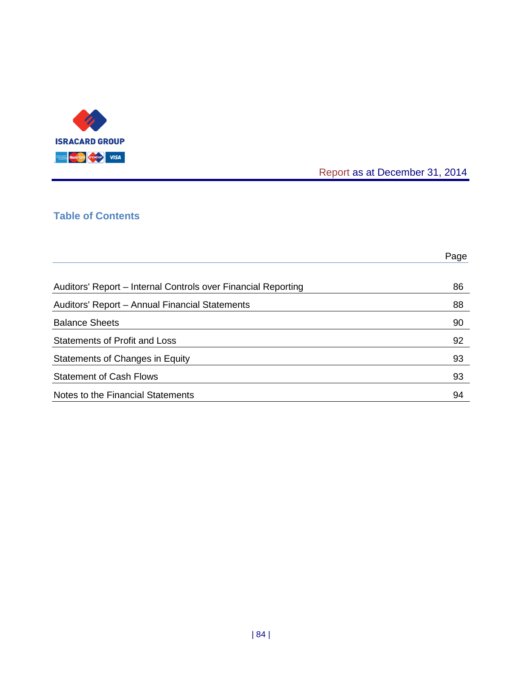

# Report as at December 31, 2014

# **Table of Contents**

|                                                               | Page |
|---------------------------------------------------------------|------|
| Auditors' Report – Internal Controls over Financial Reporting | 86   |
| Auditors' Report - Annual Financial Statements                | 88   |
| <b>Balance Sheets</b>                                         | 90   |
| <b>Statements of Profit and Loss</b>                          | 92   |
| Statements of Changes in Equity                               | 93   |
| <b>Statement of Cash Flows</b>                                | 93   |
| Notes to the Financial Statements                             | 94   |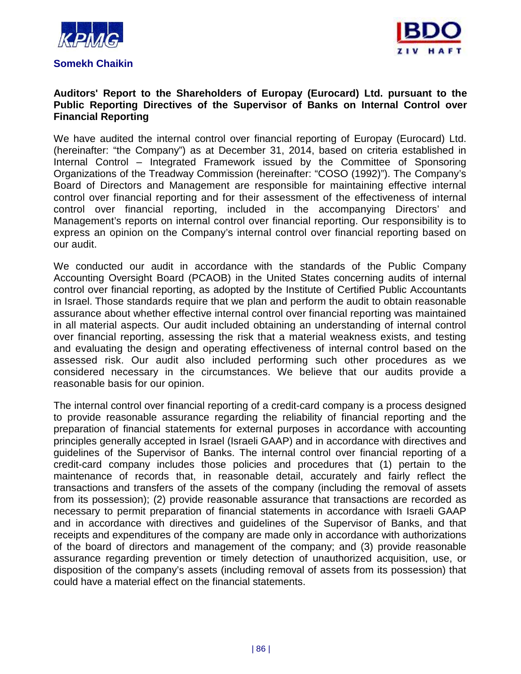



#### <span id="page-89-0"></span>**Auditors' Report to the Shareholders of Europay (Eurocard) Ltd. pursuant to the Public Reporting Directives of the Supervisor of Banks on Internal Control over Financial Reporting**

We have audited the internal control over financial reporting of Europay (Eurocard) Ltd. (hereinafter: "the Company") as at December 31, 2014, based on criteria established in Internal Control – Integrated Framework issued by the Committee of Sponsoring Organizations of the Treadway Commission (hereinafter: "COSO (1992)"). The Company's Board of Directors and Management are responsible for maintaining effective internal control over financial reporting and for their assessment of the effectiveness of internal control over financial reporting, included in the accompanying Directors' and Management's reports on internal control over financial reporting. Our responsibility is to express an opinion on the Company's internal control over financial reporting based on our audit.

We conducted our audit in accordance with the standards of the Public Company Accounting Oversight Board (PCAOB) in the United States concerning audits of internal control over financial reporting, as adopted by the Institute of Certified Public Accountants in Israel. Those standards require that we plan and perform the audit to obtain reasonable assurance about whether effective internal control over financial reporting was maintained in all material aspects. Our audit included obtaining an understanding of internal control over financial reporting, assessing the risk that a material weakness exists, and testing and evaluating the design and operating effectiveness of internal control based on the assessed risk. Our audit also included performing such other procedures as we considered necessary in the circumstances. We believe that our audits provide a reasonable basis for our opinion.

The internal control over financial reporting of a credit-card company is a process designed to provide reasonable assurance regarding the reliability of financial reporting and the preparation of financial statements for external purposes in accordance with accounting principles generally accepted in Israel (Israeli GAAP) and in accordance with directives and guidelines of the Supervisor of Banks. The internal control over financial reporting of a credit-card company includes those policies and procedures that (1) pertain to the maintenance of records that, in reasonable detail, accurately and fairly reflect the transactions and transfers of the assets of the company (including the removal of assets from its possession); (2) provide reasonable assurance that transactions are recorded as necessary to permit preparation of financial statements in accordance with Israeli GAAP and in accordance with directives and guidelines of the Supervisor of Banks, and that receipts and expenditures of the company are made only in accordance with authorizations of the board of directors and management of the company; and (3) provide reasonable assurance regarding prevention or timely detection of unauthorized acquisition, use, or disposition of the company's assets (including removal of assets from its possession) that could have a material effect on the financial statements.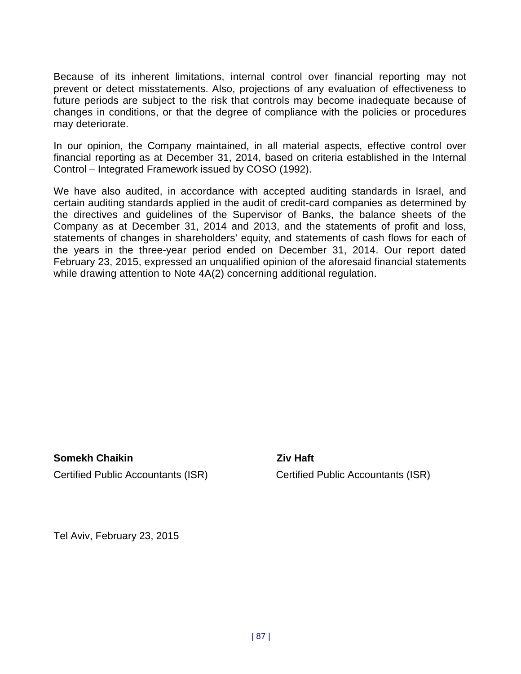Because of its inherent limitations, internal control over financial reporting may not prevent or detect misstatements. Also, projections of any evaluation of effectiveness to future periods are subject to the risk that controls may become inadequate because of changes in conditions, or that the degree of compliance with the policies or procedures may deteriorate.

In our opinion, the Company maintained, in all material aspects, effective control over financial reporting as at December 31, 2014, based on criteria established in the Internal Control – Integrated Framework issued by COSO (1992).

We have also audited, in accordance with accepted auditing standards in Israel, and certain auditing standards applied in the audit of credit-card companies as determined by the directives and guidelines of the Supervisor of Banks, the balance sheets of the Company as at December 31, 2014 and 2013, and the statements of profit and loss, statements of changes in shareholders' equity, and statements of cash flows for each of the years in the three-year period ended on December 31, 2014. Our report dated February 23, 2015, expressed an unqualified opinion of the aforesaid financial statements while drawing attention to Note 4A(2) concerning additional regulation.

**Somekh Chaikin Ziv Haft** 

Certified Public Accountants (ISR) Certified Public Accountants (ISR)

Tel Aviv, February 23, 2015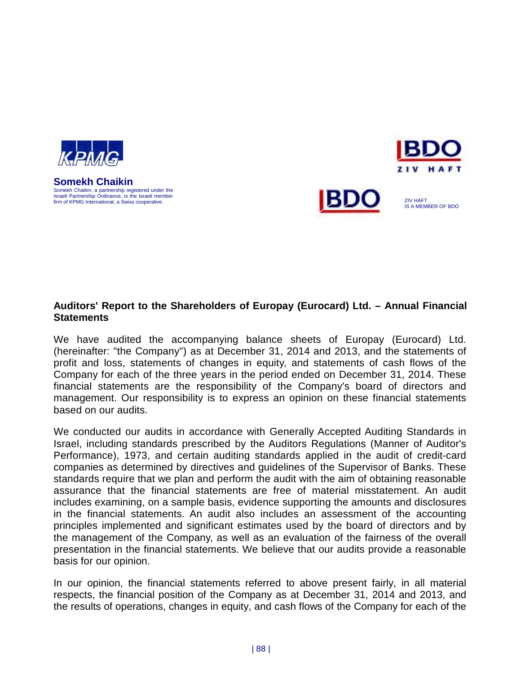

Somekh Chaikin, a partnership registered under the Israeli Partnership Ordinance, is the Israeli member firm of KPMG International, a Swiss cooperative.<br>firm of KPMG International, a Swiss cooperative. **Somekh Chaikin**



# <span id="page-91-0"></span>**Auditors' Report to the Shareholders of Europay (Eurocard) Ltd. – Annual Financial Statements**

We have audited the accompanying balance sheets of Europay (Eurocard) Ltd. (hereinafter: "the Company") as at December 31, 2014 and 2013, and the statements of profit and loss, statements of changes in equity, and statements of cash flows of the Company for each of the three years in the period ended on December 31, 2014. These financial statements are the responsibility of the Company's board of directors and management. Our responsibility is to express an opinion on these financial statements based on our audits.

We conducted our audits in accordance with Generally Accepted Auditing Standards in Israel, including standards prescribed by the Auditors Regulations (Manner of Auditor's Performance), 1973, and certain auditing standards applied in the audit of credit-card companies as determined by directives and guidelines of the Supervisor of Banks. These standards require that we plan and perform the audit with the aim of obtaining reasonable assurance that the financial statements are free of material misstatement. An audit includes examining, on a sample basis, evidence supporting the amounts and disclosures in the financial statements. An audit also includes an assessment of the accounting principles implemented and significant estimates used by the board of directors and by the management of the Company, as well as an evaluation of the fairness of the overall presentation in the financial statements. We believe that our audits provide a reasonable basis for our opinion.

In our opinion, the financial statements referred to above present fairly, in all material respects, the financial position of the Company as at December 31, 2014 and 2013, and the results of operations, changes in equity, and cash flows of the Company for each of the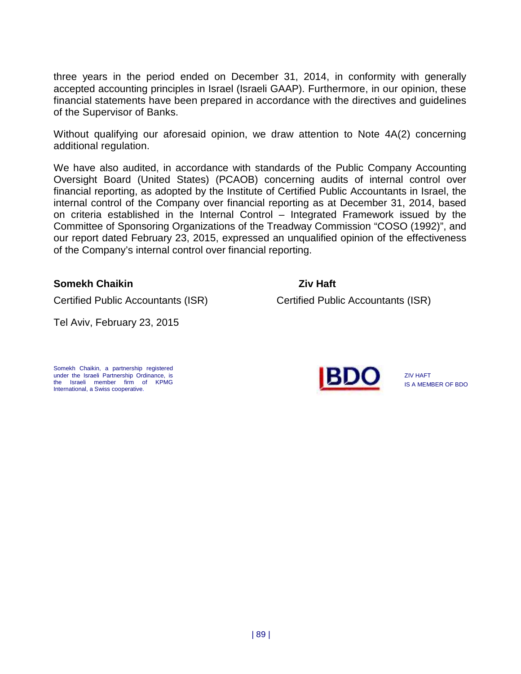three years in the period ended on December 31, 2014, in conformity with generally accepted accounting principles in Israel (Israeli GAAP). Furthermore, in our opinion, these financial statements have been prepared in accordance with the directives and guidelines of the Supervisor of Banks.

Without qualifying our aforesaid opinion, we draw attention to Note 4A(2) concerning additional regulation.

We have also audited, in accordance with standards of the Public Company Accounting Oversight Board (United States) (PCAOB) concerning audits of internal control over financial reporting, as adopted by the Institute of Certified Public Accountants in Israel, the internal control of the Company over financial reporting as at December 31, 2014, based on criteria established in the Internal Control – Integrated Framework issued by the Committee of Sponsoring Organizations of the Treadway Commission "COSO (1992)", and our report dated February 23, 2015, expressed an unqualified opinion of the effectiveness of the Company's internal control over financial reporting.

#### **Somekh Chaikin Ziv Haft**

Tel Aviv, February 23, 2015

Somekh Chaikin, a partnership registered under the Israeli Partnership Ordinance, is the Israeli member firm of KPMG International, a Swiss cooperative.

Certified Public Accountants (ISR) Certified Public Accountants (ISR)



ZIV HAFT IS A MEMBER OF BDO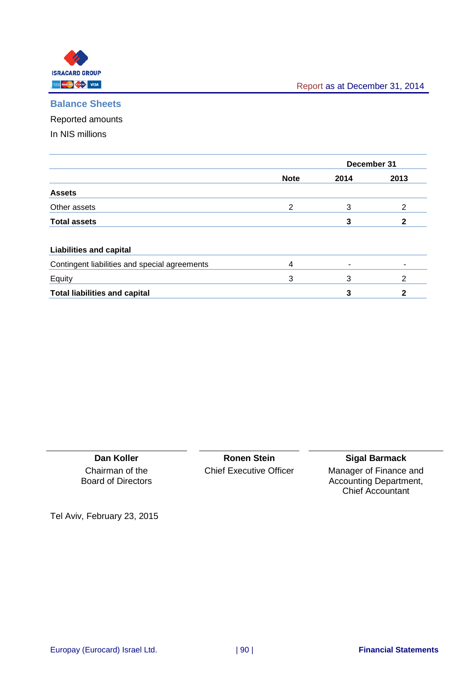<span id="page-93-0"></span>

### **Balance Sheets**

Reported amounts

In NIS millions

|                                               |             | December 31 |      |  |
|-----------------------------------------------|-------------|-------------|------|--|
|                                               | <b>Note</b> | 2014        | 2013 |  |
| <b>Assets</b>                                 |             |             |      |  |
| Other assets                                  | 2           | 3           | 2    |  |
| <b>Total assets</b>                           |             | 3           |      |  |
| <b>Liabilities and capital</b>                |             |             |      |  |
| Contingent liabilities and special agreements | 4           | ۰           |      |  |
| Equity                                        | 3           | 3           | 2    |  |
| <b>Total liabilities and capital</b>          |             | 3           |      |  |

**Dan Koller** Chairman of the Board of Directors

**Ronen Stein** Chief Executive Officer

#### **Sigal Barmack**

Manager of Finance and Accounting Department, Chief Accountant

Tel Aviv, February 23, 2015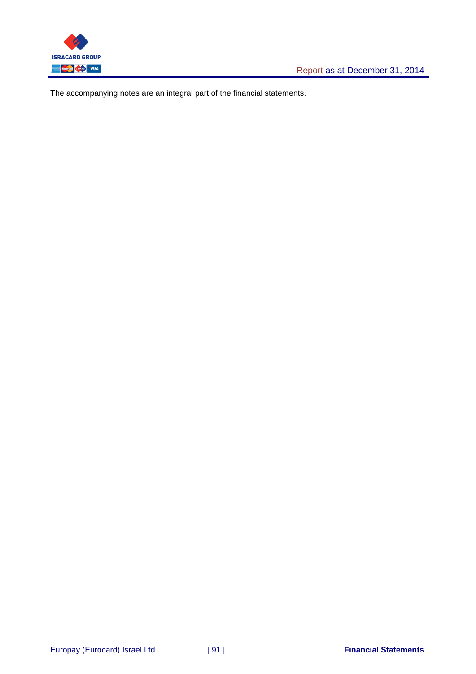

The accompanying notes are an integral part of the financial statements.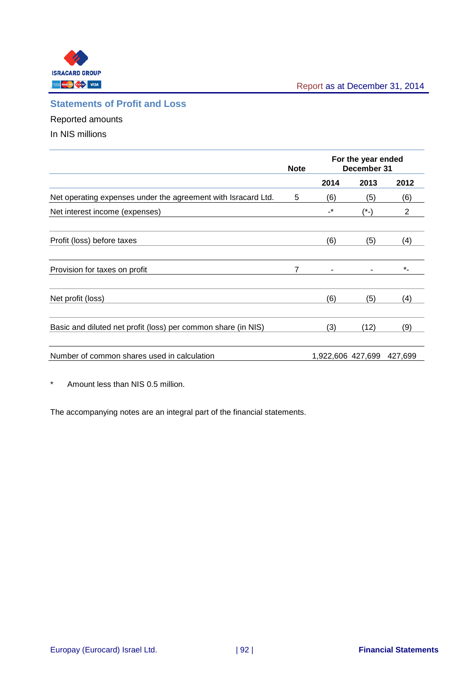<span id="page-95-0"></span>

# **Statements of Profit and Loss**

Reported amounts

In NIS millions

|                                                               | <b>Note</b> | For the year ended<br>December 31 |        |         |
|---------------------------------------------------------------|-------------|-----------------------------------|--------|---------|
|                                                               |             | 2014                              | 2013   | 2012    |
| Net operating expenses under the agreement with Isracard Ltd. | 5           | (6)                               | (5)    | (6)     |
| Net interest income (expenses)                                |             | $\cdot^{\star}$                   | $(*-)$ | 2       |
|                                                               |             |                                   |        |         |
| Profit (loss) before taxes                                    |             | (6)                               | (5)    | (4)     |
|                                                               |             |                                   |        |         |
| Provision for taxes on profit                                 | 7           | ٠                                 |        | $\star$ |
|                                                               |             |                                   |        |         |
| Net profit (loss)                                             |             | (6)                               | (5)    | (4)     |
|                                                               |             |                                   |        |         |
| Basic and diluted net profit (loss) per common share (in NIS) |             | (3)                               | (12)   | (9)     |
|                                                               |             |                                   |        |         |
| Number of common shares used in calculation                   |             | 1,922,606 427,699                 |        | 427,699 |

\* Amount less than NIS 0.5 million.

The accompanying notes are an integral part of the financial statements.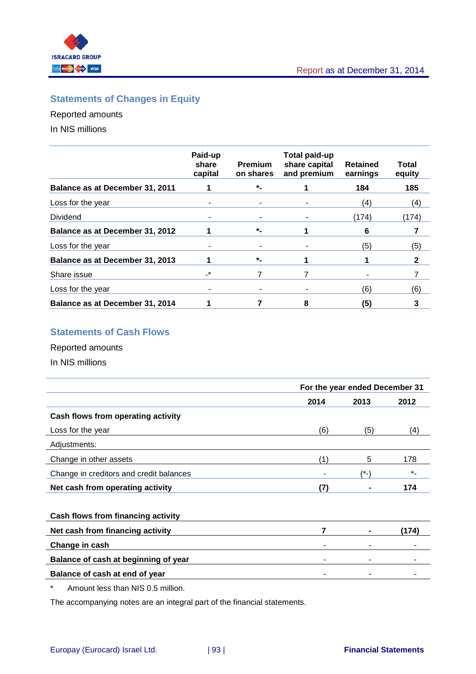<span id="page-96-0"></span>

# **Statements of Changes in Equity**

Reported amounts

In NIS millions

|                                 | Paid-up<br>share<br>capital | <b>Premium</b><br>on shares | Total paid-up<br>share capital<br>and premium | <b>Retained</b><br>earnings | Total<br>equity |
|---------------------------------|-----------------------------|-----------------------------|-----------------------------------------------|-----------------------------|-----------------|
| Balance as at December 31, 2011 |                             | $\star$                     |                                               | 184                         | 185             |
| Loss for the year               | ۰                           | ۰                           |                                               | (4)                         | (4)             |
| Dividend                        | ۰                           | ۰                           |                                               | (174)                       | (174)           |
| Balance as at December 31, 2012 |                             | $\star$                     |                                               | 6                           |                 |
| Loss for the year               |                             |                             |                                               | (5)                         | (5)             |
| Balance as at December 31, 2013 |                             | $\star$                     |                                               |                             | $\mathbf{2}$    |
| Share issue                     | $\cdot^*$                   | 7                           |                                               |                             |                 |
| Loss for the year               | ۰                           |                             |                                               | (6)                         | (6)             |
| Balance as at December 31, 2014 |                             |                             | 8                                             | (5)                         | 3               |

# <span id="page-96-1"></span>**Statements of Cash Flows**

Reported amounts

In NIS millions

|                                         |      | For the year ended December 31 |         |  |  |
|-----------------------------------------|------|--------------------------------|---------|--|--|
|                                         | 2014 | 2013                           | 2012    |  |  |
| Cash flows from operating activity      |      |                                |         |  |  |
| Loss for the year                       | (6)  | (5)                            | (4)     |  |  |
| Adjustments:                            |      |                                |         |  |  |
| Change in other assets                  | (1)  | 5                              | 178     |  |  |
| Change in creditors and credit balances |      | (*-)                           | $\star$ |  |  |
| Net cash from operating activity        | (7)  |                                | 174     |  |  |
| Cash flows from financing activity      |      |                                |         |  |  |
| Net cash from financing activity        | 7    |                                | (174)   |  |  |
| Change in cash                          |      |                                |         |  |  |
| Balance of cash at beginning of year    |      |                                |         |  |  |
| Balance of cash at end of year          |      |                                |         |  |  |
| *<br>Amount less than NIS 0.5 million.  |      |                                |         |  |  |

The accompanying notes are an integral part of the financial statements.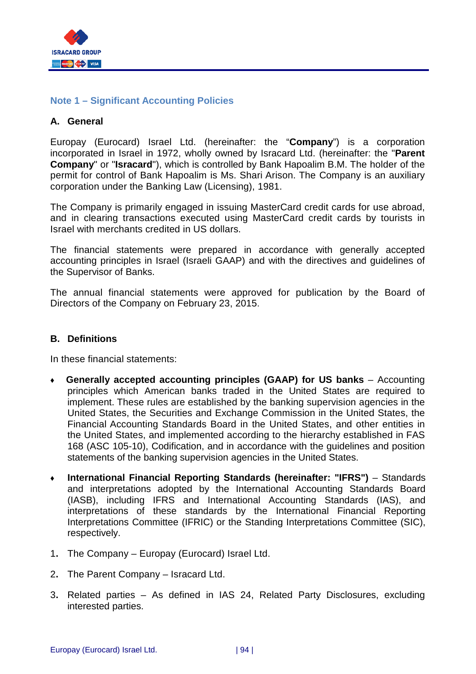<span id="page-97-0"></span>

#### **A. General**

Europay (Eurocard) Israel Ltd. (hereinafter: the "**Company**") is a corporation incorporated in Israel in 1972, wholly owned by Isracard Ltd. (hereinafter: the "**Parent Company**" or "**Isracard**"), which is controlled by Bank Hapoalim B.M. The holder of the permit for control of Bank Hapoalim is Ms. Shari Arison. The Company is an auxiliary corporation under the Banking Law (Licensing), 1981.

The Company is primarily engaged in issuing MasterCard credit cards for use abroad, and in clearing transactions executed using MasterCard credit cards by tourists in Israel with merchants credited in US dollars.

The financial statements were prepared in accordance with generally accepted accounting principles in Israel (Israeli GAAP) and with the directives and guidelines of the Supervisor of Banks.

The annual financial statements were approved for publication by the Board of Directors of the Company on February 23, 2015.

#### **B. Definitions**

In these financial statements:

- **Generally accepted accounting principles (GAAP) for US banks** Accounting principles which American banks traded in the United States are required to implement. These rules are established by the banking supervision agencies in the United States, the Securities and Exchange Commission in the United States, the Financial Accounting Standards Board in the United States, and other entities in the United States, and implemented according to the hierarchy established in FAS 168 (ASC 105-10), Codification, and in accordance with the guidelines and position statements of the banking supervision agencies in the United States.
- ♦ **International Financial Reporting Standards (hereinafter: "IFRS")** Standards and interpretations adopted by the International Accounting Standards Board (IASB), including IFRS and International Accounting Standards (IAS), and interpretations of these standards by the International Financial Reporting Interpretations Committee (IFRIC) or the Standing Interpretations Committee (SIC), respectively.
- 1**.** The Company Europay (Eurocard) Israel Ltd.
- 2**.** The Parent Company Isracard Ltd.
- 3**.** Related parties As defined in IAS 24, Related Party Disclosures, excluding interested parties.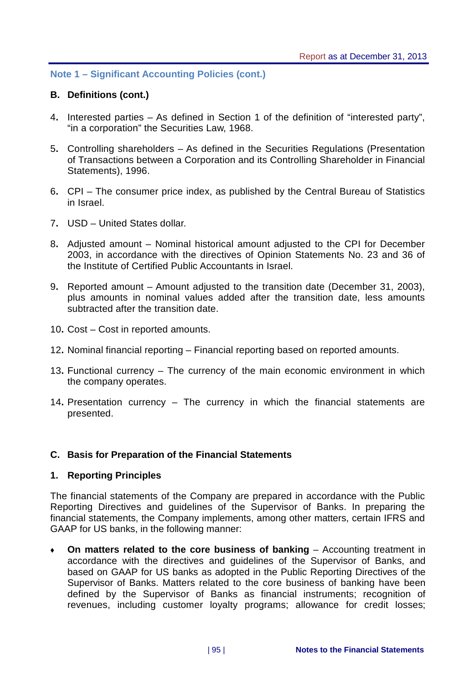#### **B. Definitions (cont.)**

- 4**.** Interested parties As defined in Section 1 of the definition of "interested party", "in a corporation" the Securities Law, 1968.
- 5**.** Controlling shareholders As defined in the Securities Regulations (Presentation of Transactions between a Corporation and its Controlling Shareholder in Financial Statements), 1996.
- 6**.** CPI The consumer price index, as published by the Central Bureau of Statistics in Israel.
- 7**.** USD United States dollar.
- 8**.** Adjusted amount Nominal historical amount adjusted to the CPI for December 2003, in accordance with the directives of Opinion Statements No. 23 and 36 of the Institute of Certified Public Accountants in Israel.
- 9**.** Reported amount Amount adjusted to the transition date (December 31, 2003), plus amounts in nominal values added after the transition date, less amounts subtracted after the transition date.
- 10**.** Cost Cost in reported amounts.
- 12**.** Nominal financial reporting Financial reporting based on reported amounts.
- 13**.** Functional currency The currency of the main economic environment in which the company operates.
- 14**.** Presentation currency The currency in which the financial statements are presented.

#### **C. Basis for Preparation of the Financial Statements**

#### **1. Reporting Principles**

The financial statements of the Company are prepared in accordance with the Public Reporting Directives and guidelines of the Supervisor of Banks. In preparing the financial statements, the Company implements, among other matters, certain IFRS and GAAP for US banks, in the following manner:

**On matters related to the core business of banking** – Accounting treatment in accordance with the directives and guidelines of the Supervisor of Banks, and based on GAAP for US banks as adopted in the Public Reporting Directives of the Supervisor of Banks. Matters related to the core business of banking have been defined by the Supervisor of Banks as financial instruments; recognition of revenues, including customer loyalty programs; allowance for credit losses;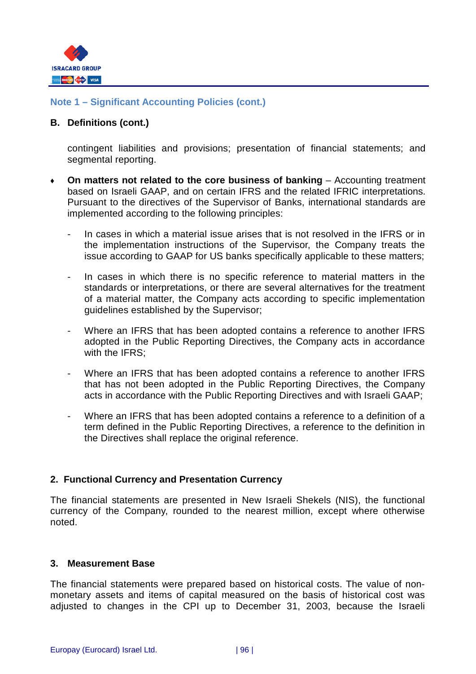

#### **B. Definitions (cont.)**

contingent liabilities and provisions; presentation of financial statements; and segmental reporting.

- ♦ **On matters not related to the core business of banking** Accounting treatment based on Israeli GAAP, and on certain IFRS and the related IFRIC interpretations. Pursuant to the directives of the Supervisor of Banks, international standards are implemented according to the following principles:
	- In cases in which a material issue arises that is not resolved in the IFRS or in the implementation instructions of the Supervisor, the Company treats the issue according to GAAP for US banks specifically applicable to these matters;
	- In cases in which there is no specific reference to material matters in the standards or interpretations, or there are several alternatives for the treatment of a material matter, the Company acts according to specific implementation guidelines established by the Supervisor;
	- Where an IFRS that has been adopted contains a reference to another IFRS adopted in the Public Reporting Directives, the Company acts in accordance with the IFRS;
	- Where an IFRS that has been adopted contains a reference to another IFRS that has not been adopted in the Public Reporting Directives, the Company acts in accordance with the Public Reporting Directives and with Israeli GAAP;
	- Where an IFRS that has been adopted contains a reference to a definition of a term defined in the Public Reporting Directives, a reference to the definition in the Directives shall replace the original reference.

#### **2. Functional Currency and Presentation Currency**

The financial statements are presented in New Israeli Shekels (NIS), the functional currency of the Company, rounded to the nearest million, except where otherwise noted.

#### **3. Measurement Base**

The financial statements were prepared based on historical costs. The value of nonmonetary assets and items of capital measured on the basis of historical cost was adjusted to changes in the CPI up to December 31, 2003, because the Israeli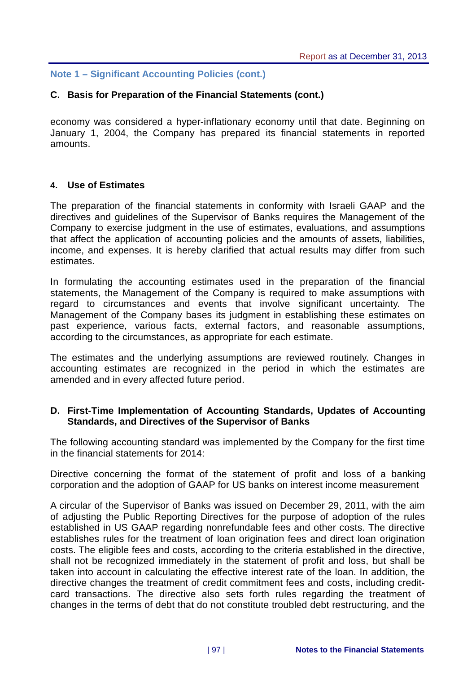## **C. Basis for Preparation of the Financial Statements (cont.)**

economy was considered a hyper-inflationary economy until that date. Beginning on January 1, 2004, the Company has prepared its financial statements in reported amounts.

## **4. Use of Estimates**

The preparation of the financial statements in conformity with Israeli GAAP and the directives and guidelines of the Supervisor of Banks requires the Management of the Company to exercise judgment in the use of estimates, evaluations, and assumptions that affect the application of accounting policies and the amounts of assets, liabilities, income, and expenses. It is hereby clarified that actual results may differ from such estimates.

In formulating the accounting estimates used in the preparation of the financial statements, the Management of the Company is required to make assumptions with regard to circumstances and events that involve significant uncertainty. The Management of the Company bases its judgment in establishing these estimates on past experience, various facts, external factors, and reasonable assumptions, according to the circumstances, as appropriate for each estimate.

The estimates and the underlying assumptions are reviewed routinely. Changes in accounting estimates are recognized in the period in which the estimates are amended and in every affected future period.

#### **D. First-Time Implementation of Accounting Standards, Updates of Accounting Standards, and Directives of the Supervisor of Banks**

The following accounting standard was implemented by the Company for the first time in the financial statements for 2014:

Directive concerning the format of the statement of profit and loss of a banking corporation and the adoption of GAAP for US banks on interest income measurement

A circular of the Supervisor of Banks was issued on December 29, 2011, with the aim of adjusting the Public Reporting Directives for the purpose of adoption of the rules established in US GAAP regarding nonrefundable fees and other costs. The directive establishes rules for the treatment of loan origination fees and direct loan origination costs. The eligible fees and costs, according to the criteria established in the directive, shall not be recognized immediately in the statement of profit and loss, but shall be taken into account in calculating the effective interest rate of the loan. In addition, the directive changes the treatment of credit commitment fees and costs, including creditcard transactions. The directive also sets forth rules regarding the treatment of changes in the terms of debt that do not constitute troubled debt restructuring, and the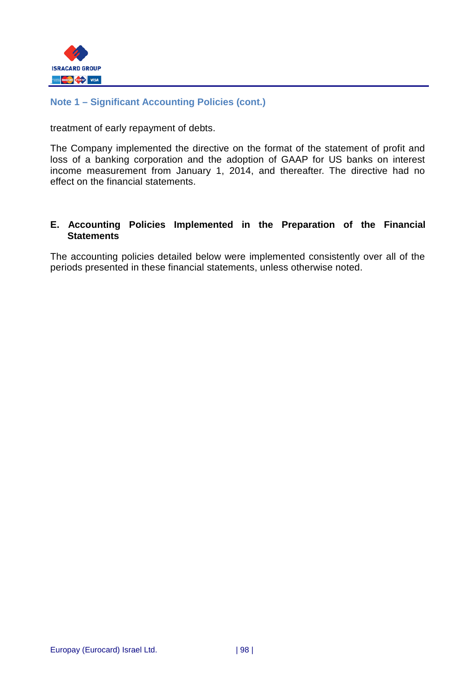

treatment of early repayment of debts.

The Company implemented the directive on the format of the statement of profit and loss of a banking corporation and the adoption of GAAP for US banks on interest income measurement from January 1, 2014, and thereafter. The directive had no effect on the financial statements.

#### **E. Accounting Policies Implemented in the Preparation of the Financial Statements**

The accounting policies detailed below were implemented consistently over all of the periods presented in these financial statements, unless otherwise noted.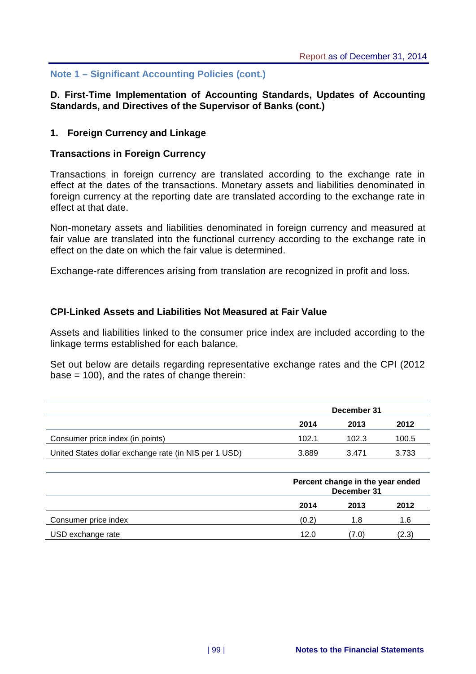#### **D. First-Time Implementation of Accounting Standards, Updates of Accounting Standards, and Directives of the Supervisor of Banks (cont.)**

#### **1. Foreign Currency and Linkage**

#### **Transactions in Foreign Currency**

Transactions in foreign currency are translated according to the exchange rate in effect at the dates of the transactions. Monetary assets and liabilities denominated in foreign currency at the reporting date are translated according to the exchange rate in effect at that date.

Non-monetary assets and liabilities denominated in foreign currency and measured at fair value are translated into the functional currency according to the exchange rate in effect on the date on which the fair value is determined.

Exchange-rate differences arising from translation are recognized in profit and loss.

#### **CPI-Linked Assets and Liabilities Not Measured at Fair Value**

Assets and liabilities linked to the consumer price index are included according to the linkage terms established for each balance.

Set out below are details regarding representative exchange rates and the CPI (2012 base  $= 100$ , and the rates of change therein:

|                                                       | December 31 |       |       |  |
|-------------------------------------------------------|-------------|-------|-------|--|
|                                                       | 2014        | 2013  | 2012  |  |
| Consumer price index (in points)                      | 102.1       | 102.3 | 100.5 |  |
| United States dollar exchange rate (in NIS per 1 USD) | 3.889       | 3.471 | 3.733 |  |

|                      |       | Percent change in the year ended<br>December 31 |       |  |  |
|----------------------|-------|-------------------------------------------------|-------|--|--|
|                      | 2014  | 2013                                            | 2012  |  |  |
| Consumer price index | (0.2) | 1.8                                             | 1.6   |  |  |
| USD exchange rate    | 12.0  | (7.0)                                           | (2.3) |  |  |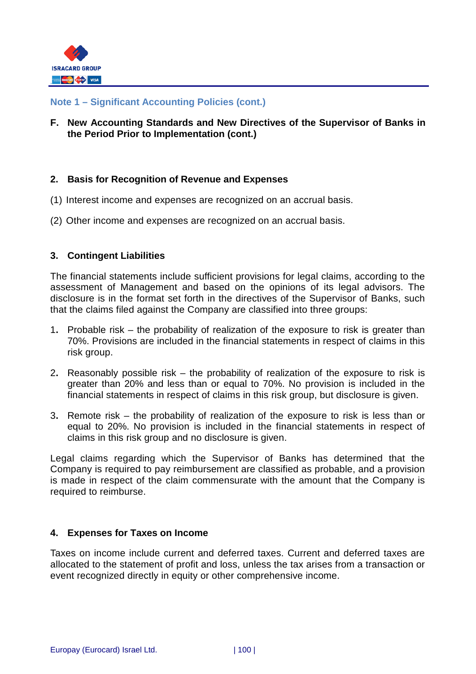

**F. New Accounting Standards and New Directives of the Supervisor of Banks in the Period Prior to Implementation (cont.)**

## **2. Basis for Recognition of Revenue and Expenses**

- (1) Interest income and expenses are recognized on an accrual basis.
- (2) Other income and expenses are recognized on an accrual basis.

#### **3. Contingent Liabilities**

The financial statements include sufficient provisions for legal claims, according to the assessment of Management and based on the opinions of its legal advisors. The disclosure is in the format set forth in the directives of the Supervisor of Banks, such that the claims filed against the Company are classified into three groups:

- 1**.** Probable risk the probability of realization of the exposure to risk is greater than 70%. Provisions are included in the financial statements in respect of claims in this risk group.
- 2**.** Reasonably possible risk the probability of realization of the exposure to risk is greater than 20% and less than or equal to 70%. No provision is included in the financial statements in respect of claims in this risk group, but disclosure is given.
- 3**.** Remote risk the probability of realization of the exposure to risk is less than or equal to 20%. No provision is included in the financial statements in respect of claims in this risk group and no disclosure is given.

Legal claims regarding which the Supervisor of Banks has determined that the Company is required to pay reimbursement are classified as probable, and a provision is made in respect of the claim commensurate with the amount that the Company is required to reimburse.

# **4. Expenses for Taxes on Income**

Taxes on income include current and deferred taxes. Current and deferred taxes are allocated to the statement of profit and loss, unless the tax arises from a transaction or event recognized directly in equity or other comprehensive income.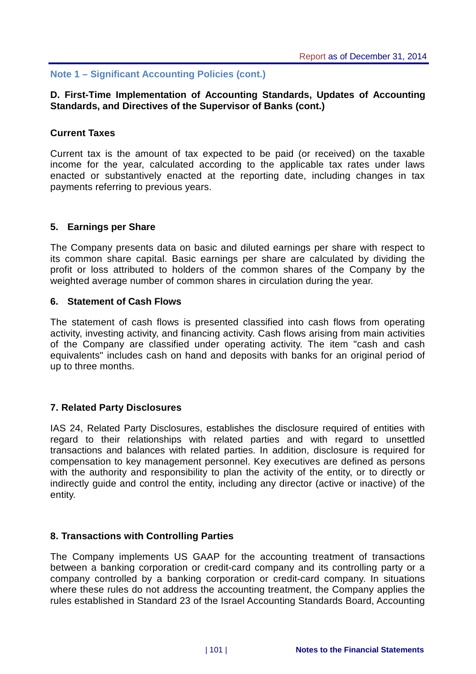#### **D. First-Time Implementation of Accounting Standards, Updates of Accounting Standards, and Directives of the Supervisor of Banks (cont.)**

#### **Current Taxes**

Current tax is the amount of tax expected to be paid (or received) on the taxable income for the year, calculated according to the applicable tax rates under laws enacted or substantively enacted at the reporting date, including changes in tax payments referring to previous years.

#### **5. Earnings per Share**

The Company presents data on basic and diluted earnings per share with respect to its common share capital. Basic earnings per share are calculated by dividing the profit or loss attributed to holders of the common shares of the Company by the weighted average number of common shares in circulation during the year.

#### **6. Statement of Cash Flows**

The statement of cash flows is presented classified into cash flows from operating activity, investing activity, and financing activity. Cash flows arising from main activities of the Company are classified under operating activity. The item "cash and cash equivalents" includes cash on hand and deposits with banks for an original period of up to three months.

#### **7. Related Party Disclosures**

IAS 24, Related Party Disclosures, establishes the disclosure required of entities with regard to their relationships with related parties and with regard to unsettled transactions and balances with related parties. In addition, disclosure is required for compensation to key management personnel. Key executives are defined as persons with the authority and responsibility to plan the activity of the entity, or to directly or indirectly guide and control the entity, including any director (active or inactive) of the entity.

#### **8. Transactions with Controlling Parties**

The Company implements US GAAP for the accounting treatment of transactions between a banking corporation or credit-card company and its controlling party or a company controlled by a banking corporation or credit-card company. In situations where these rules do not address the accounting treatment, the Company applies the rules established in Standard 23 of the Israel Accounting Standards Board, Accounting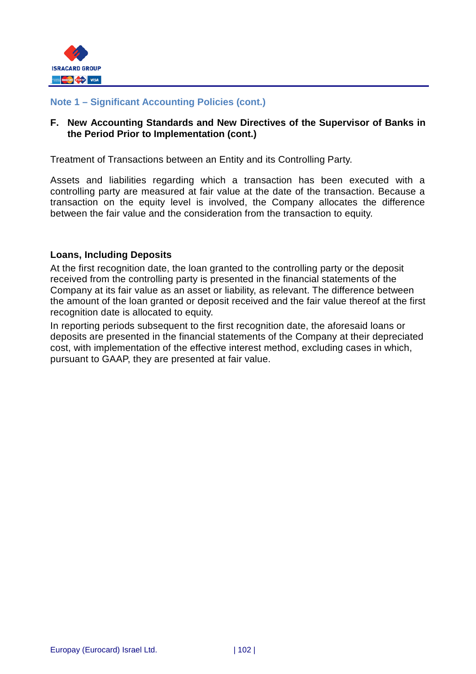

#### **F. New Accounting Standards and New Directives of the Supervisor of Banks in the Period Prior to Implementation (cont.)**

Treatment of Transactions between an Entity and its Controlling Party.

Assets and liabilities regarding which a transaction has been executed with a controlling party are measured at fair value at the date of the transaction. Because a transaction on the equity level is involved, the Company allocates the difference between the fair value and the consideration from the transaction to equity.

#### **Loans, Including Deposits**

At the first recognition date, the loan granted to the controlling party or the deposit received from the controlling party is presented in the financial statements of the Company at its fair value as an asset or liability, as relevant. The difference between the amount of the loan granted or deposit received and the fair value thereof at the first recognition date is allocated to equity.

In reporting periods subsequent to the first recognition date, the aforesaid loans or deposits are presented in the financial statements of the Company at their depreciated cost, with implementation of the effective interest method, excluding cases in which, pursuant to GAAP, they are presented at fair value.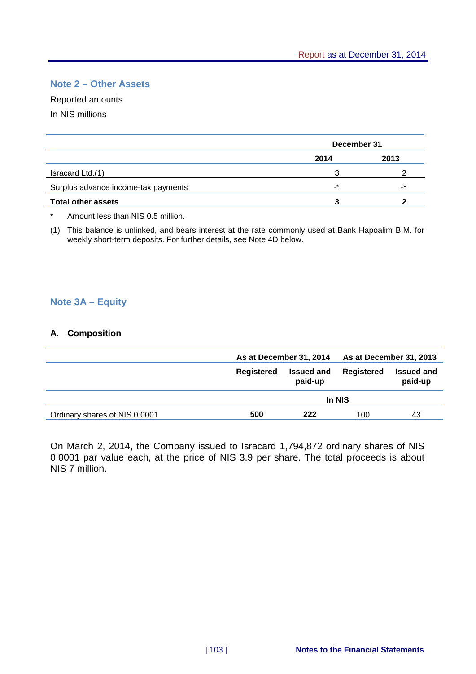### **Note 2 – Other Assets**

#### Reported amounts

In NIS millions

|                                     | December 31 |         |  |
|-------------------------------------|-------------|---------|--|
|                                     | 2014        | 2013    |  |
| Isracard Ltd.(1)                    |             |         |  |
| Surplus advance income-tax payments | $\star$     | $\star$ |  |
| <b>Total other assets</b>           |             |         |  |

Amount less than NIS 0.5 million.

(1) This balance is unlinked, and bears interest at the rate commonly used at Bank Hapoalim B.M. for weekly short-term deposits. For further details, see Note 4D below.

#### **Note 3A – Equity**

#### **A. Composition**

|                               | As at December 31, 2014 |                              | As at December 31, 2013 |                              |
|-------------------------------|-------------------------|------------------------------|-------------------------|------------------------------|
|                               | Registered              | <b>Issued and</b><br>paid-up | <b>Registered</b>       | <b>Issued and</b><br>paid-up |
|                               | In NIS                  |                              |                         |                              |
| Ordinary shares of NIS 0.0001 | 500                     | 222                          | 100                     | 43                           |

On March 2, 2014, the Company issued to Isracard 1,794,872 ordinary shares of NIS 0.0001 par value each, at the price of NIS 3.9 per share. The total proceeds is about NIS 7 million.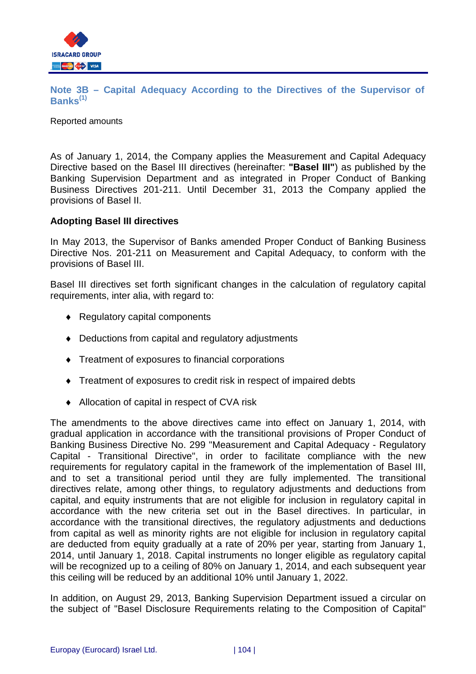

**Note 3B – Capital Adequacy According to the Directives of the Supervisor of Banks(1)**

Reported amounts

As of January 1, 2014, the Company applies the Measurement and Capital Adequacy Directive based on the Basel III directives (hereinafter: **"Basel III"**) as published by the Banking Supervision Department and as integrated in Proper Conduct of Banking Business Directives 201-211. Until December 31, 2013 the Company applied the provisions of Basel II.

#### **Adopting Basel III directives**

In May 2013, the Supervisor of Banks amended Proper Conduct of Banking Business Directive Nos. 201-211 on Measurement and Capital Adequacy, to conform with the provisions of Basel III.

Basel III directives set forth significant changes in the calculation of regulatory capital requirements, inter alia, with regard to:

- ♦ Regulatory capital components
- ♦ Deductions from capital and regulatory adjustments
- ♦ Treatment of exposures to financial corporations
- ♦ Treatment of exposures to credit risk in respect of impaired debts
- ♦ Allocation of capital in respect of CVA risk

The amendments to the above directives came into effect on January 1, 2014, with gradual application in accordance with the transitional provisions of Proper Conduct of Banking Business Directive No. 299 "Measurement and Capital Adequacy - Regulatory Capital - Transitional Directive", in order to facilitate compliance with the new requirements for regulatory capital in the framework of the implementation of Basel III, and to set a transitional period until they are fully implemented. The transitional directives relate, among other things, to regulatory adjustments and deductions from capital, and equity instruments that are not eligible for inclusion in regulatory capital in accordance with the new criteria set out in the Basel directives. In particular, in accordance with the transitional directives, the regulatory adjustments and deductions from capital as well as minority rights are not eligible for inclusion in regulatory capital are deducted from equity gradually at a rate of 20% per year, starting from January 1, 2014, until January 1, 2018. Capital instruments no longer eligible as regulatory capital will be recognized up to a ceiling of 80% on January 1, 2014, and each subsequent year this ceiling will be reduced by an additional 10% until January 1, 2022.

In addition, on August 29, 2013, Banking Supervision Department issued a circular on the subject of "Basel Disclosure Requirements relating to the Composition of Capital"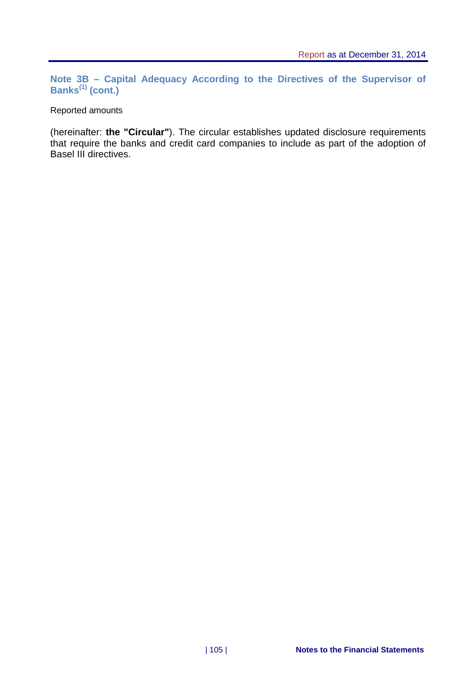**Note 3B – Capital Adequacy According to the Directives of the Supervisor of Banks(1) (cont.)**

Reported amounts

(hereinafter: **the "Circular"**). The circular establishes updated disclosure requirements that require the banks and credit card companies to include as part of the adoption of Basel III directives.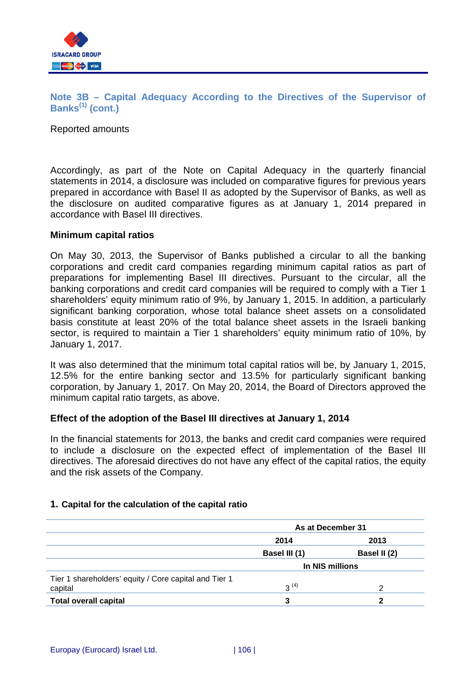

# **Note 3B – Capital Adequacy According to the Directives of the Supervisor of Banks(1) (cont.)**

### Reported amounts

Accordingly, as part of the Note on Capital Adequacy in the quarterly financial statements in 2014, a disclosure was included on comparative figures for previous years prepared in accordance with Basel II as adopted by the Supervisor of Banks, as well as the disclosure on audited comparative figures as at January 1, 2014 prepared in accordance with Basel III directives.

### **Minimum capital ratios**

On May 30, 2013, the Supervisor of Banks published a circular to all the banking corporations and credit card companies regarding minimum capital ratios as part of preparations for implementing Basel III directives. Pursuant to the circular, all the banking corporations and credit card companies will be required to comply with a Tier 1 shareholders' equity minimum ratio of 9%, by January 1, 2015. In addition, a particularly significant banking corporation, whose total balance sheet assets on a consolidated basis constitute at least 20% of the total balance sheet assets in the Israeli banking sector, is required to maintain a Tier 1 shareholders' equity minimum ratio of 10%, by January 1, 2017.

It was also determined that the minimum total capital ratios will be, by January 1, 2015, 12.5% for the entire banking sector and 13.5% for particularly significant banking corporation, by January 1, 2017. On May 20, 2014, the Board of Directors approved the minimum capital ratio targets, as above.

# **Effect of the adoption of the Basel III directives at January 1, 2014**

In the financial statements for 2013, the banks and credit card companies were required to include a disclosure on the expected effect of implementation of the Basel III directives. The aforesaid directives do not have any effect of the capital ratios, the equity and the risk assets of the Company.

### **1. Capital for the calculation of the capital ratio**

|                                                                  | As at December 31 |              |  |
|------------------------------------------------------------------|-------------------|--------------|--|
|                                                                  | 2014              | 2013         |  |
|                                                                  | Basel III (1)     | Basel II (2) |  |
|                                                                  | In NIS millions   |              |  |
| Tier 1 shareholders' equity / Core capital and Tier 1<br>capital | $3^{(4)}$         | 2            |  |
| <b>Total overall capital</b>                                     | 3                 |              |  |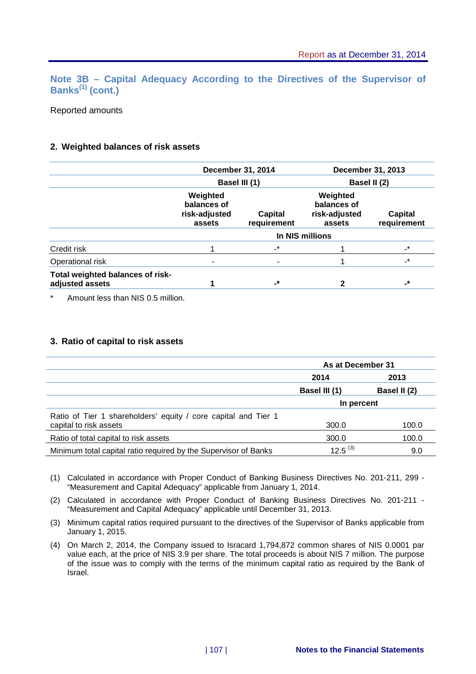**Note 3B – Capital Adequacy According to the Directives of the Supervisor of Banks(1) (cont.)**

Reported amounts

#### **2. Weighted balances of risk assets**

|                                                     | <b>December 31, 2014</b><br>Basel III (1)          |                          | December 31, 2013<br>Basel II (2)                  |                               |
|-----------------------------------------------------|----------------------------------------------------|--------------------------|----------------------------------------------------|-------------------------------|
|                                                     |                                                    |                          |                                                    |                               |
|                                                     | Weighted<br>balances of<br>risk-adjusted<br>assets | Capital<br>requirement   | Weighted<br>balances of<br>risk-adjusted<br>assets | <b>Capital</b><br>requirement |
|                                                     | In NIS millions                                    |                          |                                                    |                               |
| Credit risk                                         |                                                    | $\cdot^*$                |                                                    | $\cdot^{\star}$               |
| Operational risk                                    |                                                    | $\overline{\phantom{a}}$ |                                                    | $\cdot^{\star}$               |
| Total weighted balances of risk-<br>adjusted assets |                                                    | -*                       | 2                                                  | -*                            |

Amount less than NIS 0.5 million.

### **3. Ratio of capital to risk assets**

|                                                                 | As at December 31 |              |  |
|-----------------------------------------------------------------|-------------------|--------------|--|
|                                                                 | 2014              | 2013         |  |
|                                                                 | Basel III (1)     | Basel II (2) |  |
|                                                                 | In percent        |              |  |
| Ratio of Tier 1 shareholders' equity / core capital and Tier 1  |                   |              |  |
| capital to risk assets                                          | 300.0             | 100.0        |  |
| Ratio of total capital to risk assets                           | 300.0             | 100.0        |  |
| Minimum total capital ratio required by the Supervisor of Banks | $12.5^{(3)}$      | 9.0          |  |

(1) Calculated in accordance with Proper Conduct of Banking Business Directives No. 201-211, 299 - "Measurement and Capital Adequacy" applicable from January 1, 2014.

- (2) Calculated in accordance with Proper Conduct of Banking Business Directives No. 201-211 "Measurement and Capital Adequacy" applicable until December 31, 2013.
- (3) Minimum capital ratios required pursuant to the directives of the Supervisor of Banks applicable from January 1, 2015.
- (4) On March 2, 2014, the Company issued to Isracard 1,794,872 common shares of NIS 0.0001 par value each, at the price of NIS 3.9 per share. The total proceeds is about NIS 7 million. The purpose of the issue was to comply with the terms of the minimum capital ratio as required by the Bank of Israel.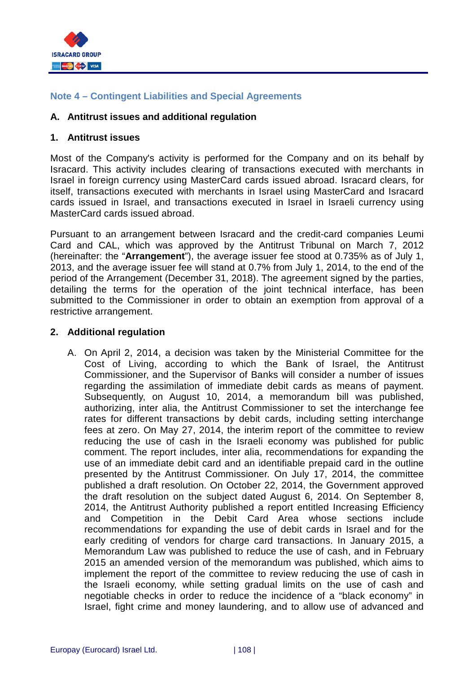

# **Note 4 – Contingent Liabilities and Special Agreements**

### **A. Antitrust issues and additional regulation**

### **1. Antitrust issues**

Most of the Company's activity is performed for the Company and on its behalf by Isracard. This activity includes clearing of transactions executed with merchants in Israel in foreign currency using MasterCard cards issued abroad. Isracard clears, for itself, transactions executed with merchants in Israel using MasterCard and Isracard cards issued in Israel, and transactions executed in Israel in Israeli currency using MasterCard cards issued abroad.

Pursuant to an arrangement between Isracard and the credit-card companies Leumi Card and CAL, which was approved by the Antitrust Tribunal on March 7, 2012 (hereinafter: the "**Arrangement**"), the average issuer fee stood at 0.735% as of July 1, 2013, and the average issuer fee will stand at 0.7% from July 1, 2014, to the end of the period of the Arrangement (December 31, 2018). The agreement signed by the parties, detailing the terms for the operation of the joint technical interface, has been submitted to the Commissioner in order to obtain an exemption from approval of a restrictive arrangement.

### **2. Additional regulation**

A. On April 2, 2014, a decision was taken by the Ministerial Committee for the Cost of Living, according to which the Bank of Israel, the Antitrust Commissioner, and the Supervisor of Banks will consider a number of issues regarding the assimilation of immediate debit cards as means of payment. Subsequently, on August 10, 2014, a memorandum bill was published, authorizing, inter alia, the Antitrust Commissioner to set the interchange fee rates for different transactions by debit cards, including setting interchange fees at zero. On May 27, 2014, the interim report of the committee to review reducing the use of cash in the Israeli economy was published for public comment. The report includes, inter alia, recommendations for expanding the use of an immediate debit card and an identifiable prepaid card in the outline presented by the Antitrust Commissioner. On July 17, 2014, the committee published a draft resolution. On October 22, 2014, the Government approved the draft resolution on the subject dated August 6, 2014. On September 8, 2014, the Antitrust Authority published a report entitled Increasing Efficiency and Competition in the Debit Card Area whose sections include recommendations for expanding the use of debit cards in Israel and for the early crediting of vendors for charge card transactions. In January 2015, a Memorandum Law was published to reduce the use of cash, and in February 2015 an amended version of the memorandum was published, which aims to implement the report of the committee to review reducing the use of cash in the Israeli economy, while setting gradual limits on the use of cash and negotiable checks in order to reduce the incidence of a "black economy" in Israel, fight crime and money laundering, and to allow use of advanced and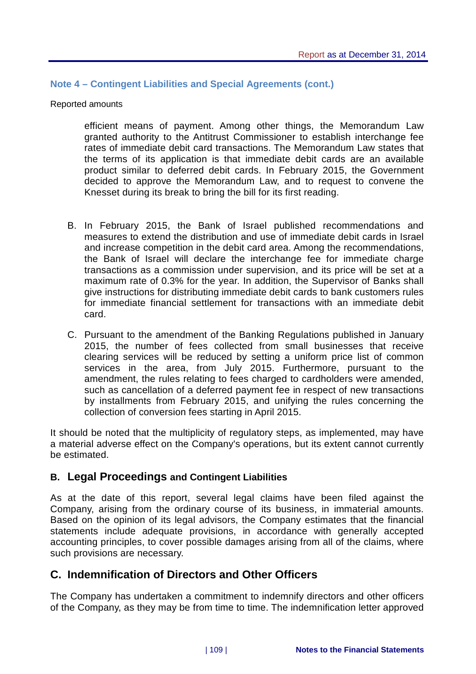# **Note 4 – Contingent Liabilities and Special Agreements (cont.)**

### Reported amounts

efficient means of payment. Among other things, the Memorandum Law granted authority to the Antitrust Commissioner to establish interchange fee rates of immediate debit card transactions. The Memorandum Law states that the terms of its application is that immediate debit cards are an available product similar to deferred debit cards. In February 2015, the Government decided to approve the Memorandum Law, and to request to convene the Knesset during its break to bring the bill for its first reading.

- B. In February 2015, the Bank of Israel published recommendations and measures to extend the distribution and use of immediate debit cards in Israel and increase competition in the debit card area. Among the recommendations, the Bank of Israel will declare the interchange fee for immediate charge transactions as a commission under supervision, and its price will be set at a maximum rate of 0.3% for the year. In addition, the Supervisor of Banks shall give instructions for distributing immediate debit cards to bank customers rules for immediate financial settlement for transactions with an immediate debit card.
- C. Pursuant to the amendment of the Banking Regulations published in January 2015, the number of fees collected from small businesses that receive clearing services will be reduced by setting a uniform price list of common services in the area, from July 2015. Furthermore, pursuant to the amendment, the rules relating to fees charged to cardholders were amended, such as cancellation of a deferred payment fee in respect of new transactions by installments from February 2015, and unifying the rules concerning the collection of conversion fees starting in April 2015.

It should be noted that the multiplicity of regulatory steps, as implemented, may have a material adverse effect on the Company's operations, but its extent cannot currently be estimated.

# **B. Legal Proceedings and Contingent Liabilities**

As at the date of this report, several legal claims have been filed against the Company, arising from the ordinary course of its business, in immaterial amounts. Based on the opinion of its legal advisors, the Company estimates that the financial statements include adequate provisions, in accordance with generally accepted accounting principles, to cover possible damages arising from all of the claims, where such provisions are necessary.

# **C. Indemnification of Directors and Other Officers**

The Company has undertaken a commitment to indemnify directors and other officers of the Company, as they may be from time to time. The indemnification letter approved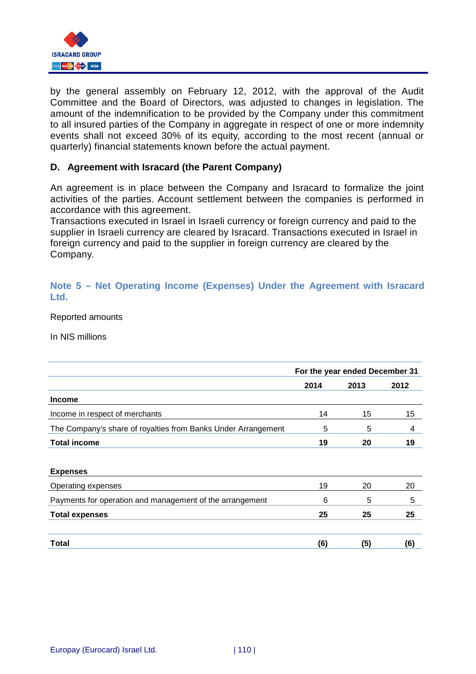

by the general assembly on February 12, 2012, with the approval of the Audit Committee and the Board of Directors, was adjusted to changes in legislation. The amount of the indemnification to be provided by the Company under this commitment to all insured parties of the Company in aggregate in respect of one or more indemnity events shall not exceed 30% of its equity, according to the most recent (annual or quarterly) financial statements known before the actual payment.

### **D. Agreement with Isracard (the Parent Company)**

An agreement is in place between the Company and Isracard to formalize the joint activities of the parties. Account settlement between the companies is performed in accordance with this agreement.

Transactions executed in Israel in Israeli currency or foreign currency and paid to the supplier in Israeli currency are cleared by Isracard. Transactions executed in Israel in foreign currency and paid to the supplier in foreign currency are cleared by the Company.

# **Note 5 – Net Operating Income (Expenses) Under the Agreement with Isracard Ltd.**

Reported amounts

In NIS millions

|                                                               | For the year ended December 31 |      |      |
|---------------------------------------------------------------|--------------------------------|------|------|
|                                                               | 2014                           | 2013 | 2012 |
| <b>Income</b>                                                 |                                |      |      |
| Income in respect of merchants                                | 14                             | 15   | 15   |
| The Company's share of royalties from Banks Under Arrangement | 5                              | 5    | 4    |
| <b>Total income</b>                                           | 19                             | 20   | 19   |
| <b>Expenses</b>                                               |                                |      |      |
| Operating expenses                                            | 19                             | 20   | 20   |
| Payments for operation and management of the arrangement      | 6                              | 5    | 5    |
| <b>Total expenses</b>                                         | 25                             | 25   | 25   |
| Total                                                         | (6)                            | (5)  | (6)  |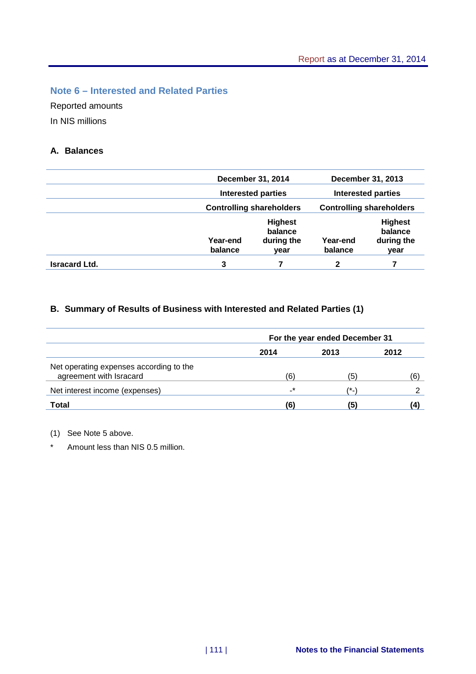# **Note 6 – Interested and Related Parties**

Reported amounts

In NIS millions

# **A. Balances**

|                      |                     | December 31, 2014                               |                     | December 31, 2013                               |
|----------------------|---------------------|-------------------------------------------------|---------------------|-------------------------------------------------|
|                      |                     | Interested parties                              |                     | <b>Interested parties</b>                       |
|                      |                     | <b>Controlling shareholders</b>                 |                     | <b>Controlling shareholders</b>                 |
|                      | Year-end<br>balance | <b>Highest</b><br>balance<br>during the<br>year | Year-end<br>balance | <b>Highest</b><br>balance<br>during the<br>year |
| <b>Isracard Ltd.</b> | 3                   |                                                 | $\mathbf 2$         |                                                 |

# **B. Summary of Results of Business with Interested and Related Parties (1)**

|                                                                    | For the year ended December 31 |                  |      |
|--------------------------------------------------------------------|--------------------------------|------------------|------|
|                                                                    | 2014                           | 2013             | 2012 |
| Net operating expenses according to the<br>agreement with Isracard | (6)                            | (5)              | (6)  |
| Net interest income (expenses)                                     | _*                             | $^{\prime\star}$ |      |
| Total                                                              | (6)                            | 15'              | (4)  |

(1) See Note 5 above.

\* Amount less than NIS 0.5 million.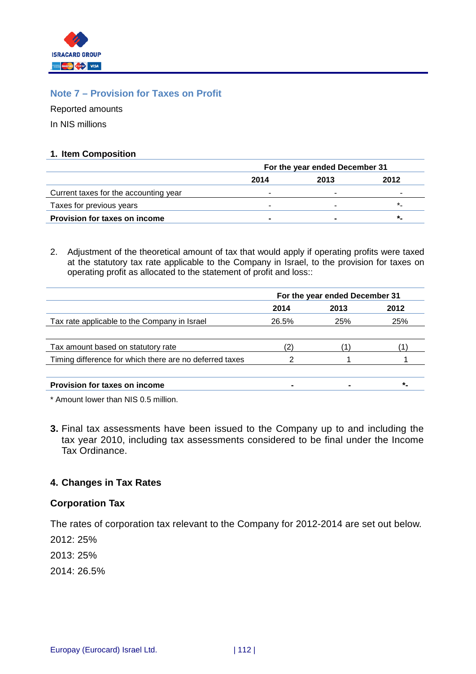

# **Note 7 – Provision for Taxes on Profit**

Reported amounts

In NIS millions

#### **1. Item Composition**

|                                       | For the year ended December 31 |      |      |
|---------------------------------------|--------------------------------|------|------|
|                                       | 2014                           | 2013 | 2012 |
| Current taxes for the accounting year |                                |      |      |
| Taxes for previous years              |                                |      | *    |
| <b>Provision for taxes on income</b>  |                                |      | *.   |

2. Adjustment of the theoretical amount of tax that would apply if operating profits were taxed at the statutory tax rate applicable to the Company in Israel, to the provision for taxes on operating profit as allocated to the statement of profit and loss::

|                                                         | For the year ended December 31 |      |         |
|---------------------------------------------------------|--------------------------------|------|---------|
|                                                         | 2014                           | 2013 | 2012    |
| Tax rate applicable to the Company in Israel            | 26.5%                          | 25%  | 25%     |
|                                                         |                                |      |         |
| Tax amount based on statutory rate                      |                                |      |         |
| Timing difference for which there are no deferred taxes |                                |      |         |
|                                                         |                                |      |         |
| Provision for taxes on income                           |                                |      | $\star$ |

\* Amount lower than NIS 0.5 million.

**3.** Final tax assessments have been issued to the Company up to and including the tax year 2010, including tax assessments considered to be final under the Income Tax Ordinance.

# **4. Changes in Tax Rates**

### **Corporation Tax**

The rates of corporation tax relevant to the Company for 2012-2014 are set out below.

2012: 25%

2013: 25%

2014: 26.5%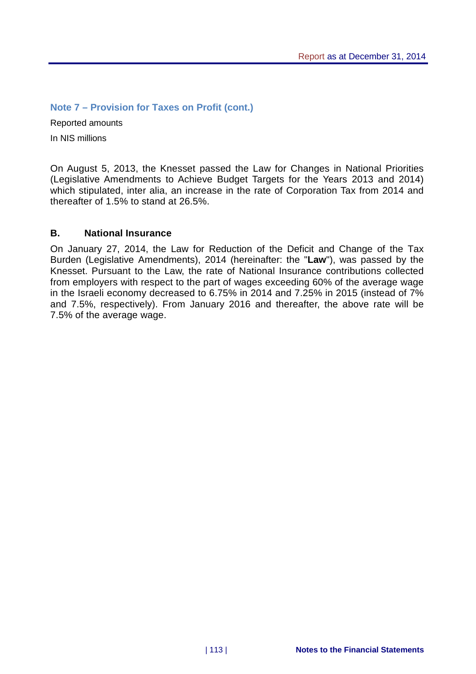**Note 7 – Provision for Taxes on Profit (cont.)** 

Reported amounts In NIS millions

On August 5, 2013, the Knesset passed the Law for Changes in National Priorities (Legislative Amendments to Achieve Budget Targets for the Years 2013 and 2014) which stipulated, inter alia, an increase in the rate of Corporation Tax from 2014 and thereafter of 1.5% to stand at 26.5%.

# **B. National Insurance**

On January 27, 2014, the Law for Reduction of the Deficit and Change of the Tax Burden (Legislative Amendments), 2014 (hereinafter: the "**Law**"), was passed by the Knesset. Pursuant to the Law, the rate of National Insurance contributions collected from employers with respect to the part of wages exceeding 60% of the average wage in the Israeli economy decreased to 6.75% in 2014 and 7.25% in 2015 (instead of 7% and 7.5%, respectively). From January 2016 and thereafter, the above rate will be 7.5% of the average wage.